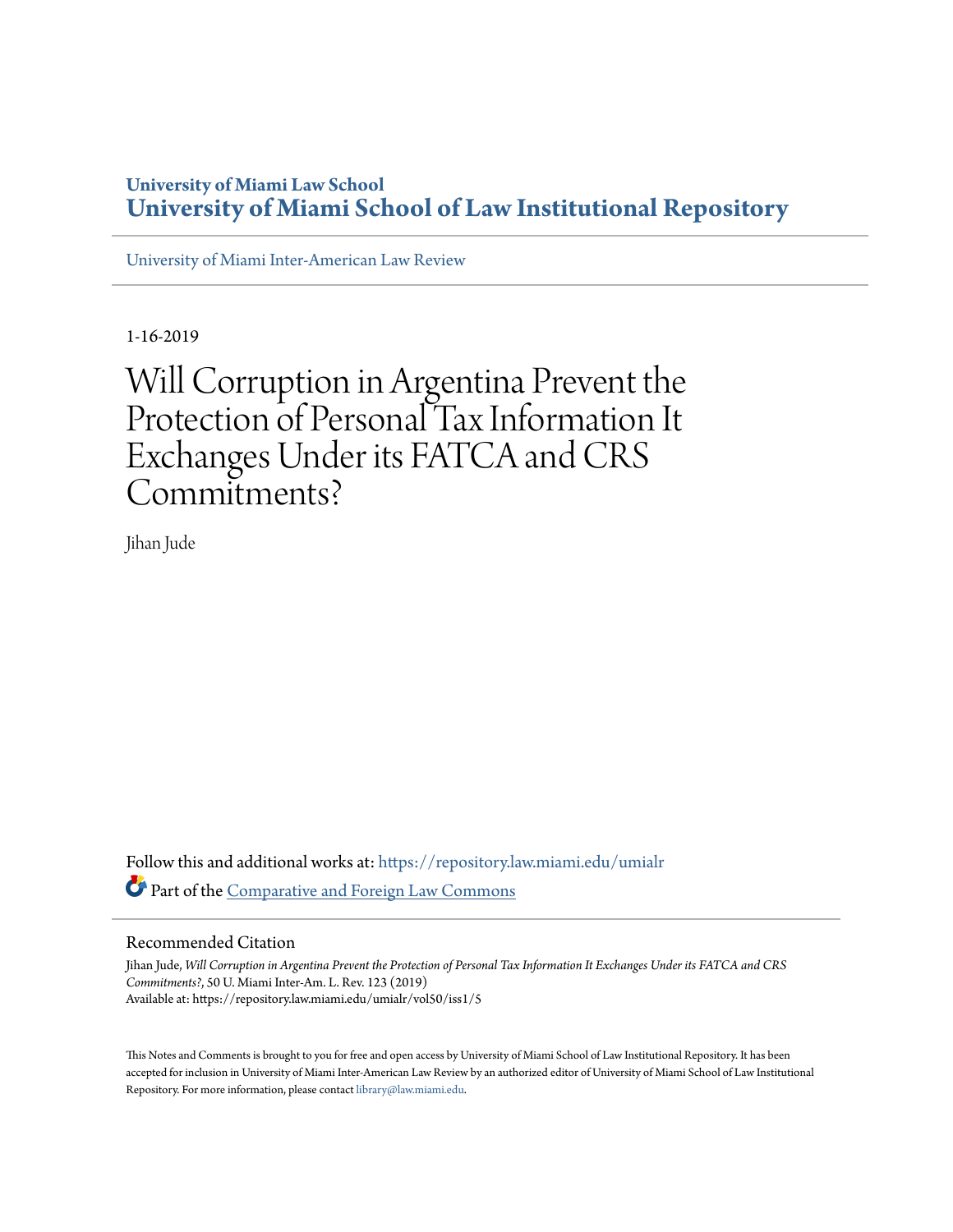# **University of Miami Law School [University of Miami School of Law Institutional Repository](https://repository.law.miami.edu?utm_source=repository.law.miami.edu%2Fumialr%2Fvol50%2Fiss1%2F5&utm_medium=PDF&utm_campaign=PDFCoverPages)**

[University of Miami Inter-American Law Review](https://repository.law.miami.edu/umialr?utm_source=repository.law.miami.edu%2Fumialr%2Fvol50%2Fiss1%2F5&utm_medium=PDF&utm_campaign=PDFCoverPages)

1-16-2019

Will Corruption in Argentina Prevent the Protection of Personal Tax Information It Exchanges Under its FATCA and CRS Commitments?

Jihan Jude

Follow this and additional works at: [https://repository.law.miami.edu/umialr](https://repository.law.miami.edu/umialr?utm_source=repository.law.miami.edu%2Fumialr%2Fvol50%2Fiss1%2F5&utm_medium=PDF&utm_campaign=PDFCoverPages) Part of the [Comparative and Foreign Law Commons](http://network.bepress.com/hgg/discipline/836?utm_source=repository.law.miami.edu%2Fumialr%2Fvol50%2Fiss1%2F5&utm_medium=PDF&utm_campaign=PDFCoverPages)

#### Recommended Citation

Jihan Jude, *Will Corruption in Argentina Prevent the Protection of Personal Tax Information It Exchanges Under its FATCA and CRS Commitments?*, 50 U. Miami Inter-Am. L. Rev. 123 (2019) Available at: https://repository.law.miami.edu/umialr/vol50/iss1/5

This Notes and Comments is brought to you for free and open access by University of Miami School of Law Institutional Repository. It has been accepted for inclusion in University of Miami Inter-American Law Review by an authorized editor of University of Miami School of Law Institutional Repository. For more information, please contact [library@law.miami.edu](mailto:library@law.miami.edu).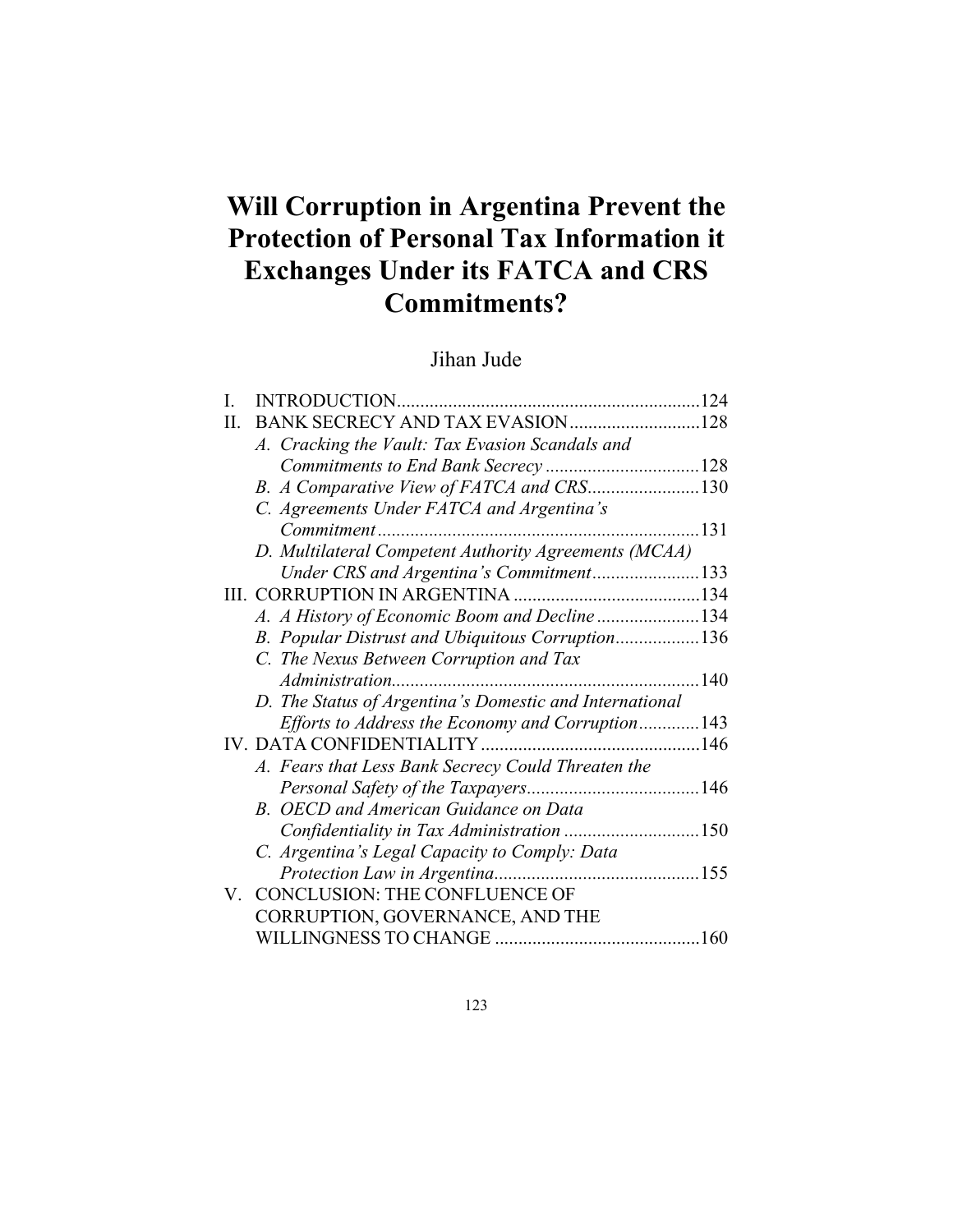# **Will Corruption in Argentina Prevent the Protection of Personal Tax Information it Exchanges Under its FATCA and CRS Commitments?**

# Jihan Jude

| I.                                 | INTRODUCTION                                            |              |
|------------------------------------|---------------------------------------------------------|--------------|
| Π.                                 | BANK SECRECY AND TAX EVASION 128                        |              |
|                                    | A. Cracking the Vault: Tax Evasion Scandals and         |              |
|                                    |                                                         |              |
|                                    | B. A Comparative View of FATCA and CRS130               |              |
|                                    | C. Agreements Under FATCA and Argentina's               |              |
|                                    | Commitment                                              | $\dots 131$  |
|                                    | D. Multilateral Competent Authority Agreements (MCAA)   |              |
|                                    | Under CRS and Argentina's Commitment133                 |              |
|                                    |                                                         |              |
|                                    | A. A History of Economic Boom and Decline 134           |              |
|                                    | B. Popular Distrust and Ubiquitous Corruption136        |              |
|                                    | C. The Nexus Between Corruption and Tax                 |              |
|                                    |                                                         | $\ldots$ 140 |
|                                    | D. The Status of Argentina's Domestic and International |              |
|                                    | Efforts to Address the Economy and Corruption143        |              |
|                                    |                                                         |              |
|                                    | A. Fears that Less Bank Secrecy Could Threaten the      |              |
|                                    |                                                         |              |
|                                    | B. OECD and American Guidance on Data                   |              |
|                                    | Confidentiality in Tax Administration 150               |              |
|                                    | C. Argentina's Legal Capacity to Comply: Data           |              |
|                                    | Protection Law in Argentina                             |              |
| $\rm V_{\rm \scriptscriptstyle L}$ | <b>CONCLUSION: THE CONFLUENCE OF</b>                    |              |
|                                    | CORRUPTION, GOVERNANCE, AND THE                         |              |
|                                    |                                                         | .160         |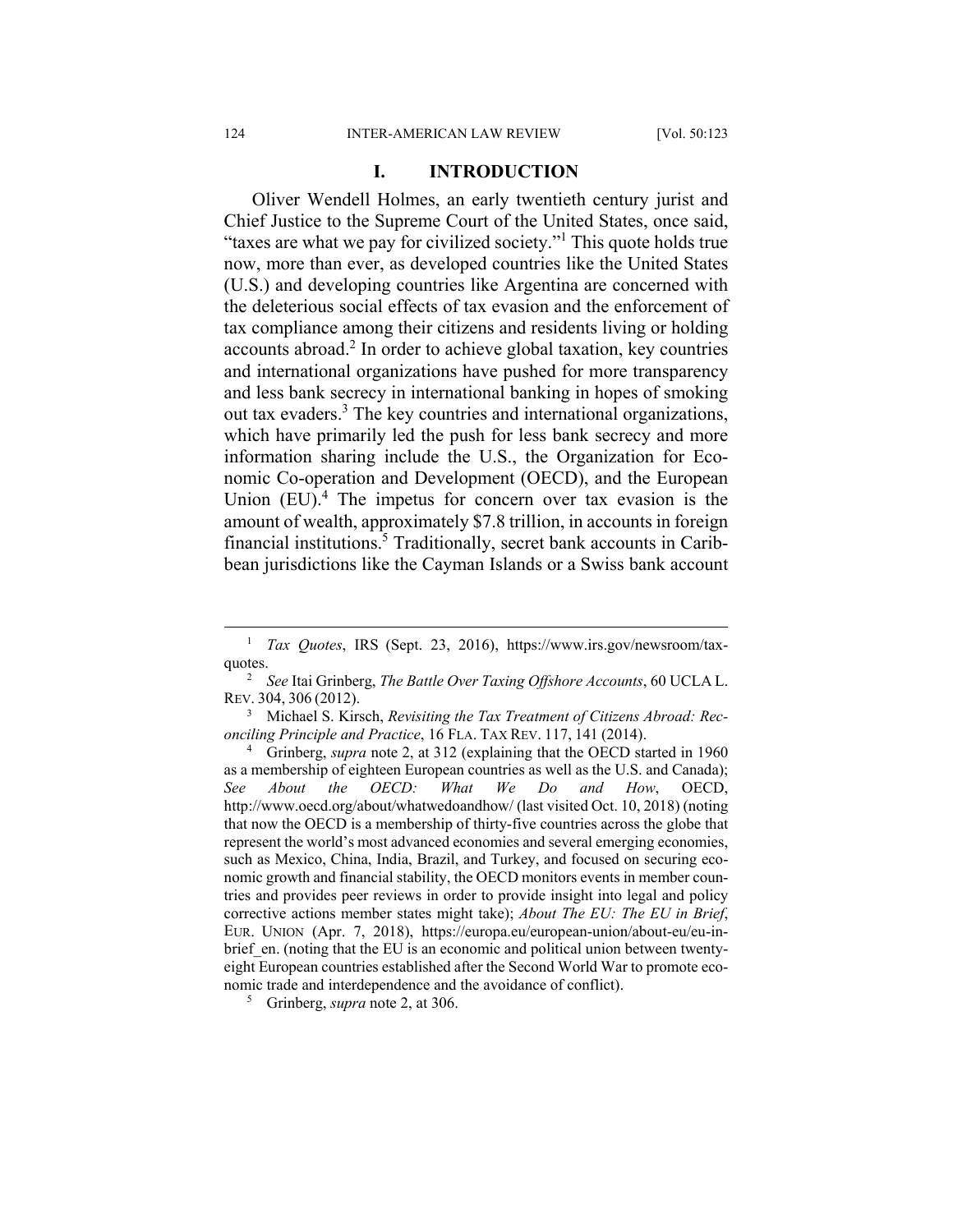#### **I. INTRODUCTION**

Oliver Wendell Holmes, an early twentieth century jurist and Chief Justice to the Supreme Court of the United States, once said, "taxes are what we pay for civilized society."1 This quote holds true now, more than ever, as developed countries like the United States (U.S.) and developing countries like Argentina are concerned with the deleterious social effects of tax evasion and the enforcement of tax compliance among their citizens and residents living or holding accounts abroad.<sup>2</sup> In order to achieve global taxation, key countries and international organizations have pushed for more transparency and less bank secrecy in international banking in hopes of smoking out tax evaders.<sup>3</sup> The key countries and international organizations, which have primarily led the push for less bank secrecy and more information sharing include the U.S., the Organization for Economic Co-operation and Development (OECD), and the European Union  $(EU)$ .<sup>4</sup> The impetus for concern over tax evasion is the amount of wealth, approximately \$7.8 trillion, in accounts in foreign financial institutions.<sup>5</sup> Traditionally, secret bank accounts in Caribbean jurisdictions like the Cayman Islands or a Swiss bank account

 $\frac{1}{1}$  *Tax Quotes*, IRS (Sept. 23, 2016), https://www.irs.gov/newsroom/taxquotes.

*See* Itai Grinberg, *The Battle Over Taxing Offshore Accounts*, 60 UCLA L. REV. 304, 306 (2012).

<sup>3</sup> Michael S. Kirsch, *Revisiting the Tax Treatment of Citizens Abroad: Reconciling Principle and Practice*, 16 FLA. TAX REV. 117, 141 (2014).

Grinberg, *supra* note 2, at 312 (explaining that the OECD started in 1960 as a membership of eighteen European countries as well as the U.S. and Canada); *See About the OECD: What We Do and How*, OECD, http://www.oecd.org/about/whatwedoandhow/ (last visited Oct. 10, 2018) (noting that now the OECD is a membership of thirty-five countries across the globe that represent the world's most advanced economies and several emerging economies, such as Mexico, China, India, Brazil, and Turkey, and focused on securing economic growth and financial stability, the OECD monitors events in member countries and provides peer reviews in order to provide insight into legal and policy corrective actions member states might take); *About The EU: The EU in Brief*, EUR. UNION (Apr. 7, 2018), https://europa.eu/european-union/about-eu/eu-inbrief en. (noting that the EU is an economic and political union between twentyeight European countries established after the Second World War to promote economic trade and interdependence and the avoidance of conflict).

<sup>5</sup> Grinberg, *supra* note 2, at 306.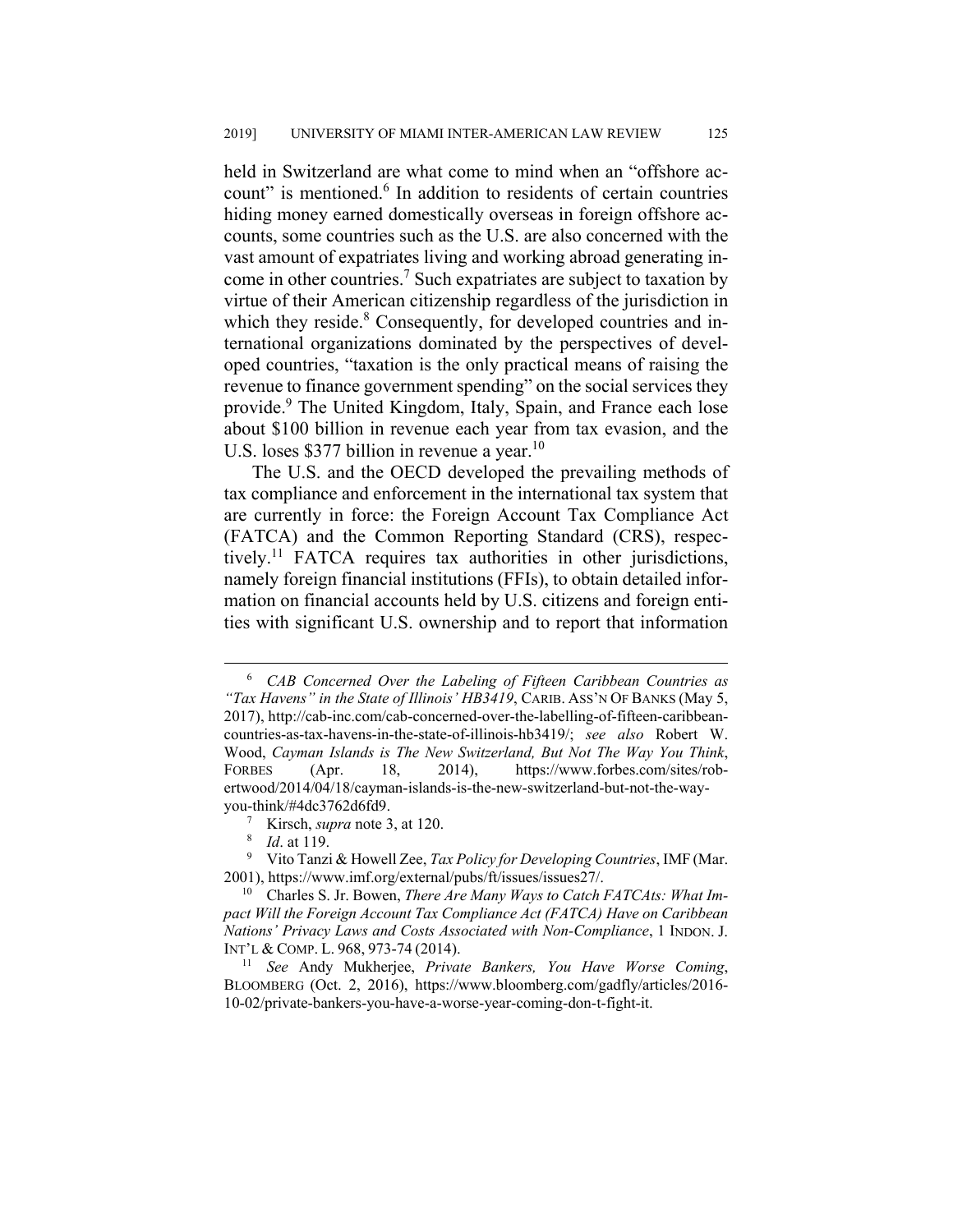held in Switzerland are what come to mind when an "offshore account" is mentioned.<sup>6</sup> In addition to residents of certain countries hiding money earned domestically overseas in foreign offshore accounts, some countries such as the U.S. are also concerned with the vast amount of expatriates living and working abroad generating income in other countries.<sup>7</sup> Such expatriates are subject to taxation by virtue of their American citizenship regardless of the jurisdiction in which they reside.<sup>8</sup> Consequently, for developed countries and international organizations dominated by the perspectives of developed countries, "taxation is the only practical means of raising the revenue to finance government spending" on the social services they provide.<sup>9</sup> The United Kingdom, Italy, Spain, and France each lose about \$100 billion in revenue each year from tax evasion, and the U.S. loses \$377 billion in revenue a year.<sup>10</sup>

The U.S. and the OECD developed the prevailing methods of tax compliance and enforcement in the international tax system that are currently in force: the Foreign Account Tax Compliance Act (FATCA) and the Common Reporting Standard (CRS), respectively.<sup>11</sup> FATCA requires tax authorities in other jurisdictions, namely foreign financial institutions (FFIs), to obtain detailed information on financial accounts held by U.S. citizens and foreign entities with significant U.S. ownership and to report that information

 $\overline{\phantom{0}}$  *CAB Concerned Over the Labeling of Fifteen Caribbean Countries as "Tax Havens" in the State of Illinois' HB3419*, CARIB. ASS'N OF BANKS (May 5, 2017), http://cab-inc.com/cab-concerned-over-the-labelling-of-fifteen-caribbeancountries-as-tax-havens-in-the-state-of-illinois-hb3419/; *see also* Robert W. Wood, *Cayman Islands is The New Switzerland, But Not The Way You Think*, FORBES (Apr. 18, 2014), https://www.forbes.com/sites/robertwood/2014/04/18/cayman-islands-is-the-new-switzerland-but-not-the-wayyou-think/#4dc3762d6fd9.

<sup>&</sup>lt;sup>7</sup> Kirsch, *supra* note 3, at 120.

<sup>8</sup>  *Id*. at 119.

<sup>9</sup> Vito Tanzi & Howell Zee, *Tax Policy for Developing Countries*, IMF (Mar. 2001), https://www.imf.org/external/pubs/ft/issues/issues27/.

<sup>10</sup> Charles S. Jr. Bowen, *There Are Many Ways to Catch FATCAts: What Impact Will the Foreign Account Tax Compliance Act (FATCA) Have on Caribbean Nations' Privacy Laws and Costs Associated with Non-Compliance*, 1 INDON. J. INT'L & COMP. L. 968, 973-74 (2014). 11 *See* Andy Mukherjee, *Private Bankers, You Have Worse Coming*,

BLOOMBERG (Oct. 2, 2016), https://www.bloomberg.com/gadfly/articles/2016- 10-02/private-bankers-you-have-a-worse-year-coming-don-t-fight-it.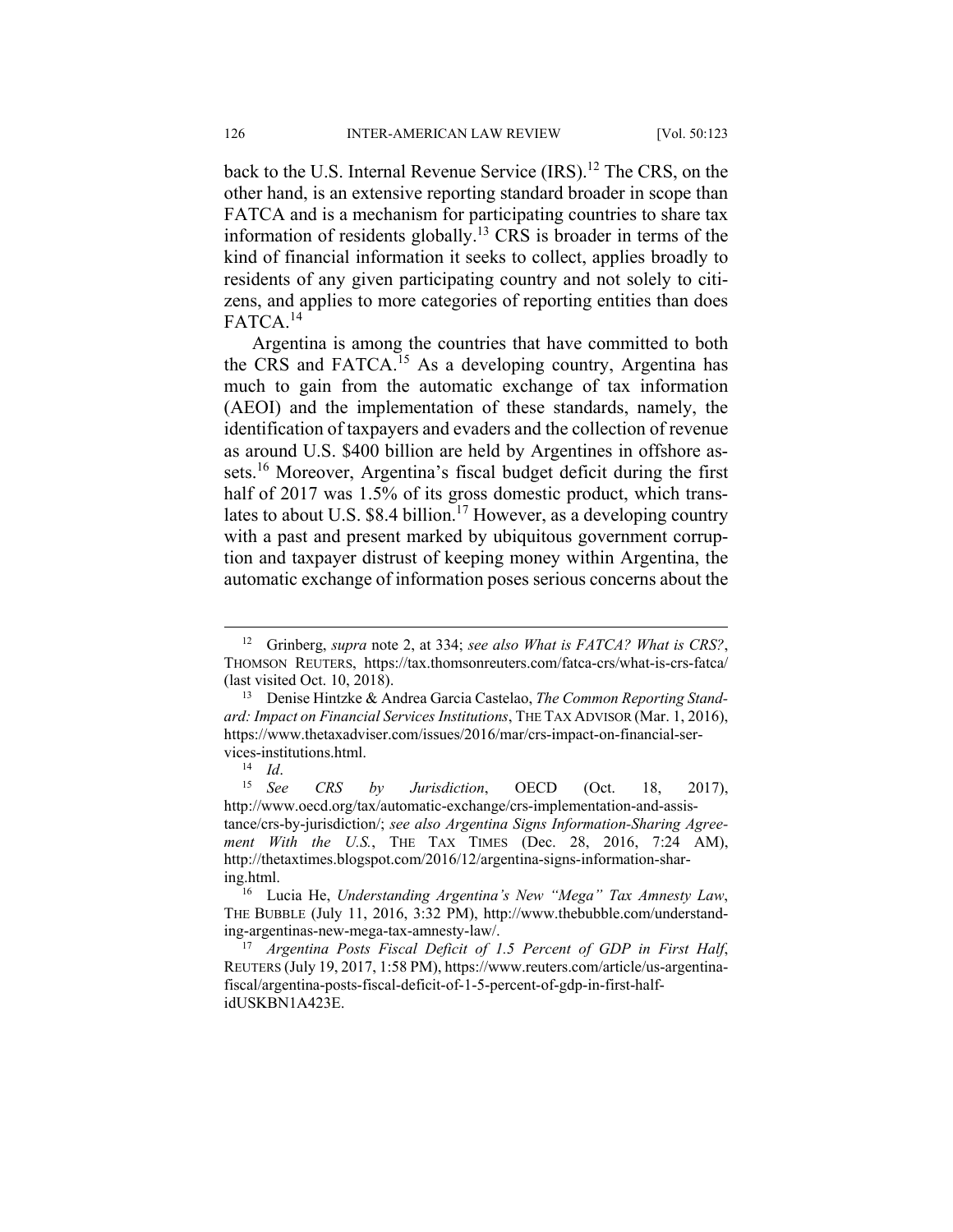back to the U.S. Internal Revenue Service (IRS).<sup>12</sup> The CRS, on the other hand, is an extensive reporting standard broader in scope than FATCA and is a mechanism for participating countries to share tax information of residents globally.<sup>13</sup> CRS is broader in terms of the kind of financial information it seeks to collect, applies broadly to residents of any given participating country and not solely to citizens, and applies to more categories of reporting entities than does FATCA.<sup>14</sup>

Argentina is among the countries that have committed to both the CRS and FATCA.15 As a developing country, Argentina has much to gain from the automatic exchange of tax information (AEOI) and the implementation of these standards, namely, the identification of taxpayers and evaders and the collection of revenue as around U.S. \$400 billion are held by Argentines in offshore assets.16 Moreover, Argentina's fiscal budget deficit during the first half of 2017 was 1.5% of its gross domestic product, which translates to about U.S.  $$8.4$  billion.<sup>17</sup> However, as a developing country with a past and present marked by ubiquitous government corruption and taxpayer distrust of keeping money within Argentina, the automatic exchange of information poses serious concerns about the

 <sup>12</sup> Grinberg, *supra* note 2, at 334; *see also What is FATCA? What is CRS?*, THOMSON REUTERS, https://tax.thomsonreuters.com/fatca-crs/what-is-crs-fatca/ (last visited Oct. 10, 2018).

<sup>13</sup> Denise Hintzke & Andrea Garcia Castelao, *The Common Reporting Standard: Impact on Financial Services Institutions*, THE TAX ADVISOR (Mar. 1, 2016), https://www.thetaxadviser.com/issues/2016/mar/crs-impact-on-financial-ser-

vices-institutions.html.<br><sup>14</sup> *Id.* See *CRS by Jurisdiction*, OECD (Oct. 18, 2017), http://www.oecd.org/tax/automatic-exchange/crs-implementation-and-assistance/crs-by-jurisdiction/; *see also Argentina Signs Information-Sharing Agreement With the U.S.*, THE TAX TIMES (Dec. 28, 2016, 7:24 AM), http://thetaxtimes.blogspot.com/2016/12/argentina-signs-information-sharing.html.

<sup>16</sup> Lucia He, *Understanding Argentina's New "Mega" Tax Amnesty Law*, THE BUBBLE (July 11, 2016, 3:32 PM), http://www.thebubble.com/understanding-argentinas-new-mega-tax-amnesty-law/.

<sup>17</sup> *Argentina Posts Fiscal Deficit of 1.5 Percent of GDP in First Half*, REUTERS (July 19, 2017, 1:58 PM), https://www.reuters.com/article/us-argentinafiscal/argentina-posts-fiscal-deficit-of-1-5-percent-of-gdp-in-first-halfidUSKBN1A423E.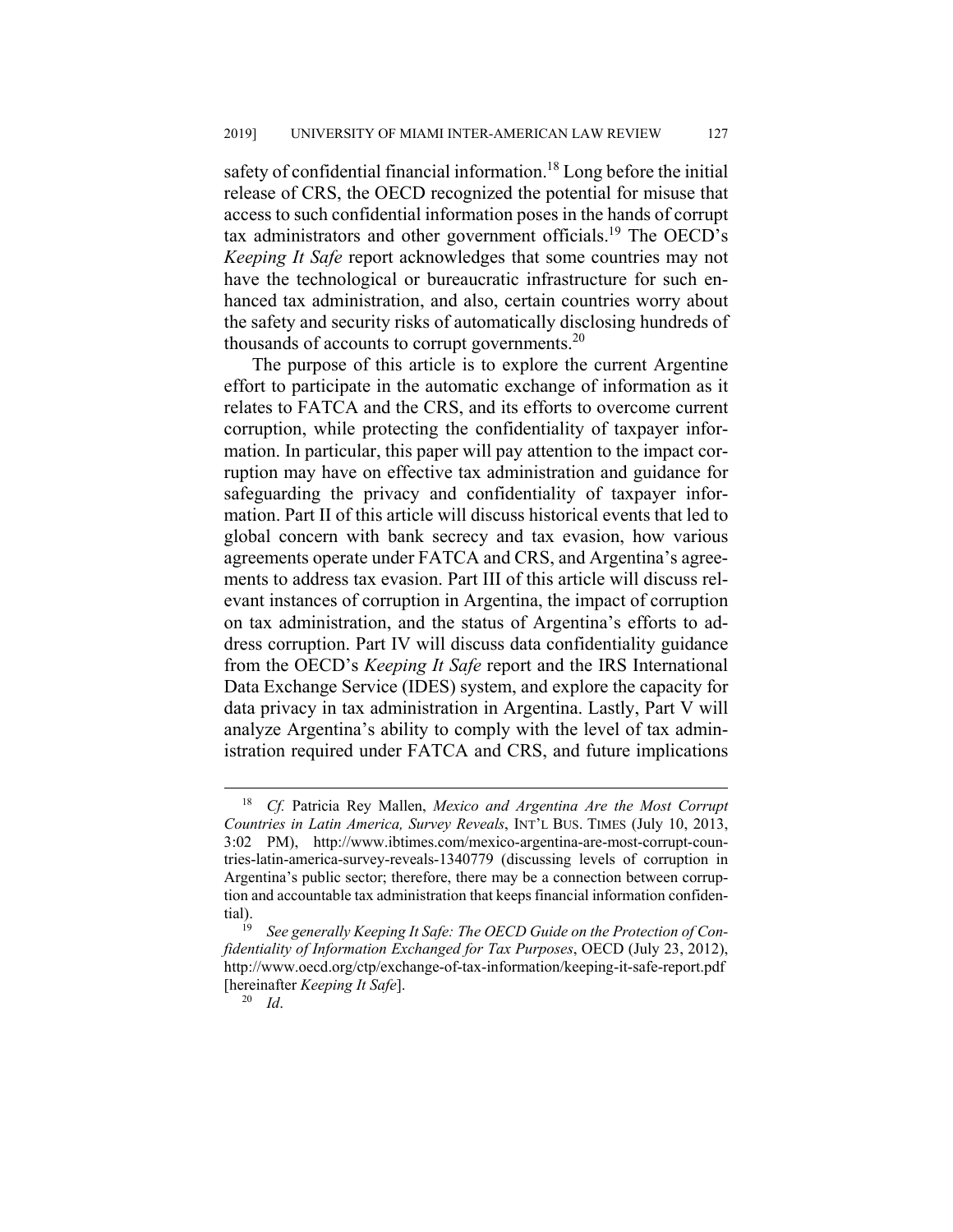safety of confidential financial information.<sup>18</sup> Long before the initial release of CRS, the OECD recognized the potential for misuse that access to such confidential information poses in the hands of corrupt tax administrators and other government officials.<sup>19</sup> The OECD's *Keeping It Safe* report acknowledges that some countries may not have the technological or bureaucratic infrastructure for such enhanced tax administration, and also, certain countries worry about the safety and security risks of automatically disclosing hundreds of thousands of accounts to corrupt governments. $^{20}$ 

The purpose of this article is to explore the current Argentine effort to participate in the automatic exchange of information as it relates to FATCA and the CRS, and its efforts to overcome current corruption, while protecting the confidentiality of taxpayer information. In particular, this paper will pay attention to the impact corruption may have on effective tax administration and guidance for safeguarding the privacy and confidentiality of taxpayer information. Part II of this article will discuss historical events that led to global concern with bank secrecy and tax evasion, how various agreements operate under FATCA and CRS, and Argentina's agreements to address tax evasion. Part III of this article will discuss relevant instances of corruption in Argentina, the impact of corruption on tax administration, and the status of Argentina's efforts to address corruption. Part IV will discuss data confidentiality guidance from the OECD's *Keeping It Safe* report and the IRS International Data Exchange Service (IDES) system, and explore the capacity for data privacy in tax administration in Argentina. Lastly, Part V will analyze Argentina's ability to comply with the level of tax administration required under FATCA and CRS, and future implications

 <sup>18</sup> *Cf.* Patricia Rey Mallen, *Mexico and Argentina Are the Most Corrupt Countries in Latin America, Survey Reveals*, INT'L BUS. TIMES (July 10, 2013, 3:02 PM), http://www.ibtimes.com/mexico-argentina-are-most-corrupt-countries-latin-america-survey-reveals-1340779 (discussing levels of corruption in Argentina's public sector; therefore, there may be a connection between corruption and accountable tax administration that keeps financial information confidential).<br> $\frac{19}{19}$ 

See generally Keeping It Safe: The OECD Guide on the Protection of Con*fidentiality of Information Exchanged for Tax Purposes*, OECD (July 23, 2012), http://www.oecd.org/ctp/exchange-of-tax-information/keeping-it-safe-report.pdf [hereinafter *Keeping It Safe*].

<sup>20</sup> *Id*.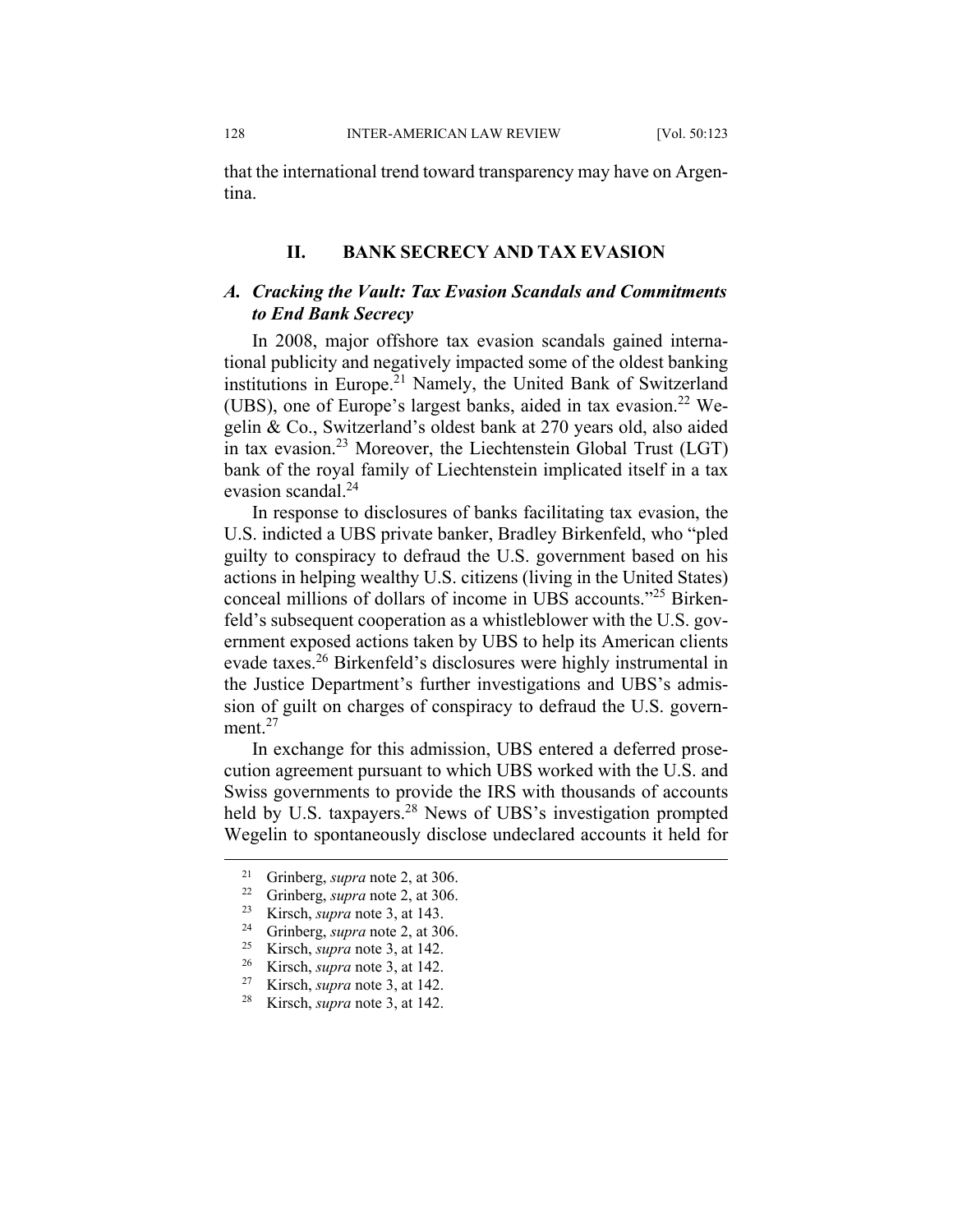that the international trend toward transparency may have on Argentina.

#### **II. BANK SECRECY AND TAX EVASION**

### *A. Cracking the Vault: Tax Evasion Scandals and Commitments to End Bank Secrecy*

In 2008, major offshore tax evasion scandals gained international publicity and negatively impacted some of the oldest banking institutions in Europe.<sup>21</sup> Namely, the United Bank of Switzerland (UBS), one of Europe's largest banks, aided in tax evasion.<sup>22</sup> Wegelin & Co., Switzerland's oldest bank at 270 years old, also aided in tax evasion.<sup>23</sup> Moreover, the Liechtenstein Global Trust (LGT) bank of the royal family of Liechtenstein implicated itself in a tax evasion scandal.<sup>24</sup>

In response to disclosures of banks facilitating tax evasion, the U.S. indicted a UBS private banker, Bradley Birkenfeld, who "pled guilty to conspiracy to defraud the U.S. government based on his actions in helping wealthy U.S. citizens (living in the United States) conceal millions of dollars of income in UBS accounts."25 Birkenfeld's subsequent cooperation as a whistleblower with the U.S. government exposed actions taken by UBS to help its American clients evade taxes.<sup>26</sup> Birkenfeld's disclosures were highly instrumental in the Justice Department's further investigations and UBS's admission of guilt on charges of conspiracy to defraud the U.S. government.<sup>27</sup>

In exchange for this admission, UBS entered a deferred prosecution agreement pursuant to which UBS worked with the U.S. and Swiss governments to provide the IRS with thousands of accounts held by U.S. taxpayers.<sup>28</sup> News of UBS's investigation prompted Wegelin to spontaneously disclose undeclared accounts it held for

 <sup>21</sup> Grinberg, *supra* note 2, at 306. 22 Grinberg, *supra* note 2, at 306.

<sup>&</sup>lt;sup>23</sup> Kirsch, *supra* note 3, at 143.<br><sup>24</sup> Grinberg, *supra* note 2, at 306.<br><sup>25</sup> Kirsch, *supra* note 3, at 142

<sup>&</sup>lt;sup>25</sup> Kirsch, *supra* note 3, at 142.<br><sup>26</sup> Kirsch, *supra* note 3, at 142.

<sup>&</sup>lt;sup>26</sup> Kirsch, *supra* note 3, at 142.<br><sup>27</sup> Kirsch, *supra* note 3, at 142

<sup>&</sup>lt;sup>27</sup> Kirsch, *supra* note 3, at 142.<br><sup>28</sup> Kirsch, *supra* note 3, at 142.

Kirsch, *supra* note 3, at 142.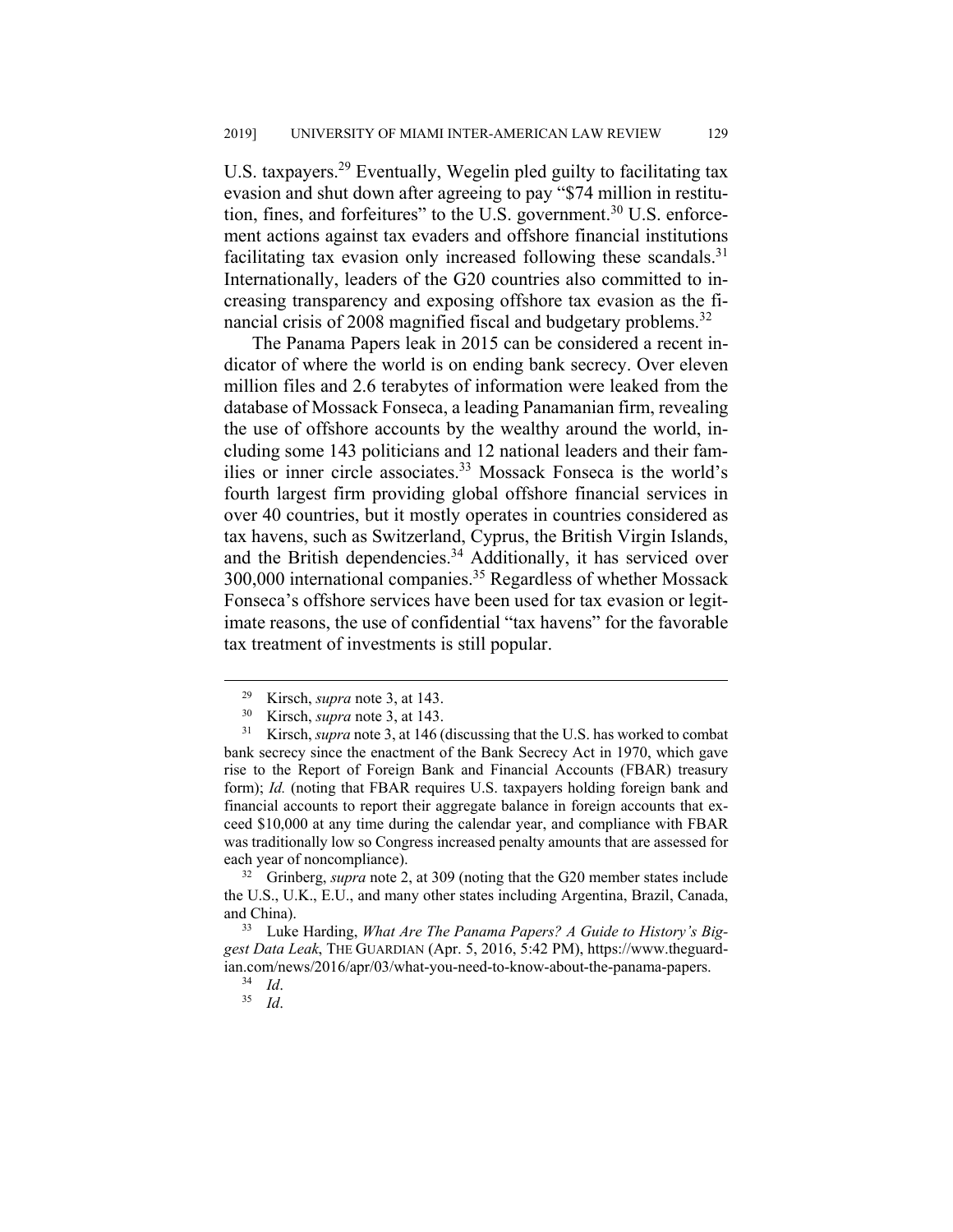U.S. taxpayers.<sup>29</sup> Eventually, Wegelin pled guilty to facilitating tax evasion and shut down after agreeing to pay "\$74 million in restitution, fines, and forfeitures" to the U.S. government.<sup>30</sup> U.S. enforcement actions against tax evaders and offshore financial institutions facilitating tax evasion only increased following these scandals.<sup>31</sup> Internationally, leaders of the G20 countries also committed to increasing transparency and exposing offshore tax evasion as the financial crisis of 2008 magnified fiscal and budgetary problems.<sup>32</sup>

The Panama Papers leak in 2015 can be considered a recent indicator of where the world is on ending bank secrecy. Over eleven million files and 2.6 terabytes of information were leaked from the database of Mossack Fonseca, a leading Panamanian firm, revealing the use of offshore accounts by the wealthy around the world, including some 143 politicians and 12 national leaders and their families or inner circle associates.<sup>33</sup> Mossack Fonseca is the world's fourth largest firm providing global offshore financial services in over 40 countries, but it mostly operates in countries considered as tax havens, such as Switzerland, Cyprus, the British Virgin Islands, and the British dependencies.<sup>34</sup> Additionally, it has serviced over 300,000 international companies.35 Regardless of whether Mossack Fonseca's offshore services have been used for tax evasion or legitimate reasons, the use of confidential "tax havens" for the favorable tax treatment of investments is still popular.

32 Grinberg, *supra* note 2, at 309 (noting that the G20 member states include the U.S., U.K., E.U., and many other states including Argentina, Brazil, Canada, and China).

33 Luke Harding, *What Are The Panama Papers? A Guide to History's Biggest Data Leak*, THE GUARDIAN (Apr. 5, 2016, 5:42 PM), https://www.theguardian.com/news/2016/apr/03/what-you-need-to-know-about-the-panama-papers.<br><sup>34</sup> *Id*.

 <sup>29</sup> Kirsch, *supra* note 3, at 143.

<sup>30</sup> Kirsch, *supra* note 3, at 143.

<sup>&</sup>lt;sup>31</sup> Kirsch, *supra* note 3, at 146 (discussing that the U.S. has worked to combat bank secrecy since the enactment of the Bank Secrecy Act in 1970, which gave rise to the Report of Foreign Bank and Financial Accounts (FBAR) treasury form); *Id.* (noting that FBAR requires U.S. taxpayers holding foreign bank and financial accounts to report their aggregate balance in foreign accounts that exceed \$10,000 at any time during the calendar year, and compliance with FBAR was traditionally low so Congress increased penalty amounts that are assessed for each year of noncompliance).

<sup>34</sup> *Id*. 35 *Id*.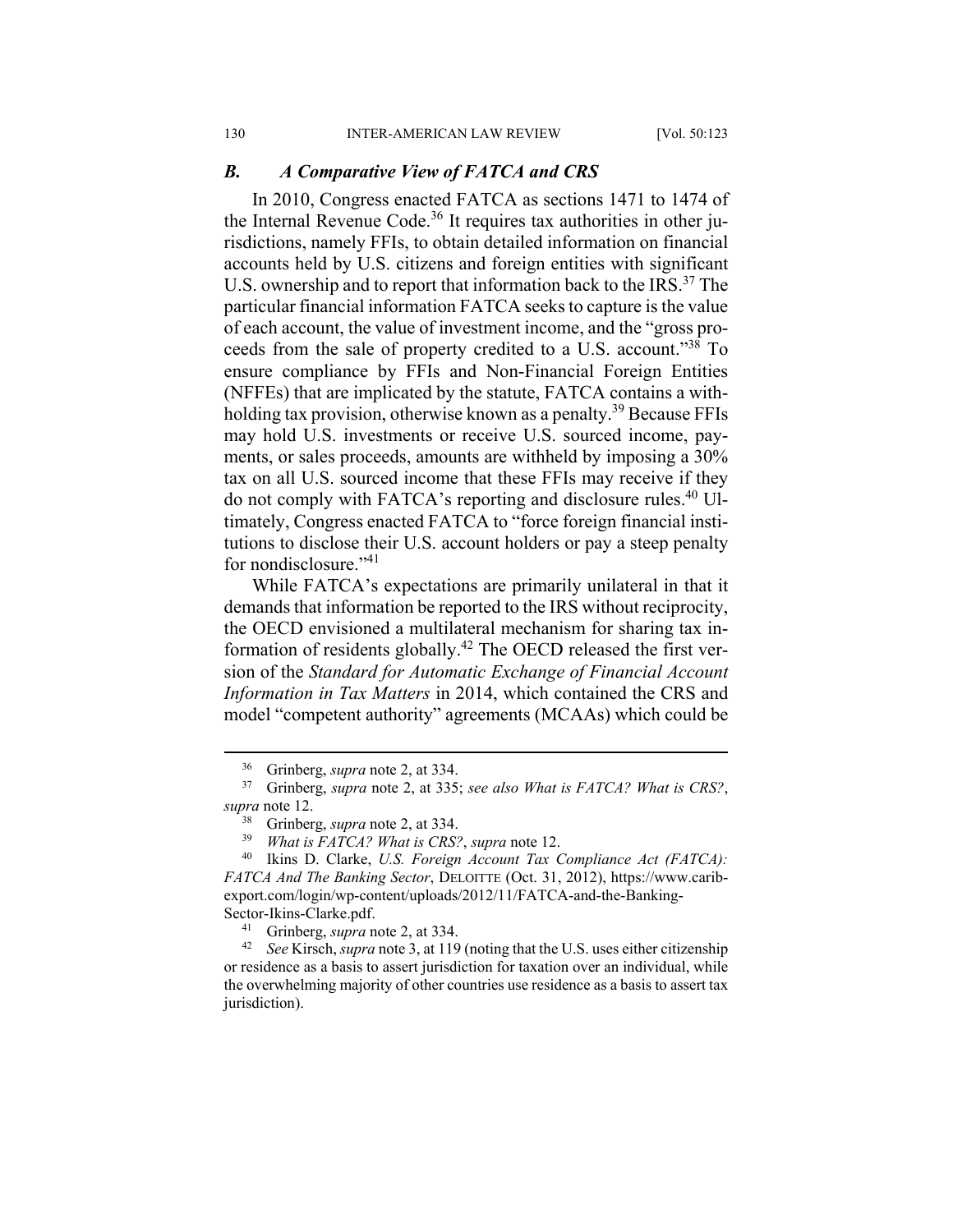#### *B. A Comparative View of FATCA and CRS*

In 2010, Congress enacted FATCA as sections 1471 to 1474 of the Internal Revenue Code.<sup>36</sup> It requires tax authorities in other jurisdictions, namely FFIs, to obtain detailed information on financial accounts held by U.S. citizens and foreign entities with significant U.S. ownership and to report that information back to the IRS.<sup>37</sup> The particular financial information FATCA seeks to capture is the value of each account, the value of investment income, and the "gross proceeds from the sale of property credited to a U.S. account."38 To ensure compliance by FFIs and Non-Financial Foreign Entities (NFFEs) that are implicated by the statute, FATCA contains a withholding tax provision, otherwise known as a penalty.<sup>39</sup> Because FFIs may hold U.S. investments or receive U.S. sourced income, payments, or sales proceeds, amounts are withheld by imposing a 30% tax on all U.S. sourced income that these FFIs may receive if they do not comply with FATCA's reporting and disclosure rules.40 Ultimately, Congress enacted FATCA to "force foreign financial institutions to disclose their U.S. account holders or pay a steep penalty for nondisclosure."<sup>41</sup>

While FATCA's expectations are primarily unilateral in that it demands that information be reported to the IRS without reciprocity, the OECD envisioned a multilateral mechanism for sharing tax information of residents globally.42 The OECD released the first version of the *Standard for Automatic Exchange of Financial Account Information in Tax Matters* in 2014, which contained the CRS and model "competent authority" agreements (MCAAs) which could be

 <sup>36</sup> Grinberg, *supra* note 2, at 334.

<sup>37</sup> Grinberg, *supra* note 2, at 335; *see also What is FATCA? What is CRS?*, *supra* note 12.

 $38$  Grinberg, *supra* note 2, at 334.<br> $39$  What is FATCA? What is CRS?

<sup>39</sup> *What is FATCA? What is CRS?*, *supra* note 12.

<sup>40</sup> Ikins D. Clarke, *U.S. Foreign Account Tax Compliance Act (FATCA): FATCA And The Banking Sector*, DELOITTE (Oct. 31, 2012), https://www.caribexport.com/login/wp-content/uploads/2012/11/FATCA-and-the-Banking-

Sector-Ikins-Clarke.pdf.<br><sup>41</sup> Grinberg, *supra* note 2, at 334.<br><sup>42</sup> See Kirsch, *supra* note 3, at 119 (noting that the U.S. uses either citizenship or residence as a basis to assert jurisdiction for taxation over an individual, while the overwhelming majority of other countries use residence as a basis to assert tax jurisdiction).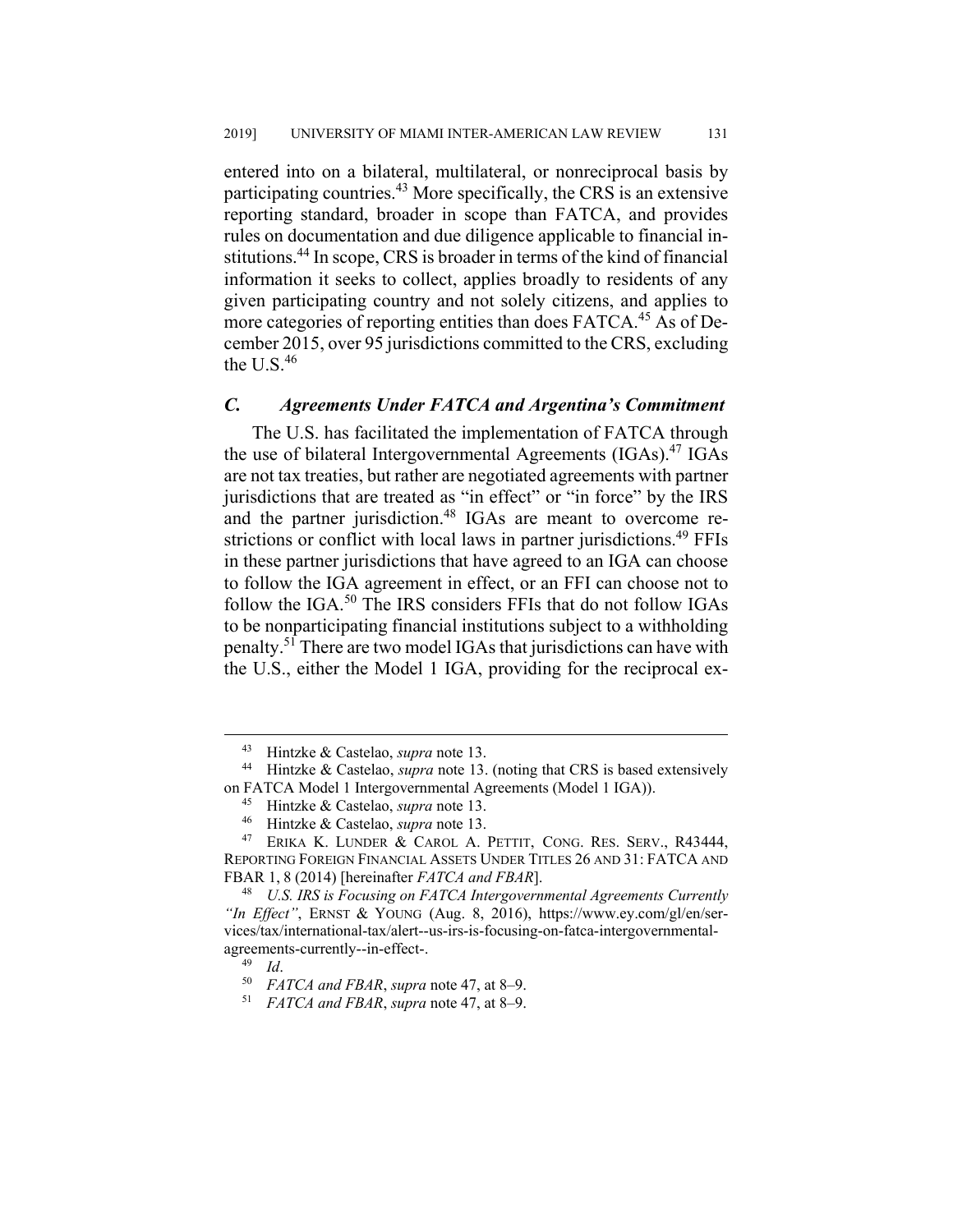entered into on a bilateral, multilateral, or nonreciprocal basis by participating countries.43 More specifically, the CRS is an extensive reporting standard, broader in scope than FATCA, and provides rules on documentation and due diligence applicable to financial institutions.44 In scope, CRS is broader in terms of the kind of financial information it seeks to collect, applies broadly to residents of any given participating country and not solely citizens, and applies to more categories of reporting entities than does FATCA.<sup>45</sup> As of December 2015, over 95 jurisdictions committed to the CRS, excluding the  $U.S.<sup>46</sup>$ 

#### *C. Agreements Under FATCA and Argentina's Commitment*

The U.S. has facilitated the implementation of FATCA through the use of bilateral Intergovernmental Agreements (IGAs).<sup>47</sup> IGAs are not tax treaties, but rather are negotiated agreements with partner jurisdictions that are treated as "in effect" or "in force" by the IRS and the partner jurisdiction.<sup>48</sup> IGAs are meant to overcome restrictions or conflict with local laws in partner jurisdictions.<sup>49</sup> FFIs in these partner jurisdictions that have agreed to an IGA can choose to follow the IGA agreement in effect, or an FFI can choose not to follow the IGA.<sup>50</sup> The IRS considers FFIs that do not follow IGAs to be nonparticipating financial institutions subject to a withholding penalty.<sup>51</sup> There are two model IGAs that jurisdictions can have with the U.S., either the Model 1 IGA, providing for the reciprocal ex-

 <sup>43</sup> Hintzke & Castelao, *supra* note 13. 44 Hintzke & Castelao, *supra* note 13. (noting that CRS is based extensively on FATCA Model 1 Intergovernmental Agreements (Model 1 IGA)).

<sup>45</sup> Hintzke & Castelao, *supra* note 13.

<sup>46</sup> Hintzke & Castelao, *supra* note 13.

<sup>&</sup>lt;sup>47</sup> ERIKA K. LUNDER & CAROL A. PETTIT, CONG. RES. SERV., R43444, REPORTING FOREIGN FINANCIAL ASSETS UNDER TITLES 26 AND 31: FATCA AND FBAR 1, 8 (2014) [hereinafter *FATCA and FBAR*].

<sup>48</sup> *U.S. IRS is Focusing on FATCA Intergovernmental Agreements Currently "In Effect"*, ERNST & YOUNG (Aug. 8, 2016), https://www.ey.com/gl/en/services/tax/international-tax/alert--us-irs-is-focusing-on-fatca-intergovernmentalagreements-currently--in-effect-.<br> $^{49}$  *Id*.

<sup>49</sup> *Id*. 50 *FATCA and FBAR*, *supra* note 47, at 8‒9.

<sup>51</sup> *FATCA and FBAR*, *supra* note 47, at 8‒9.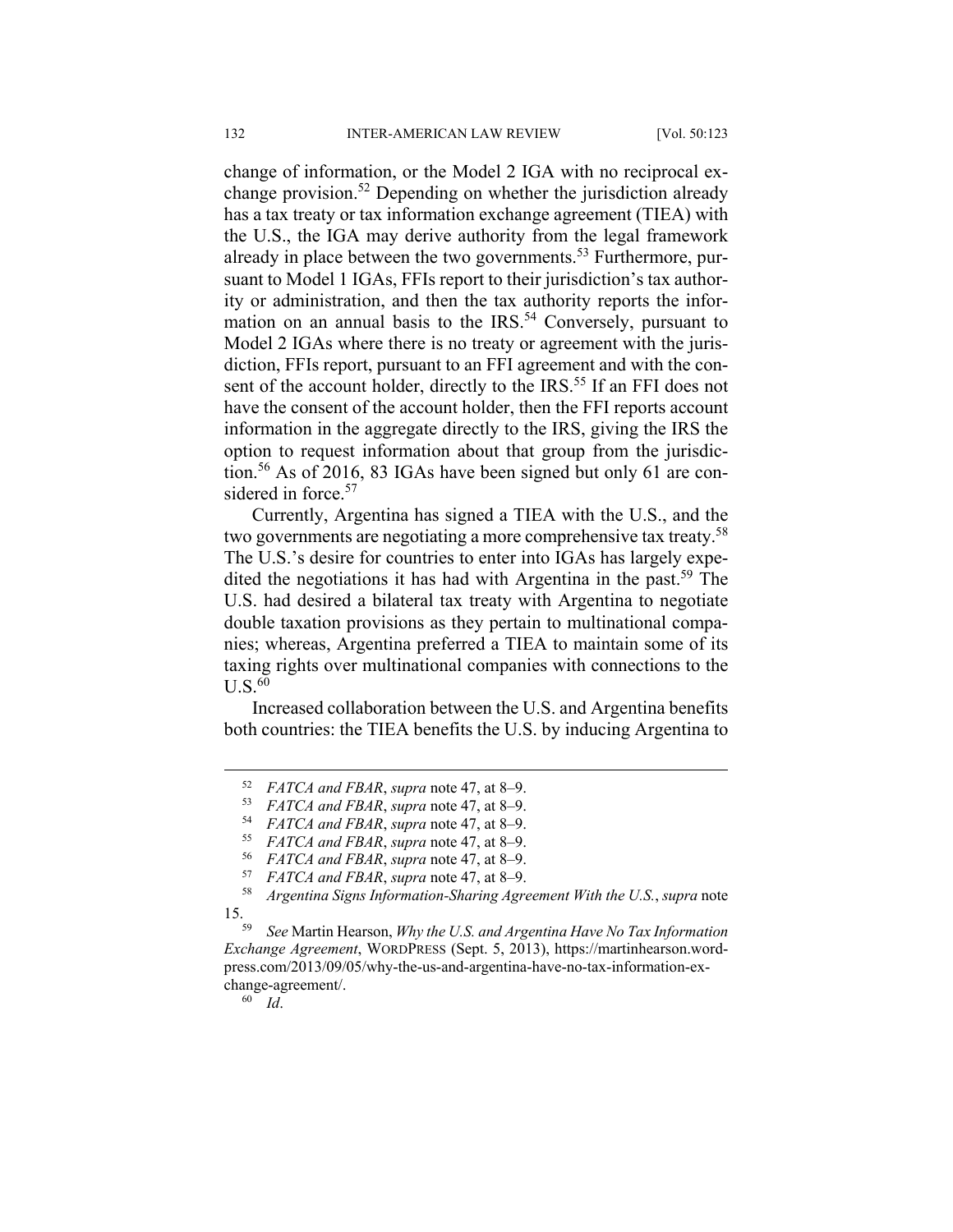change of information, or the Model 2 IGA with no reciprocal exchange provision.<sup>52</sup> Depending on whether the jurisdiction already has a tax treaty or tax information exchange agreement (TIEA) with the U.S., the IGA may derive authority from the legal framework already in place between the two governments.<sup>53</sup> Furthermore, pursuant to Model 1 IGAs, FFIs report to their jurisdiction's tax authority or administration, and then the tax authority reports the information on an annual basis to the IRS.<sup>54</sup> Conversely, pursuant to Model 2 IGAs where there is no treaty or agreement with the jurisdiction, FFIs report, pursuant to an FFI agreement and with the consent of the account holder, directly to the IRS.<sup>55</sup> If an FFI does not have the consent of the account holder, then the FFI reports account information in the aggregate directly to the IRS, giving the IRS the option to request information about that group from the jurisdiction.<sup>56</sup> As of 2016, 83 IGAs have been signed but only 61 are considered in force.<sup>57</sup>

Currently, Argentina has signed a TIEA with the U.S., and the two governments are negotiating a more comprehensive tax treaty.<sup>58</sup> The U.S.'s desire for countries to enter into IGAs has largely expedited the negotiations it has had with Argentina in the past.<sup>59</sup> The U.S. had desired a bilateral tax treaty with Argentina to negotiate double taxation provisions as they pertain to multinational companies; whereas, Argentina preferred a TIEA to maintain some of its taxing rights over multinational companies with connections to the  $U.S.<sup>60</sup>$ 

Increased collaboration between the U.S. and Argentina benefits both countries: the TIEA benefits the U.S. by inducing Argentina to

60 *Id*.

 <sup>52</sup> *FATCA and FBAR*, *supra* note 47, at 8‒9.

<sup>53</sup> *FATCA and FBAR*, *supra* note 47, at 8‒9.

<sup>54</sup> *FATCA and FBAR*, *supra* note 47, at 8‒9. 55 *FATCA and FBAR*, *supra* note 47, at 8‒9.

<sup>56</sup> *FATCA and FBAR*, *supra* note 47, at 8‒9. 57 *FATCA and FBAR*, *supra* note 47, at 8‒9.

<sup>58</sup> *Argentina Signs Information-Sharing Agreement With the U.S.*, *supra* note 15.

<sup>59</sup> *See* Martin Hearson, *Why the U.S. and Argentina Have No Tax Information Exchange Agreement*, WORDPRESS (Sept. 5, 2013), https://martinhearson.wordpress.com/2013/09/05/why-the-us-and-argentina-have-no-tax-information-exchange-agreement/.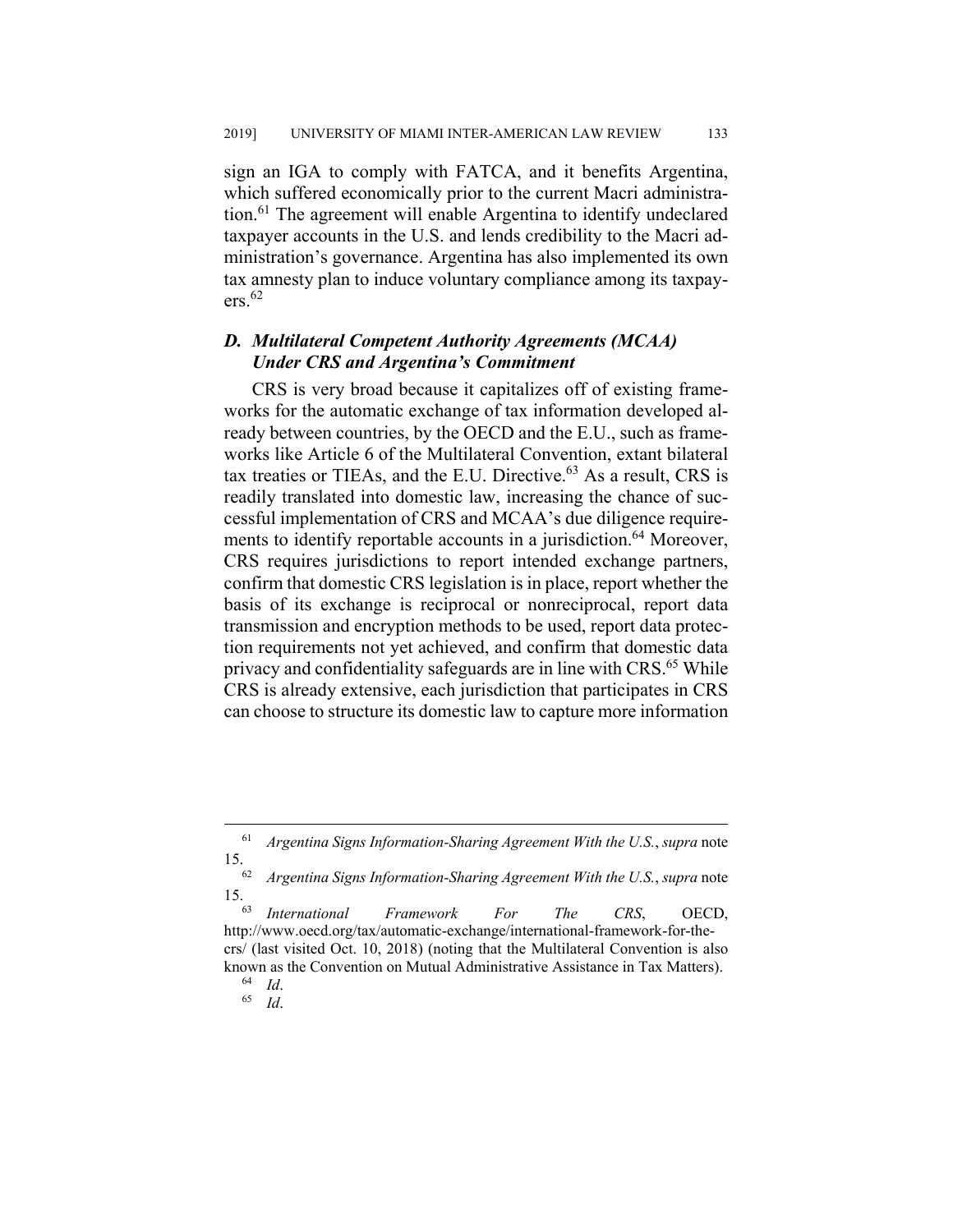sign an IGA to comply with FATCA, and it benefits Argentina, which suffered economically prior to the current Macri administration.<sup>61</sup> The agreement will enable Argentina to identify undeclared taxpayer accounts in the U.S. and lends credibility to the Macri administration's governance. Argentina has also implemented its own tax amnesty plan to induce voluntary compliance among its taxpay $ers.<sup>62</sup>$ 

# *D. Multilateral Competent Authority Agreements (MCAA) Under CRS and Argentina's Commitment*

CRS is very broad because it capitalizes off of existing frameworks for the automatic exchange of tax information developed already between countries, by the OECD and the E.U., such as frameworks like Article 6 of the Multilateral Convention, extant bilateral tax treaties or TIEAs, and the E.U. Directive. $63$  As a result, CRS is readily translated into domestic law, increasing the chance of successful implementation of CRS and MCAA's due diligence requirements to identify reportable accounts in a jurisdiction.<sup>64</sup> Moreover, CRS requires jurisdictions to report intended exchange partners, confirm that domestic CRS legislation is in place, report whether the basis of its exchange is reciprocal or nonreciprocal, report data transmission and encryption methods to be used, report data protection requirements not yet achieved, and confirm that domestic data privacy and confidentiality safeguards are in line with CRS.<sup>65</sup> While CRS is already extensive, each jurisdiction that participates in CRS can choose to structure its domestic law to capture more information

 <sup>61</sup> *Argentina Signs Information-Sharing Agreement With the U.S.*, *supra* note 15.

<sup>62</sup> *Argentina Signs Information-Sharing Agreement With the U.S.*, *supra* note 15.

<sup>63</sup> *International Framework For The CRS*, OECD, http://www.oecd.org/tax/automatic-exchange/international-framework-for-thecrs/ (last visited Oct. 10, 2018) (noting that the Multilateral Convention is also known as the Convention on Mutual Administrative Assistance in Tax Matters).<br><sup>64</sup> Id.

<sup>64</sup> *Id*. 65 *Id*.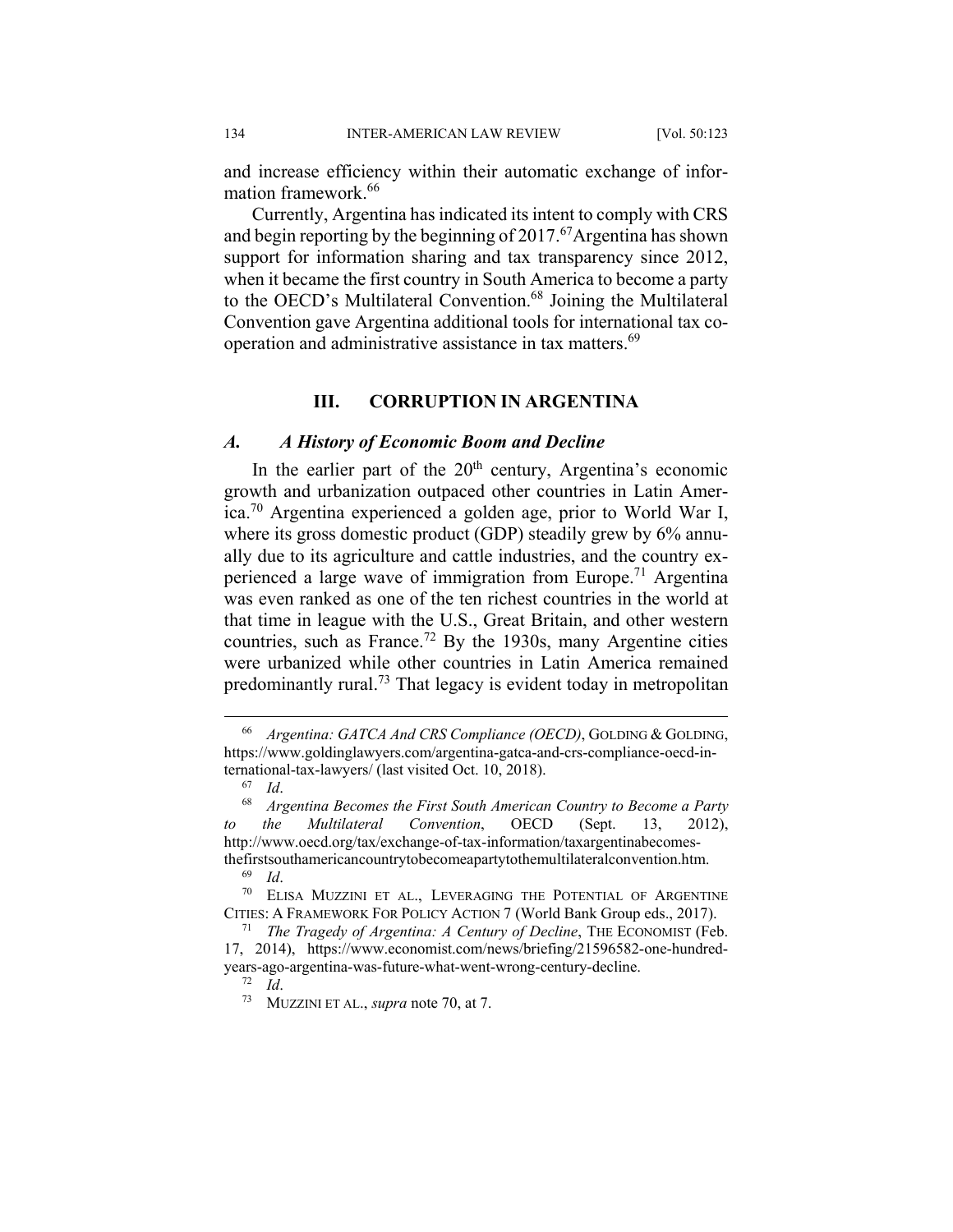and increase efficiency within their automatic exchange of information framework.<sup>66</sup>

Currently, Argentina has indicated its intent to comply with CRS and begin reporting by the beginning of  $2017<sup>67</sup>$ Argentina has shown support for information sharing and tax transparency since 2012, when it became the first country in South America to become a party to the OECD's Multilateral Convention.<sup>68</sup> Joining the Multilateral Convention gave Argentina additional tools for international tax cooperation and administrative assistance in tax matters.<sup>69</sup>

#### **III. CORRUPTION IN ARGENTINA**

#### *A. A History of Economic Boom and Decline*

In the earlier part of the  $20<sup>th</sup>$  century, Argentina's economic growth and urbanization outpaced other countries in Latin America.70 Argentina experienced a golden age, prior to World War I, where its gross domestic product (GDP) steadily grew by 6% annually due to its agriculture and cattle industries, and the country experienced a large wave of immigration from Europe.<sup>71</sup> Argentina was even ranked as one of the ten richest countries in the world at that time in league with the U.S., Great Britain, and other western countries, such as France.<sup>72</sup> By the 1930s, many Argentine cities were urbanized while other countries in Latin America remained predominantly rural.<sup>73</sup> That legacy is evident today in metropolitan

 <sup>66</sup> *Argentina: GATCA And CRS Compliance (OECD)*, GOLDING & GOLDING, https://www.goldinglawyers.com/argentina-gatca-and-crs-compliance-oecd-international-tax-lawyers/ (last visited Oct. 10, 2018).<br> $^{67}$  *Id.* 

<sup>67</sup> *Id*. 68 *Argentina Becomes the First South American Country to Become a Party the Multilateral Convention*, OECD (Sept. 13, 2012), http://www.oecd.org/tax/exchange-of-tax-information/taxargentinabecomesthefirstsouthamericancountrytobecomeapartytothemultilateralconvention.htm.

<sup>69</sup> *Id*. 70 ELISA MUZZINI ET AL., LEVERAGING THE POTENTIAL OF ARGENTINE CITIES: A FRAMEWORK FOR POLICY ACTION 7 (World Bank Group eds., 2017).

<sup>71</sup> *The Tragedy of Argentina: A Century of Decline*, THE ECONOMIST (Feb. 17, 2014), https://www.economist.com/news/briefing/21596582-one-hundredyears-ago-argentina-was-future-what-went-wrong-century-decline.<br> $^{72}$  Id

<sup>72</sup> *Id*. 73 MUZZINI ET AL., *supra* note 70, at 7.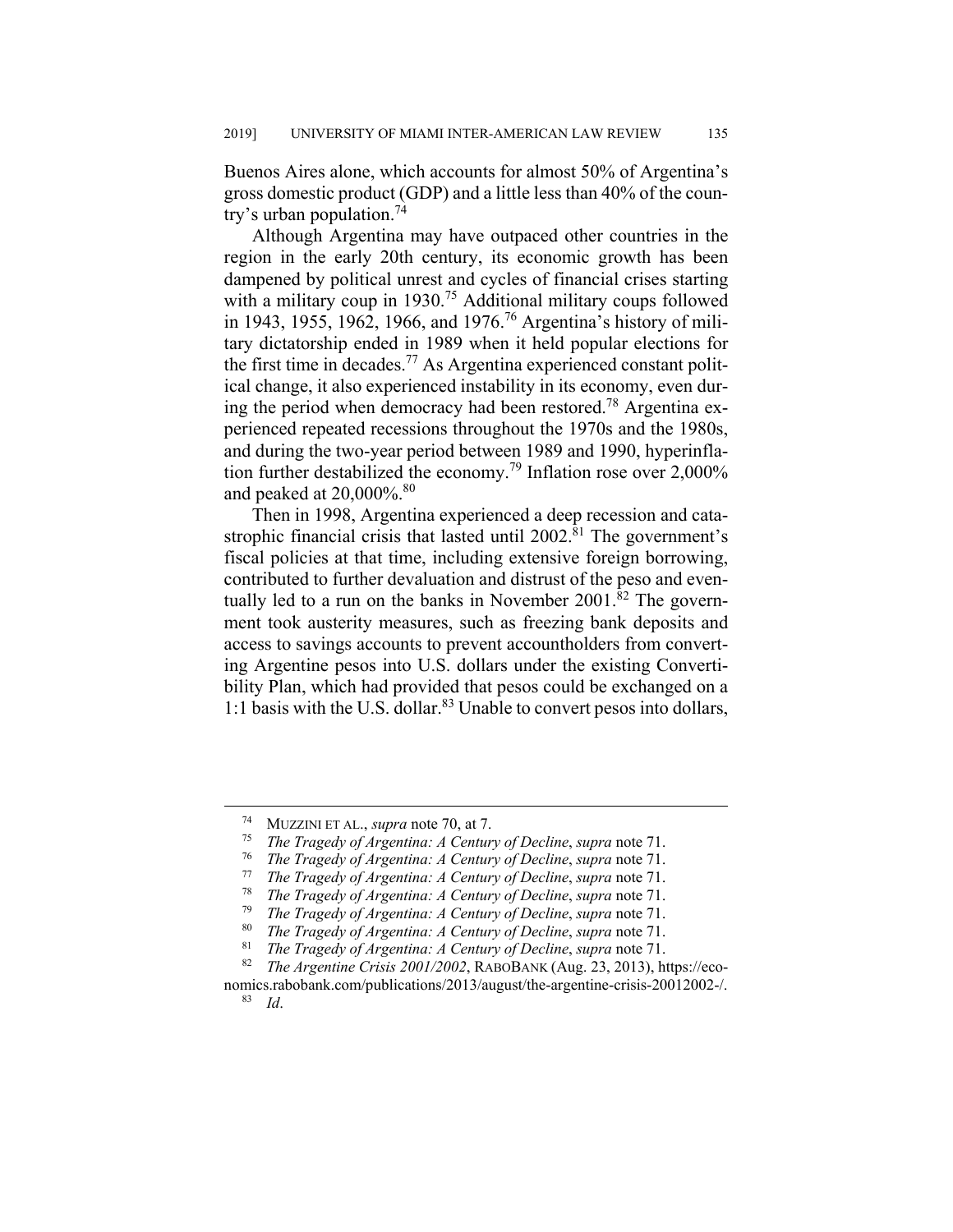Buenos Aires alone, which accounts for almost 50% of Argentina's gross domestic product (GDP) and a little less than 40% of the country's urban population.<sup>74</sup>

Although Argentina may have outpaced other countries in the region in the early 20th century, its economic growth has been dampened by political unrest and cycles of financial crises starting with a military coup in 1930.<sup>75</sup> Additional military coups followed in 1943, 1955, 1962, 1966, and 1976.76 Argentina's history of military dictatorship ended in 1989 when it held popular elections for the first time in decades.<sup>77</sup> As Argentina experienced constant political change, it also experienced instability in its economy, even during the period when democracy had been restored.<sup>78</sup> Argentina experienced repeated recessions throughout the 1970s and the 1980s, and during the two-year period between 1989 and 1990, hyperinflation further destabilized the economy.<sup>79</sup> Inflation rose over 2,000% and peaked at  $20,000\%$ .<sup>80</sup>

Then in 1998, Argentina experienced a deep recession and catastrophic financial crisis that lasted until  $2002$ .<sup>81</sup> The government's fiscal policies at that time, including extensive foreign borrowing, contributed to further devaluation and distrust of the peso and eventually led to a run on the banks in November 2001. ${}^{82}$  The government took austerity measures, such as freezing bank deposits and access to savings accounts to prevent accountholders from converting Argentine pesos into U.S. dollars under the existing Convertibility Plan, which had provided that pesos could be exchanged on a 1:1 basis with the U.S. dollar.<sup>83</sup> Unable to convert pesos into dollars,

 <sup>74</sup> MUZZINI ET AL., *supra* note 70, at 7. 75 *The Tragedy of Argentina: A Century of Decline*, *supra* note 71.

<sup>76</sup> *The Tragedy of Argentina: A Century of Decline*, *supra* note 71. 77 *The Tragedy of Argentina: A Century of Decline*, *supra* note 71.

<sup>78</sup> *The Tragedy of Argentina: A Century of Decline*, *supra* note 71.

<sup>79</sup> *The Tragedy of Argentina: A Century of Decline*, *supra* note 71.

<sup>80</sup> *The Tragedy of Argentina: A Century of Decline*, *supra* note 71.

<sup>81</sup> *The Tragedy of Argentina: A Century of Decline*, *supra* note 71.

<sup>82</sup> *The Argentine Crisis 2001/2002*, RABOBANK (Aug. 23, 2013), https://eco-

nomics.rabobank.com/publications/2013/august/the-argentine-crisis-20012002-/. 83 *Id*.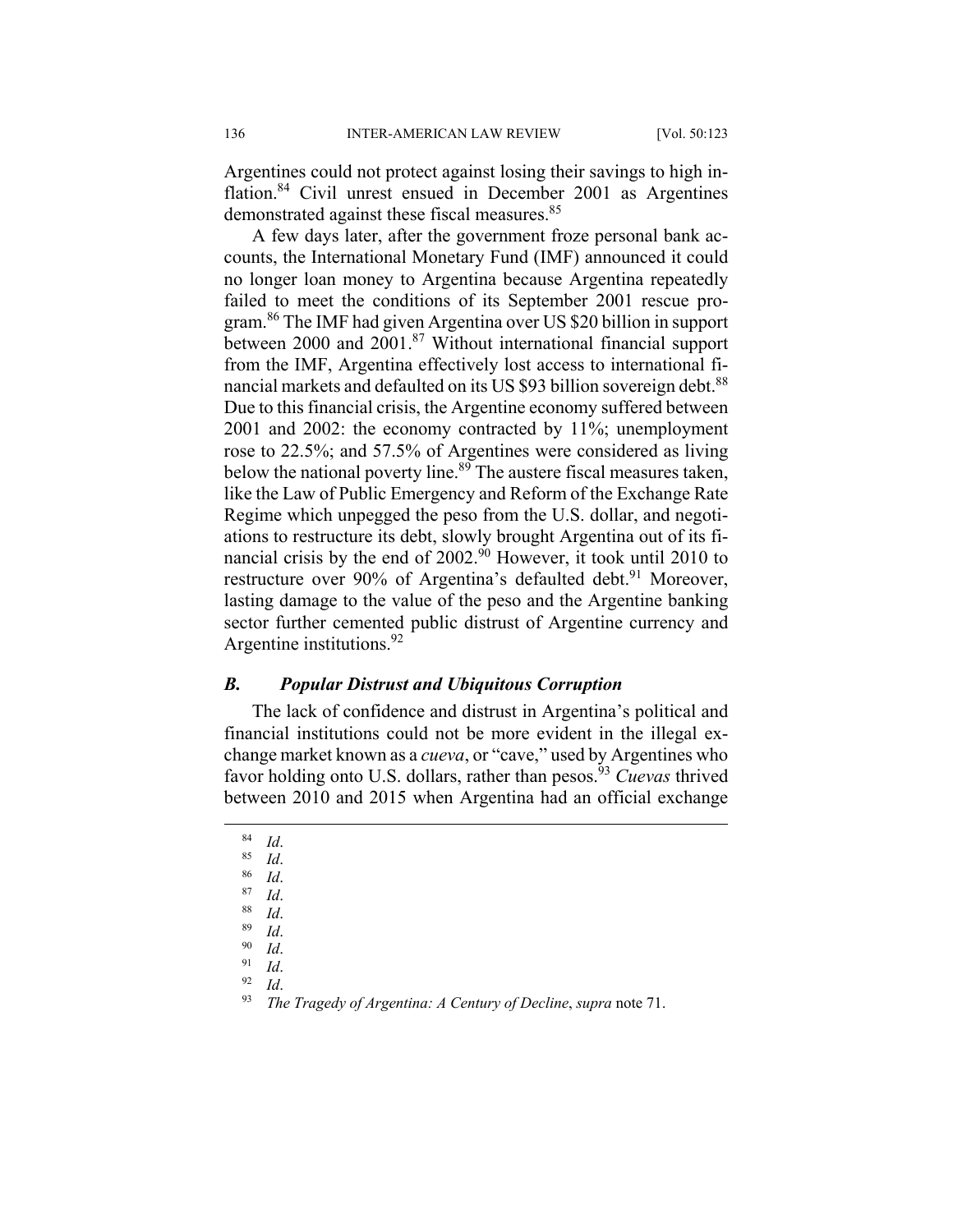Argentines could not protect against losing their savings to high inflation.<sup>84</sup> Civil unrest ensued in December 2001 as Argentines demonstrated against these fiscal measures.<sup>85</sup>

A few days later, after the government froze personal bank accounts, the International Monetary Fund (IMF) announced it could no longer loan money to Argentina because Argentina repeatedly failed to meet the conditions of its September 2001 rescue program.86 The IMF had given Argentina over US \$20 billion in support between 2000 and 2001.<sup>87</sup> Without international financial support from the IMF, Argentina effectively lost access to international financial markets and defaulted on its US \$93 billion sovereign debt.<sup>88</sup> Due to this financial crisis, the Argentine economy suffered between 2001 and 2002: the economy contracted by 11%; unemployment rose to 22.5%; and 57.5% of Argentines were considered as living below the national poverty line.<sup>89</sup> The austere fiscal measures taken, like the Law of Public Emergency and Reform of the Exchange Rate Regime which unpegged the peso from the U.S. dollar, and negotiations to restructure its debt, slowly brought Argentina out of its financial crisis by the end of  $2002.^{90}$  However, it took until 2010 to restructure over 90% of Argentina's defaulted debt.<sup>91</sup> Moreover, lasting damage to the value of the peso and the Argentine banking sector further cemented public distrust of Argentine currency and Argentine institutions.<sup>92</sup>

#### *B. Popular Distrust and Ubiquitous Corruption*

The lack of confidence and distrust in Argentina's political and financial institutions could not be more evident in the illegal exchange market known as a *cueva*, or "cave," used by Argentines who favor holding onto U.S. dollars, rather than pesos.<sup>93</sup> *Cuevas* thrived between 2010 and 2015 when Argentina had an official exchange

- 
- 
- 
- 
- 
- 
- 
- 
- 

<sup>84</sup> *Id*. 85 *Id*. 86 *Id*. 87 *Id*. 88 *Id*. 89 *Id*. 90 *Id*. 91 *Id*. 92 *Id*. 93 *The Tragedy of Argentina: A Century of Decline*, *supra* note 71.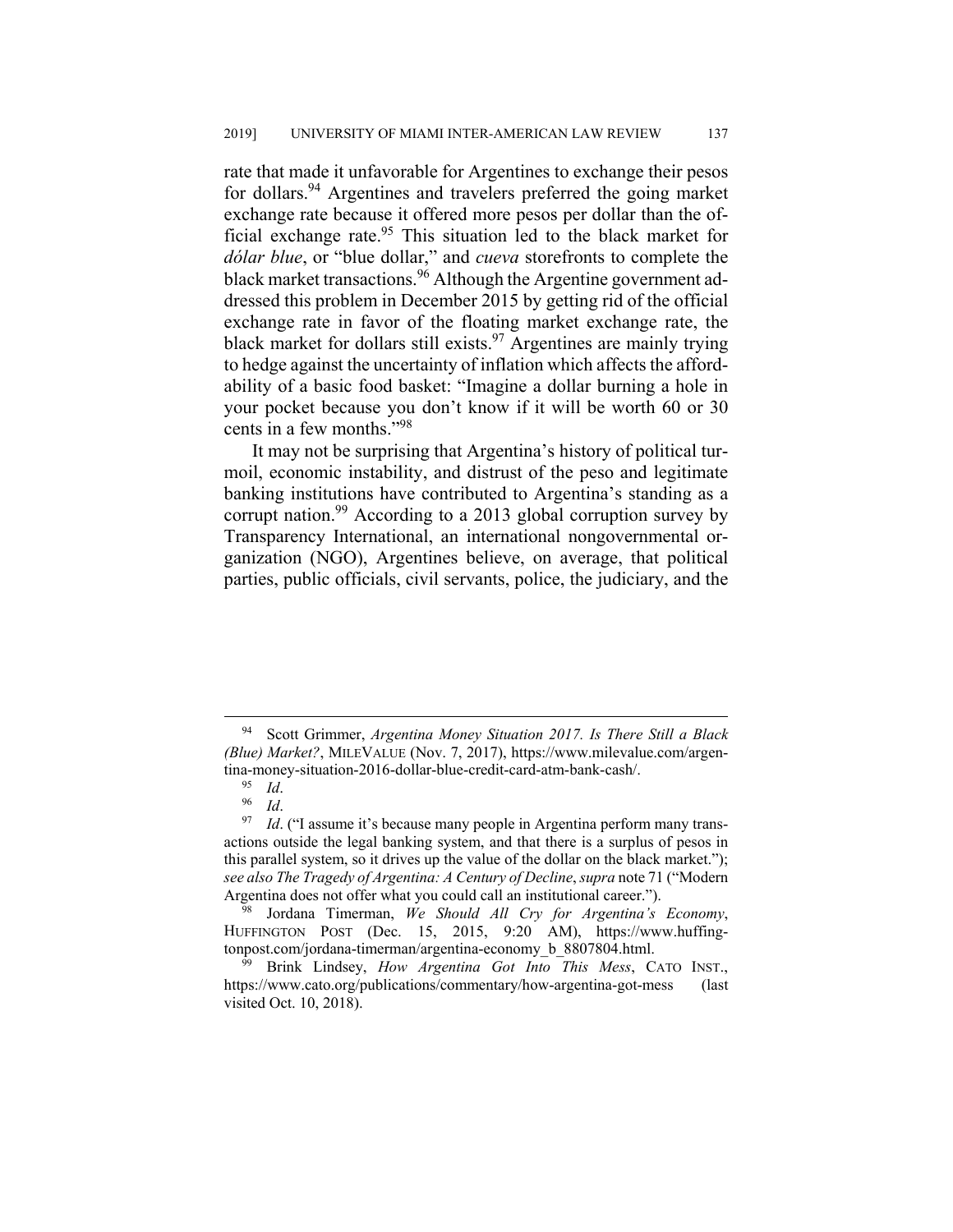rate that made it unfavorable for Argentines to exchange their pesos for dollars.<sup>94</sup> Argentines and travelers preferred the going market exchange rate because it offered more pesos per dollar than the official exchange rate. $95$  This situation led to the black market for *dólar blue*, or "blue dollar," and *cueva* storefronts to complete the black market transactions.<sup>96</sup> Although the Argentine government addressed this problem in December 2015 by getting rid of the official exchange rate in favor of the floating market exchange rate, the black market for dollars still exists.<sup>97</sup> Argentines are mainly trying to hedge against the uncertainty of inflation which affects the affordability of a basic food basket: "Imagine a dollar burning a hole in your pocket because you don't know if it will be worth 60 or 30 cents in a few months."98

It may not be surprising that Argentina's history of political turmoil, economic instability, and distrust of the peso and legitimate banking institutions have contributed to Argentina's standing as a corrupt nation.<sup>99</sup> According to a 2013 global corruption survey by Transparency International, an international nongovernmental organization (NGO), Argentines believe, on average, that political parties, public officials, civil servants, police, the judiciary, and the

 <sup>94</sup> Scott Grimmer, *Argentina Money Situation 2017. Is There Still a Black (Blue) Market?*, MILEVALUE (Nov. 7, 2017), https://www.milevalue.com/argentina-money-situation-2016-dollar-blue-credit-card-atm-bank-cash/.<br><sup>95</sup> Id.

<sup>&</sup>lt;sup>96</sup> *Id.* ("I assume it's because many people in Argentina perform many transactions outside the legal banking system, and that there is a surplus of pesos in this parallel system, so it drives up the value of the dollar on the black market."); *see also The Tragedy of Argentina: A Century of Decline*, *supra* note 71 ("Modern Argentina does not offer what you could call an institutional career.").

<sup>98</sup> Jordana Timerman, *We Should All Cry for Argentina's Economy*, HUFFINGTON POST (Dec. 15, 2015, 9:20 AM), https://www.huffingtonpost.com/jordana-timerman/argentina-economy\_b\_8807804.html.

<sup>99</sup> Brink Lindsey, *How Argentina Got Into This Mess*, CATO INST., https://www.cato.org/publications/commentary/how-argentina-got-mess (last visited Oct. 10, 2018).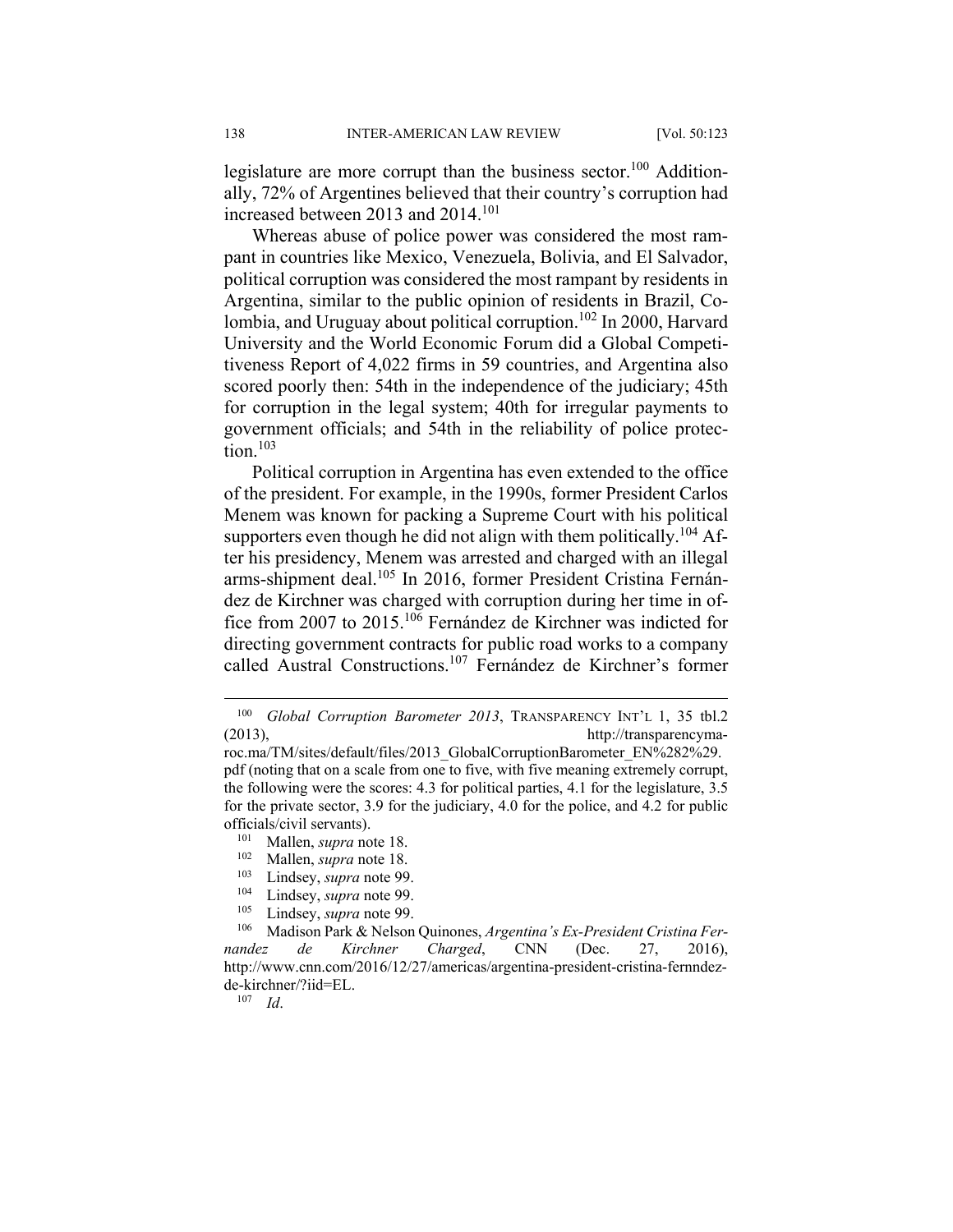legislature are more corrupt than the business sector.<sup>100</sup> Additionally, 72% of Argentines believed that their country's corruption had increased between 2013 and 2014.<sup>101</sup>

Whereas abuse of police power was considered the most rampant in countries like Mexico, Venezuela, Bolivia, and El Salvador, political corruption was considered the most rampant by residents in Argentina, similar to the public opinion of residents in Brazil, Colombia, and Uruguay about political corruption.<sup>102</sup> In 2000, Harvard University and the World Economic Forum did a Global Competitiveness Report of 4,022 firms in 59 countries, and Argentina also scored poorly then: 54th in the independence of the judiciary; 45th for corruption in the legal system; 40th for irregular payments to government officials; and 54th in the reliability of police protection. $103$ 

Political corruption in Argentina has even extended to the office of the president. For example, in the 1990s, former President Carlos Menem was known for packing a Supreme Court with his political supporters even though he did not align with them politically.<sup>104</sup> After his presidency, Menem was arrested and charged with an illegal arms-shipment deal.<sup>105</sup> In 2016, former President Cristina Fernández de Kirchner was charged with corruption during her time in office from 2007 to 2015.106 Fernández de Kirchner was indicted for directing government contracts for public road works to a company called Austral Constructions.107 Fernández de Kirchner's former

- 102 Mallen, *supra* note 18.
- <sup>103</sup> Lindsey, *supra* note 99.
- Lindsey, *supra* note 99.
- 105 Lindsey, *supra* note 99.

107 *Id*.

 <sup>100</sup> *Global Corruption Barometer 2013*, TRANSPARENCY INT'L 1, 35 tbl.2 (2013), http://transparencyma-

roc.ma/TM/sites/default/files/2013\_GlobalCorruptionBarometer\_EN%282%29. pdf (noting that on a scale from one to five, with five meaning extremely corrupt, the following were the scores: 4.3 for political parties, 4.1 for the legislature, 3.5 for the private sector, 3.9 for the judiciary, 4.0 for the police, and 4.2 for public officials/civil servants).

Mallen, *supra* note 18.

<sup>106</sup> Madison Park & Nelson Quinones, *Argentina's Ex-President Cristina Fernandez de Kirchner Charged*, CNN (Dec. 27, 2016), http://www.cnn.com/2016/12/27/americas/argentina-president-cristina-fernndezde-kirchner/?iid=EL.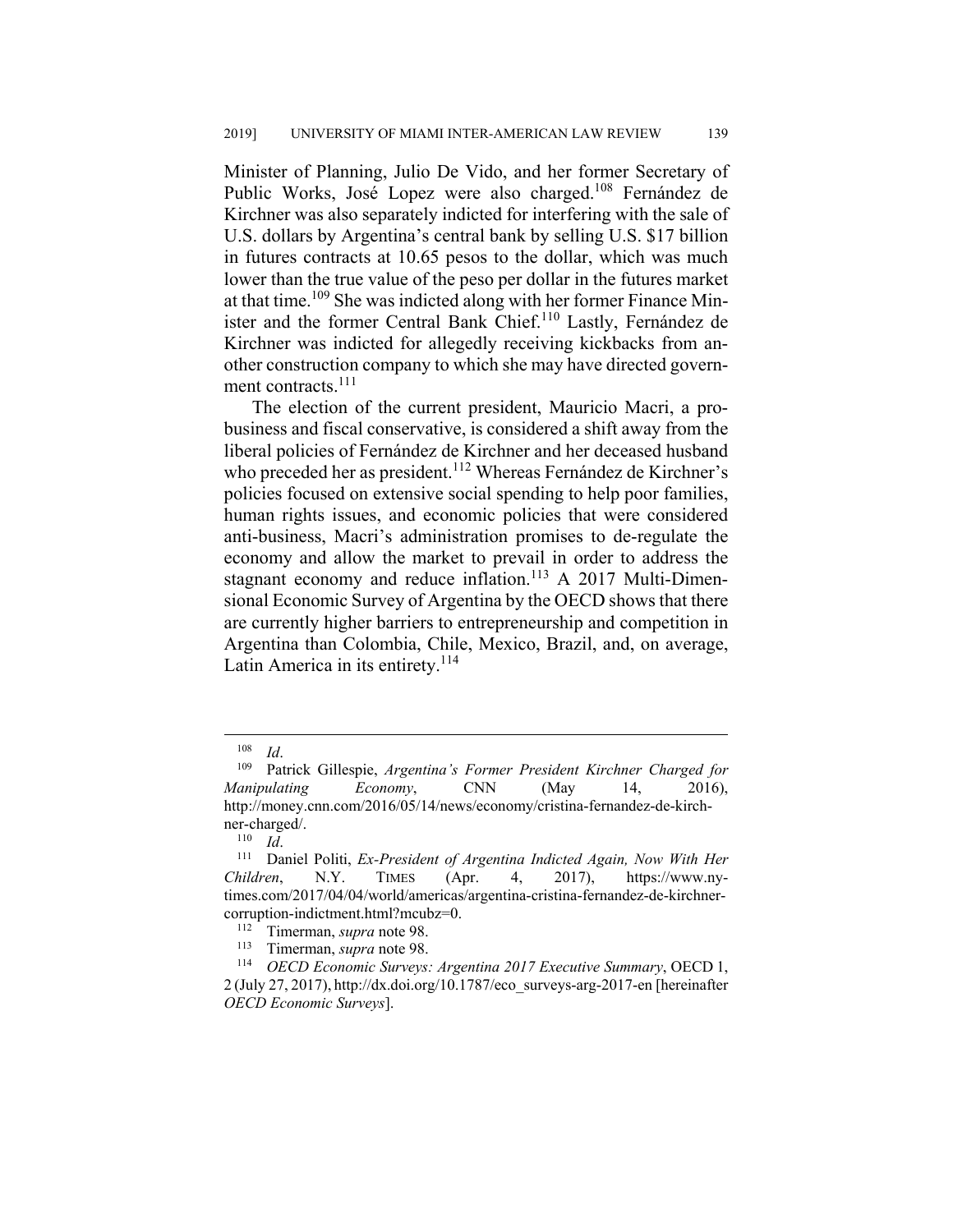Minister of Planning, Julio De Vido, and her former Secretary of Public Works, José Lopez were also charged.108 Fernández de Kirchner was also separately indicted for interfering with the sale of U.S. dollars by Argentina's central bank by selling U.S. \$17 billion in futures contracts at 10.65 pesos to the dollar, which was much lower than the true value of the peso per dollar in the futures market at that time.109 She was indicted along with her former Finance Minister and the former Central Bank Chief.<sup>110</sup> Lastly, Fernández de Kirchner was indicted for allegedly receiving kickbacks from another construction company to which she may have directed government contracts.<sup>111</sup>

The election of the current president, Mauricio Macri, a probusiness and fiscal conservative, is considered a shift away from the liberal policies of Fernández de Kirchner and her deceased husband who preceded her as president.<sup>112</sup> Whereas Fernández de Kirchner's policies focused on extensive social spending to help poor families, human rights issues, and economic policies that were considered anti-business, Macri's administration promises to de-regulate the economy and allow the market to prevail in order to address the stagnant economy and reduce inflation.<sup>113</sup> A 2017 Multi-Dimensional Economic Survey of Argentina by the OECD shows that there are currently higher barriers to entrepreneurship and competition in Argentina than Colombia, Chile, Mexico, Brazil, and, on average, Latin America in its entirety.<sup>114</sup>

<sup>108</sup> *Id*. 109 Patrick Gillespie, *Argentina's Former President Kirchner Charged for Manipulating Economy*, CNN (May 14, 2016), http://money.cnn.com/2016/05/14/news/economy/cristina-fernandez-de-kirchner-charged/.<br> $\frac{110}{Id}$ .

<sup>&</sup>lt;sup>111</sup> Daniel Politi, *Ex-President of Argentina Indicted Again, Now With Her Children*, N.Y. TIMES (Apr. 4, 2017), https://www.nytimes.com/2017/04/04/world/americas/argentina-cristina-fernandez-de-kirchnercorruption-indictment.html?mcubz=0. 112 Timerman, *supra* note 98.

<sup>113</sup> Timerman, *supra* note 98. 114 *OECD Economic Surveys: Argentina 2017 Executive Summary*, OECD 1,  $2$  (July 27, 2017), http://dx.doi.org/10.1787/eco\_surveys-arg-2017-en [hereinafter *OECD Economic Surveys*].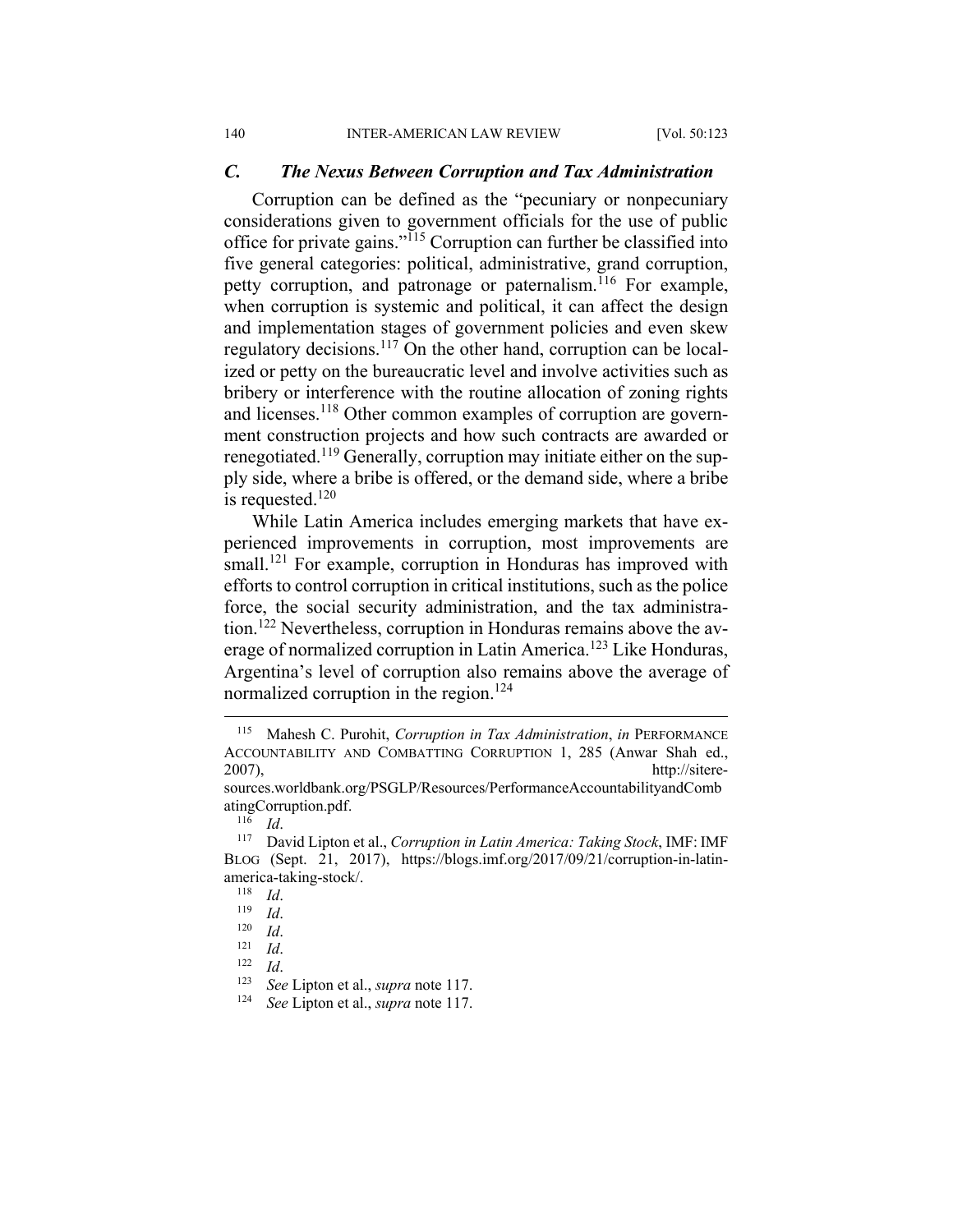#### *C. The Nexus Between Corruption and Tax Administration*

Corruption can be defined as the "pecuniary or nonpecuniary considerations given to government officials for the use of public office for private gains."115 Corruption can further be classified into five general categories: political, administrative, grand corruption, petty corruption, and patronage or paternalism.<sup>116</sup> For example, when corruption is systemic and political, it can affect the design and implementation stages of government policies and even skew regulatory decisions.117 On the other hand, corruption can be localized or petty on the bureaucratic level and involve activities such as bribery or interference with the routine allocation of zoning rights and licenses.<sup>118</sup> Other common examples of corruption are government construction projects and how such contracts are awarded or renegotiated.119 Generally, corruption may initiate either on the supply side, where a bribe is offered, or the demand side, where a bribe is requested. $120$ 

While Latin America includes emerging markets that have experienced improvements in corruption, most improvements are small.<sup>121</sup> For example, corruption in Honduras has improved with efforts to control corruption in critical institutions, such as the police force, the social security administration, and the tax administration.122 Nevertheless, corruption in Honduras remains above the average of normalized corruption in Latin America.<sup>123</sup> Like Honduras, Argentina's level of corruption also remains above the average of normalized corruption in the region.<sup>124</sup>

 <sup>115</sup> Mahesh C. Purohit, *Corruption in Tax Administration*, *in* PERFORMANCE ACCOUNTABILITY AND COMBATTING CORRUPTION 1, 285 (Anwar Shah ed., 2007), http://sitere-

sources.worldbank.org/PSGLP/Resources/PerformanceAccountabilityandComb atingCorruption.pdf.

<sup>116</sup> *Id*. 117 David Lipton et al., *Corruption in Latin America: Taking Stock*, IMF: IMF BLOG (Sept. 21, 2017), https://blogs.imf.org/2017/09/21/corruption-in-latinamerica-taking-stock/.<br> $\frac{118}{Id}$ .

<sup>118</sup> *Id.*<br>
119 *Id.*<br>
121 *Id.*<br>
122 *Id.* See Lipton et al., *supra* note 117.<br>
<sup>124</sup> See Lipton et al., *supra* note 117.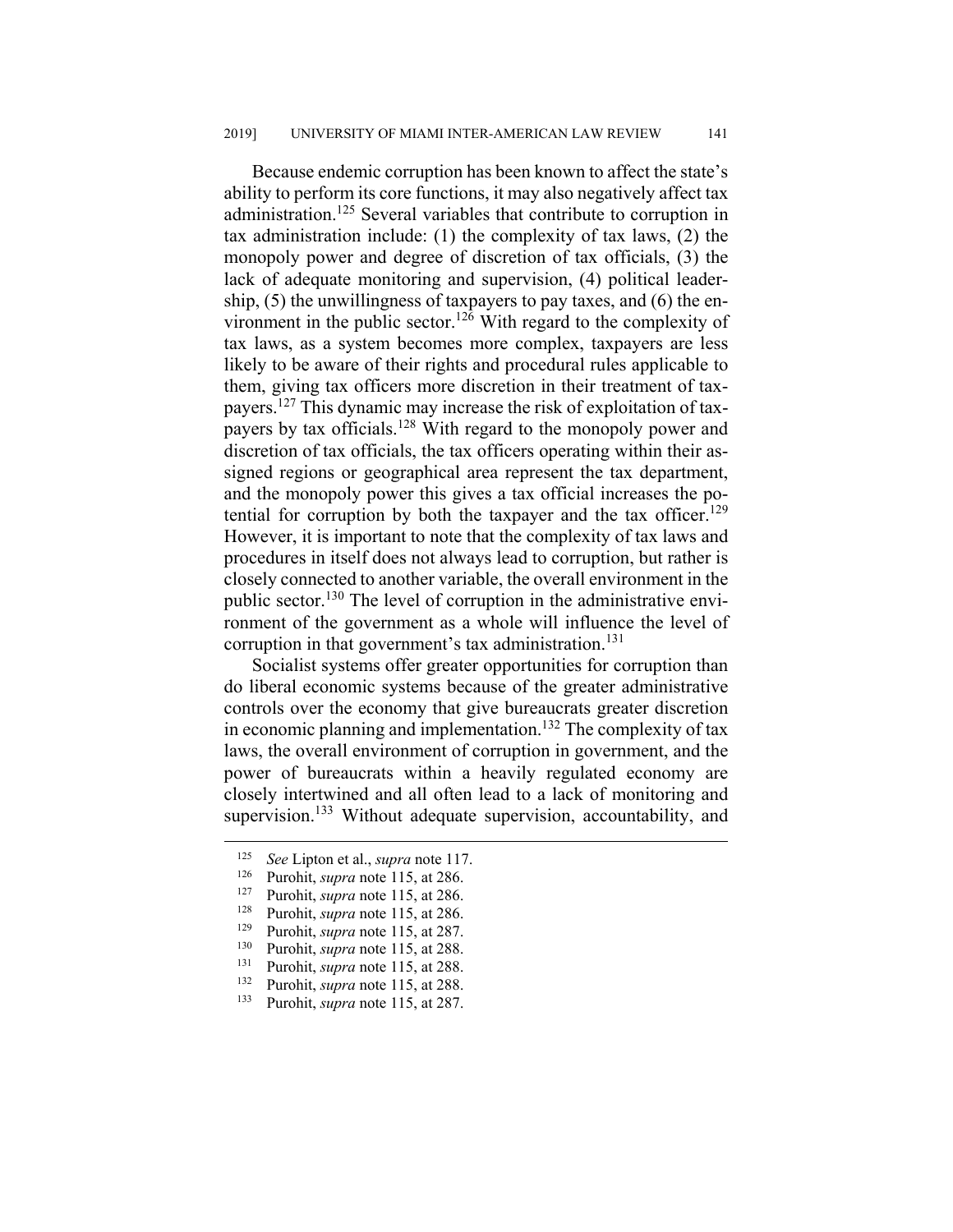Because endemic corruption has been known to affect the state's ability to perform its core functions, it may also negatively affect tax administration.<sup>125</sup> Several variables that contribute to corruption in tax administration include: (1) the complexity of tax laws, (2) the monopoly power and degree of discretion of tax officials, (3) the lack of adequate monitoring and supervision, (4) political leadership, (5) the unwillingness of taxpayers to pay taxes, and (6) the environment in the public sector.<sup>126</sup> With regard to the complexity of tax laws, as a system becomes more complex, taxpayers are less likely to be aware of their rights and procedural rules applicable to them, giving tax officers more discretion in their treatment of taxpayers.127 This dynamic may increase the risk of exploitation of taxpayers by tax officials.128 With regard to the monopoly power and discretion of tax officials, the tax officers operating within their assigned regions or geographical area represent the tax department, and the monopoly power this gives a tax official increases the potential for corruption by both the taxpayer and the tax officer.<sup>129</sup> However, it is important to note that the complexity of tax laws and procedures in itself does not always lead to corruption, but rather is closely connected to another variable, the overall environment in the public sector.130 The level of corruption in the administrative environment of the government as a whole will influence the level of corruption in that government's tax administration.<sup>131</sup>

Socialist systems offer greater opportunities for corruption than do liberal economic systems because of the greater administrative controls over the economy that give bureaucrats greater discretion in economic planning and implementation.<sup>132</sup> The complexity of tax laws, the overall environment of corruption in government, and the power of bureaucrats within a heavily regulated economy are closely intertwined and all often lead to a lack of monitoring and supervision.<sup>133</sup> Without adequate supervision, accountability, and

 <sup>125</sup> *See* Lipton et al., *supra* note 117.

<sup>&</sup>lt;sup>126</sup> Purohit, *supra* note 115, at 286.

Purohit, *supra* note 115, at 286.

<sup>128</sup> Purohit, *supra* note 115, at 286.

<sup>&</sup>lt;sup>129</sup> Purohit, *supra* note 115, at 287.

<sup>&</sup>lt;sup>130</sup> Purohit, *supra* note 115, at 288.<br><sup>131</sup> Purohit *supra* note 115 at 288

<sup>&</sup>lt;sup>131</sup> Purohit, *supra* note 115, at 288.

<sup>&</sup>lt;sup>132</sup> Purohit, *supra* note 115, at 288. 133 Purohit, *supra* note 115, at 287.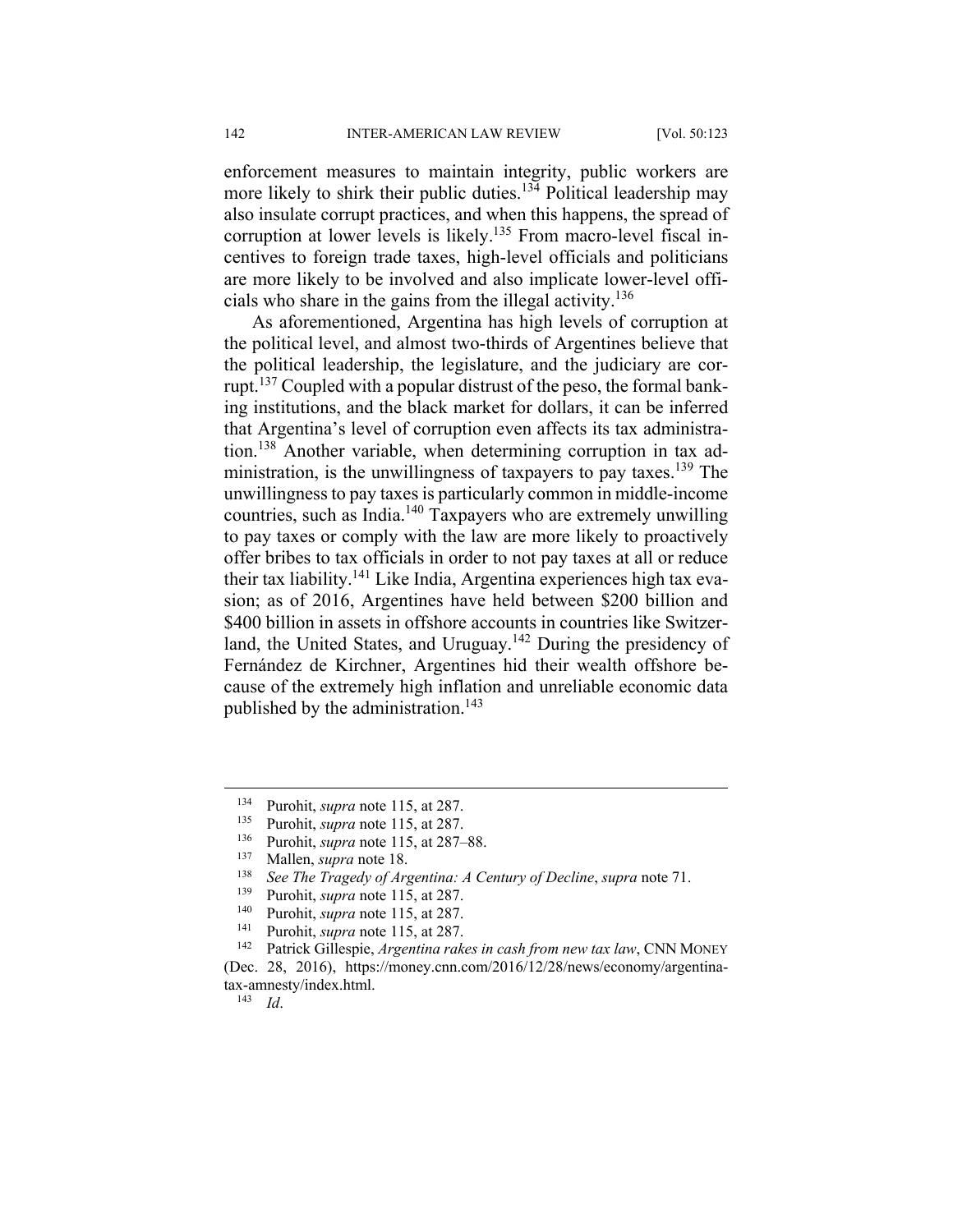enforcement measures to maintain integrity, public workers are more likely to shirk their public duties.<sup>134</sup> Political leadership may also insulate corrupt practices, and when this happens, the spread of corruption at lower levels is likely.<sup>135</sup> From macro-level fiscal incentives to foreign trade taxes, high-level officials and politicians are more likely to be involved and also implicate lower-level officials who share in the gains from the illegal activity.<sup>136</sup>

As aforementioned, Argentina has high levels of corruption at the political level, and almost two-thirds of Argentines believe that the political leadership, the legislature, and the judiciary are corrupt.137 Coupled with a popular distrust of the peso, the formal banking institutions, and the black market for dollars, it can be inferred that Argentina's level of corruption even affects its tax administration.<sup>138</sup> Another variable, when determining corruption in tax administration, is the unwillingness of taxpayers to pay taxes.<sup>139</sup> The unwillingness to pay taxes is particularly common in middle-income countries, such as India.140 Taxpayers who are extremely unwilling to pay taxes or comply with the law are more likely to proactively offer bribes to tax officials in order to not pay taxes at all or reduce their tax liability.<sup>141</sup> Like India, Argentina experiences high tax evasion; as of 2016, Argentines have held between \$200 billion and \$400 billion in assets in offshore accounts in countries like Switzerland, the United States, and Uruguay.<sup>142</sup> During the presidency of Fernández de Kirchner, Argentines hid their wealth offshore because of the extremely high inflation and unreliable economic data published by the administration.<sup>143</sup>

143 *Id*.

 <sup>134</sup> Purohit, *supra* note 115, at 287.

<sup>&</sup>lt;sup>135</sup> Purohit, *supra* note 115, at 287.<br><sup>136</sup> Purohit, *supra* note 115, at 287.

Purohit, *supra* note 115, at 287–88.

<sup>137</sup> Mallen, *supra* note 18.

<sup>138</sup> *See The Tragedy of Argentina: A Century of Decline*, *supra* note 71.

Purohit, *supra* note 115, at 287.

<sup>&</sup>lt;sup>140</sup> Purohit, *supra* note 115, at 287.<br><sup>141</sup> Purohit, *supra* note 115, at 287.<br><sup>142</sup> Patrick Gillespie, *Argentina rakes in cash from new tax law*, CNN MONEY (Dec. 28, 2016), https://money.cnn.com/2016/12/28/news/economy/argentinatax-amnesty/index.html.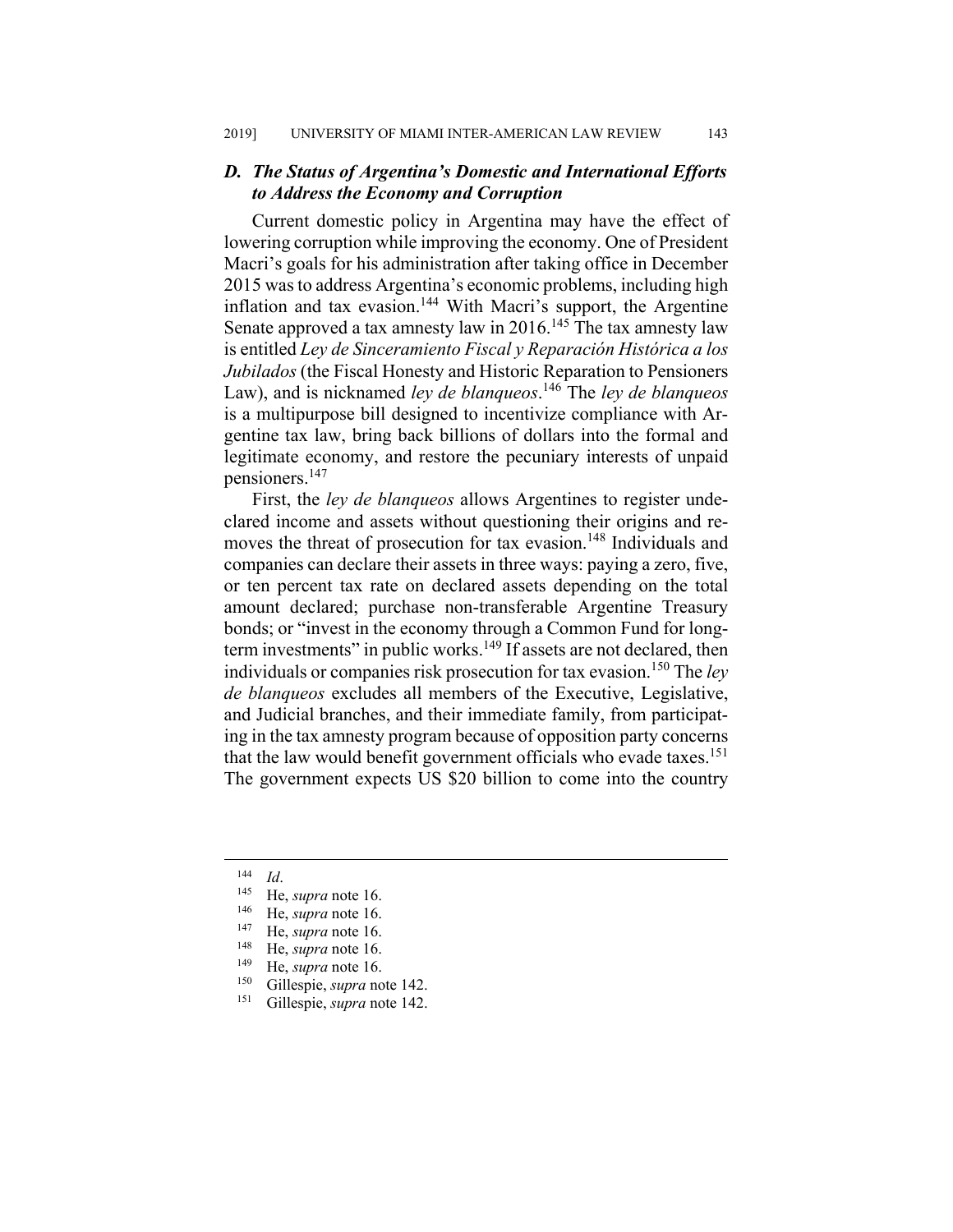## *D. The Status of Argentina's Domestic and International Efforts to Address the Economy and Corruption*

Current domestic policy in Argentina may have the effect of lowering corruption while improving the economy. One of President Macri's goals for his administration after taking office in December 2015 was to address Argentina's economic problems, including high inflation and tax evasion.<sup>144</sup> With Macri's support, the Argentine Senate approved a tax amnesty law in  $2016$ .<sup>145</sup> The tax amnesty law is entitled *Ley de Sinceramiento Fiscal y Reparación Histórica a los Jubilados* (the Fiscal Honesty and Historic Reparation to Pensioners Law), and is nicknamed *ley de blanqueos*. 146 The *ley de blanqueos* is a multipurpose bill designed to incentivize compliance with Argentine tax law, bring back billions of dollars into the formal and legitimate economy, and restore the pecuniary interests of unpaid pensioners.147

First, the *ley de blanqueos* allows Argentines to register undeclared income and assets without questioning their origins and removes the threat of prosecution for tax evasion.<sup>148</sup> Individuals and companies can declare their assets in three ways: paying a zero, five, or ten percent tax rate on declared assets depending on the total amount declared; purchase non-transferable Argentine Treasury bonds; or "invest in the economy through a Common Fund for longterm investments" in public works.<sup>149</sup> If assets are not declared, then individuals or companies risk prosecution for tax evasion.150 The *ley de blanqueos* excludes all members of the Executive, Legislative, and Judicial branches, and their immediate family, from participating in the tax amnesty program because of opposition party concerns that the law would benefit government officials who evade taxes.<sup>151</sup> The government expects US \$20 billion to come into the country

<sup>144</sup> *Id*. 145 He, *supra* note 16.

<sup>146</sup> He, *supra* note 16.

<sup>&</sup>lt;sup>147</sup> He, *supra* note 16.

<sup>&</sup>lt;sup>148</sup> He, *supra* note 16.<br><sup>149</sup> He, *supra* note 16.

<sup>&</sup>lt;sup>149</sup> He, *supra* note 16.

<sup>&</sup>lt;sup>150</sup> Gillespie, *supra* note 142. Gillespie, *supra* note 142.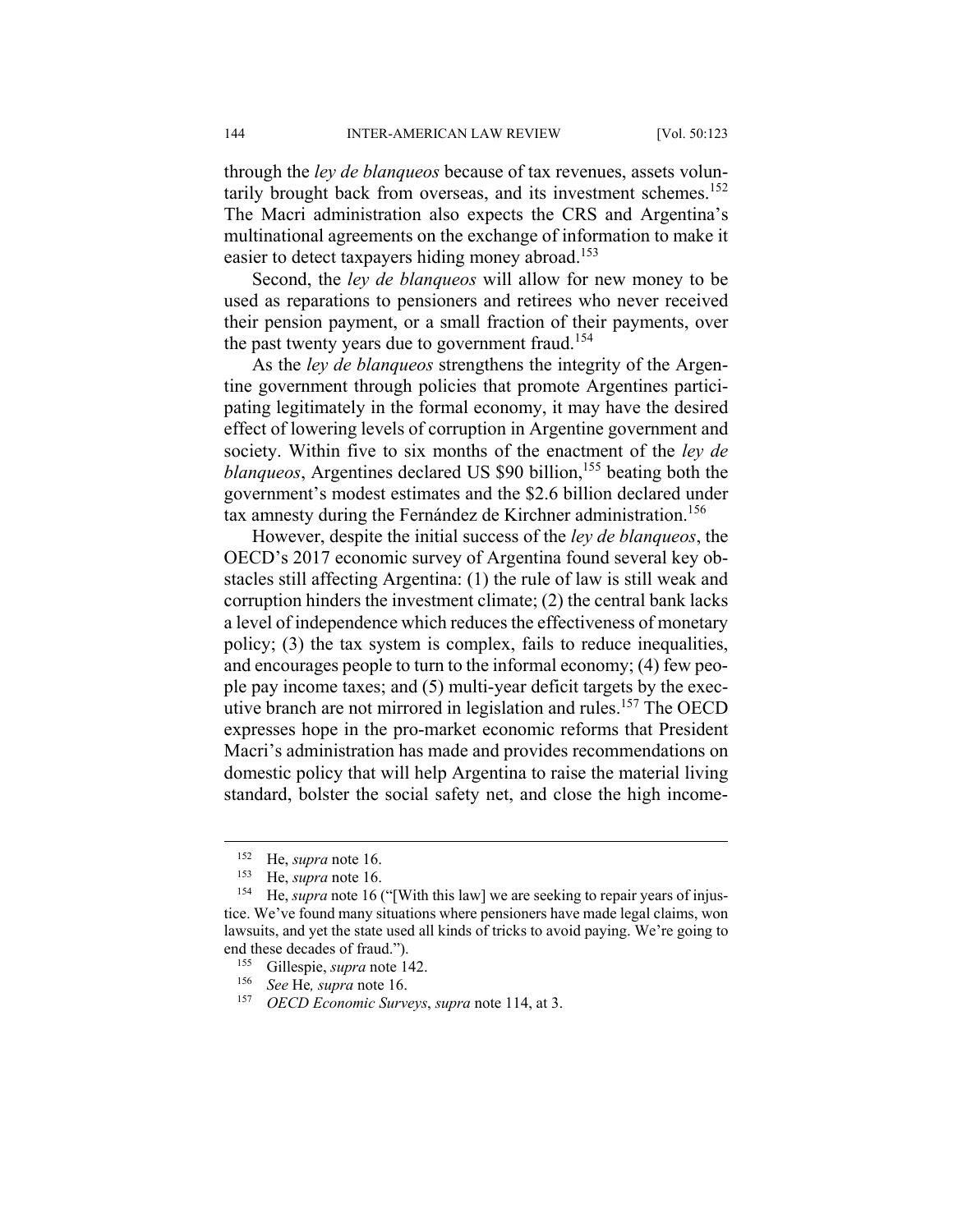through the *ley de blanqueos* because of tax revenues, assets voluntarily brought back from overseas, and its investment schemes.<sup>152</sup> The Macri administration also expects the CRS and Argentina's multinational agreements on the exchange of information to make it easier to detect taxpayers hiding money abroad.<sup>153</sup>

Second, the *ley de blanqueos* will allow for new money to be used as reparations to pensioners and retirees who never received their pension payment, or a small fraction of their payments, over the past twenty years due to government fraud.<sup>154</sup>

As the *ley de blanqueos* strengthens the integrity of the Argentine government through policies that promote Argentines participating legitimately in the formal economy, it may have the desired effect of lowering levels of corruption in Argentine government and society. Within five to six months of the enactment of the *ley de blanqueos*, Argentines declared US \$90 billion,<sup>155</sup> beating both the government's modest estimates and the \$2.6 billion declared under tax amnesty during the Fernández de Kirchner administration.<sup>156</sup>

However, despite the initial success of the *ley de blanqueos*, the OECD's 2017 economic survey of Argentina found several key obstacles still affecting Argentina: (1) the rule of law is still weak and corruption hinders the investment climate; (2) the central bank lacks a level of independence which reduces the effectiveness of monetary policy; (3) the tax system is complex, fails to reduce inequalities, and encourages people to turn to the informal economy; (4) few people pay income taxes; and (5) multi-year deficit targets by the executive branch are not mirrored in legislation and rules.<sup>157</sup> The OECD expresses hope in the pro-market economic reforms that President Macri's administration has made and provides recommendations on domestic policy that will help Argentina to raise the material living standard, bolster the social safety net, and close the high income-

<sup>&</sup>lt;sup>152</sup> He, *supra* note 16.<br><sup>153</sup> He *supra* note 16

He, *supra* note 16.

<sup>&</sup>lt;sup>154</sup> He, *supra* note 16 ("[With this law] we are seeking to repair years of injustice. We've found many situations where pensioners have made legal claims, won lawsuits, and yet the state used all kinds of tricks to avoid paying. We're going to end these decades of fraud.").

<sup>&</sup>lt;sup>155</sup> Gillespie, *supra* note 142.<br><sup>156</sup> See He supra pote 16

<sup>156</sup> *See* He*, supra* note 16.

<sup>157</sup> *OECD Economic Surveys*, *supra* note 114, at 3.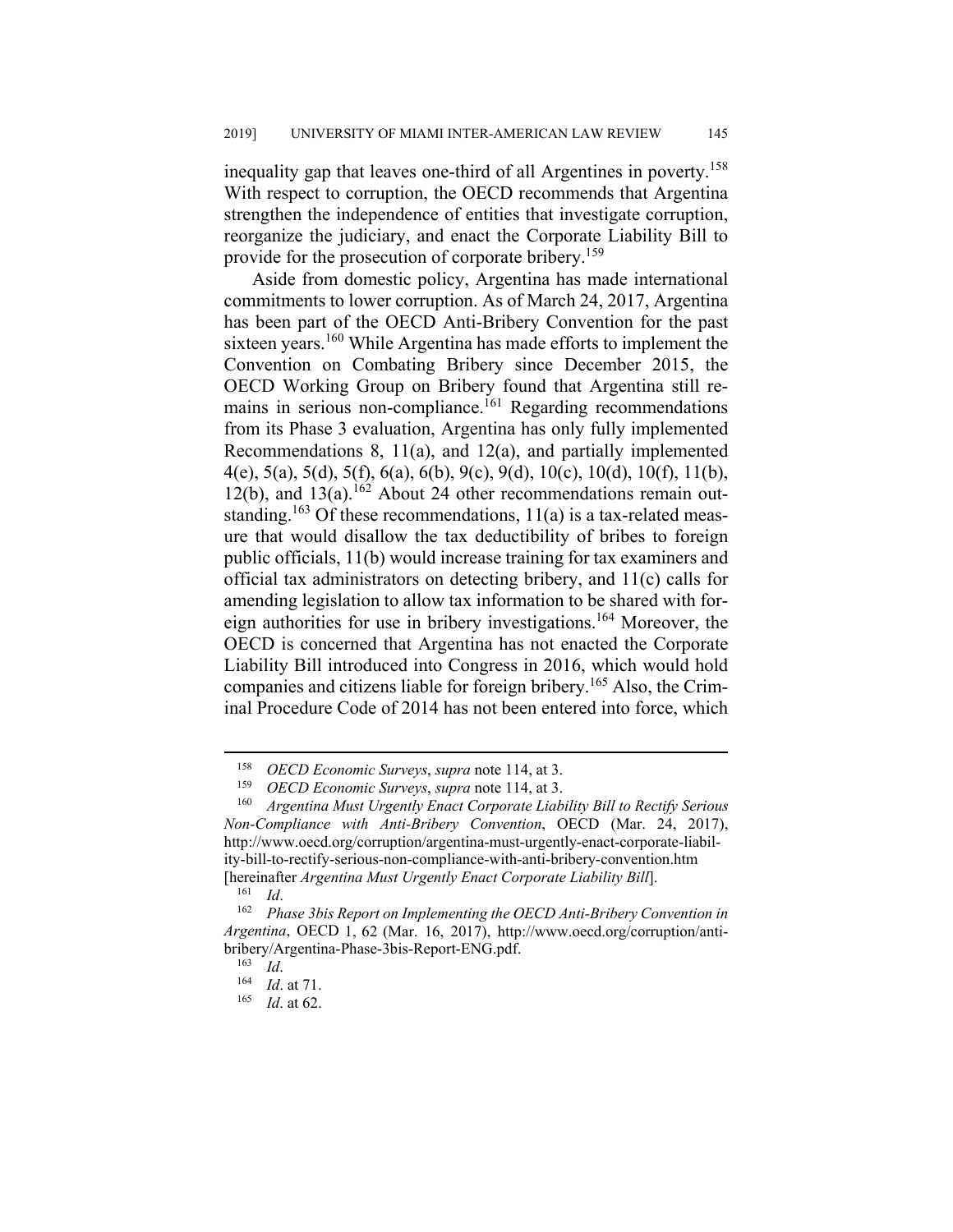inequality gap that leaves one-third of all Argentines in poverty.<sup>158</sup> With respect to corruption, the OECD recommends that Argentina strengthen the independence of entities that investigate corruption, reorganize the judiciary, and enact the Corporate Liability Bill to provide for the prosecution of corporate bribery.<sup>159</sup>

Aside from domestic policy, Argentina has made international commitments to lower corruption. As of March 24, 2017, Argentina has been part of the OECD Anti-Bribery Convention for the past sixteen years.<sup>160</sup> While Argentina has made efforts to implement the Convention on Combating Bribery since December 2015, the OECD Working Group on Bribery found that Argentina still remains in serious non-compliance.<sup>161</sup> Regarding recommendations from its Phase 3 evaluation, Argentina has only fully implemented Recommendations 8, 11(a), and 12(a), and partially implemented 4(e), 5(a), 5(d), 5(f), 6(a), 6(b), 9(c), 9(d), 10(c), 10(d), 10(f), 11(b), 12(b), and  $13(a)$ .<sup>162</sup> About 24 other recommendations remain outstanding.<sup>163</sup> Of these recommendations,  $11(a)$  is a tax-related measure that would disallow the tax deductibility of bribes to foreign public officials, 11(b) would increase training for tax examiners and official tax administrators on detecting bribery, and 11(c) calls for amending legislation to allow tax information to be shared with foreign authorities for use in bribery investigations.<sup>164</sup> Moreover, the OECD is concerned that Argentina has not enacted the Corporate Liability Bill introduced into Congress in 2016, which would hold companies and citizens liable for foreign bribery.165 Also, the Criminal Procedure Code of 2014 has not been entered into force, which

 <sup>158</sup> *OECD Economic Surveys*, *supra* note 114, at 3.

<sup>159</sup> *OECD Economic Surveys*, *supra* note 114, at 3.

<sup>160</sup> *Argentina Must Urgently Enact Corporate Liability Bill to Rectify Serious Non-Compliance with Anti-Bribery Convention*, OECD (Mar. 24, 2017), http://www.oecd.org/corruption/argentina-must-urgently-enact-corporate-liability-bill-to-rectify-serious-non-compliance-with-anti-bribery-convention.htm [hereinafter *Argentina Must Urgently Enact Corporate Liability Bill*].

<sup>&</sup>lt;sup>162</sup> Phase 3bis Report on Implementing the OECD Anti-Bribery Convention in *Argentina*, OECD 1, 62 (Mar. 16, 2017), http://www.oecd.org/corruption/antibribery/Argentina-Phase-3bis-Report-ENG.pdf.<br><sup>163</sup> Id.

<sup>163</sup> *Id*. 164 *Id*. at 71.

*Id.* at 62.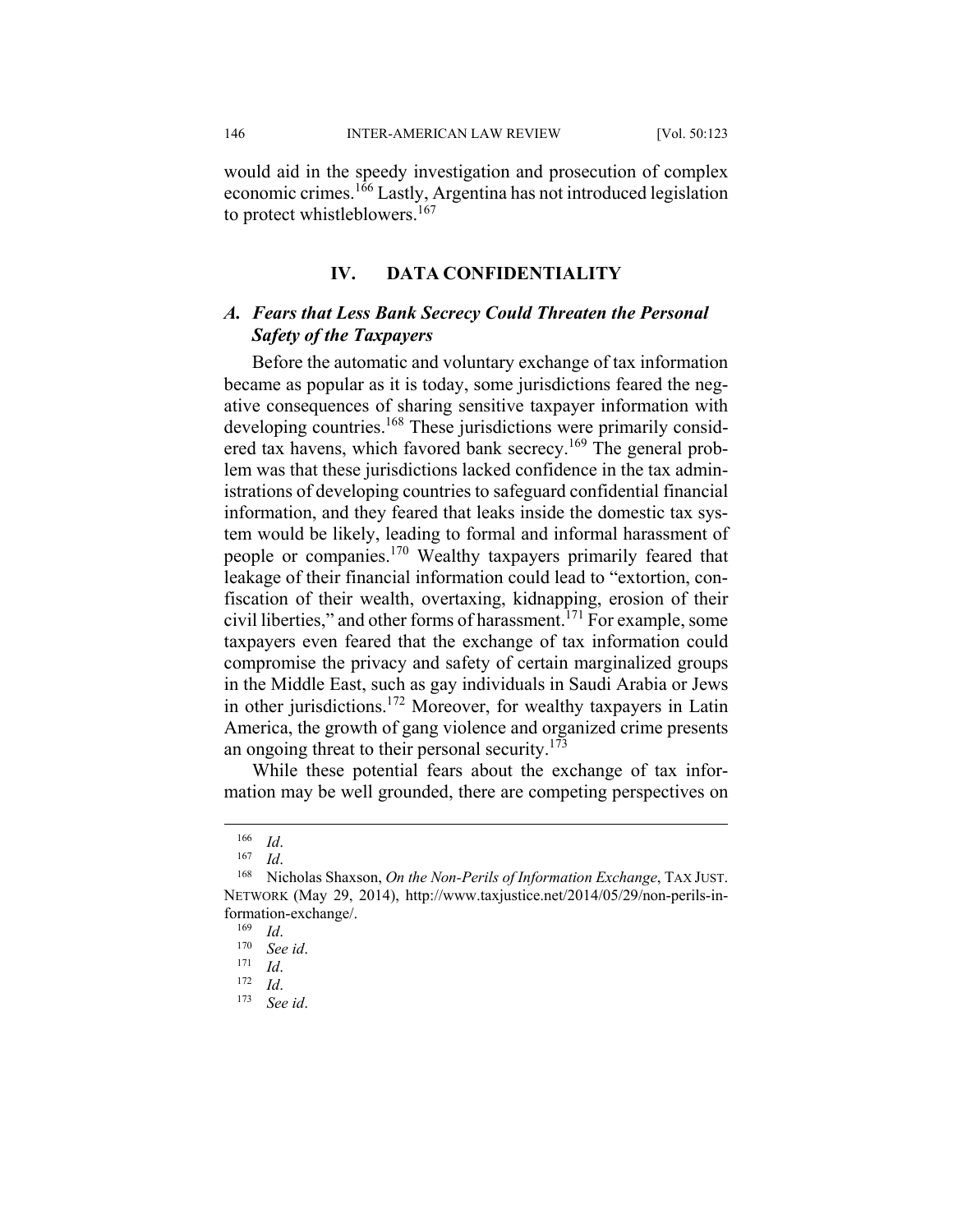146 INTER-AMERICAN LAW REVIEW [Vol. 50:123

would aid in the speedy investigation and prosecution of complex economic crimes.166 Lastly, Argentina has not introduced legislation to protect whistleblowers.<sup>167</sup>

#### **IV. DATA CONFIDENTIALITY**

### *A. Fears that Less Bank Secrecy Could Threaten the Personal Safety of the Taxpayers*

Before the automatic and voluntary exchange of tax information became as popular as it is today, some jurisdictions feared the negative consequences of sharing sensitive taxpayer information with developing countries.<sup>168</sup> These jurisdictions were primarily considered tax havens, which favored bank secrecy.<sup>169</sup> The general problem was that these jurisdictions lacked confidence in the tax administrations of developing countries to safeguard confidential financial information, and they feared that leaks inside the domestic tax system would be likely, leading to formal and informal harassment of people or companies.<sup>170</sup> Wealthy taxpayers primarily feared that leakage of their financial information could lead to "extortion, confiscation of their wealth, overtaxing, kidnapping, erosion of their civil liberties," and other forms of harassment.171 For example, some taxpayers even feared that the exchange of tax information could compromise the privacy and safety of certain marginalized groups in the Middle East, such as gay individuals in Saudi Arabia or Jews in other jurisdictions.172 Moreover, for wealthy taxpayers in Latin America, the growth of gang violence and organized crime presents an ongoing threat to their personal security.<sup>173</sup>

While these potential fears about the exchange of tax information may be well grounded, there are competing perspectives on

<sup>166</sup> *Id*. 167 *Id*. 168 Nicholas Shaxson, *On the Non-Perils of Information Exchange*, TAX JUST. NETWORK (May 29, 2014), http://www.taxjustice.net/2014/05/29/non-perils-information-exchange/.

<sup>169</sup> *Id*. 170 *See id*. 171 *Id*. 172 *Id*. 173 *See id*.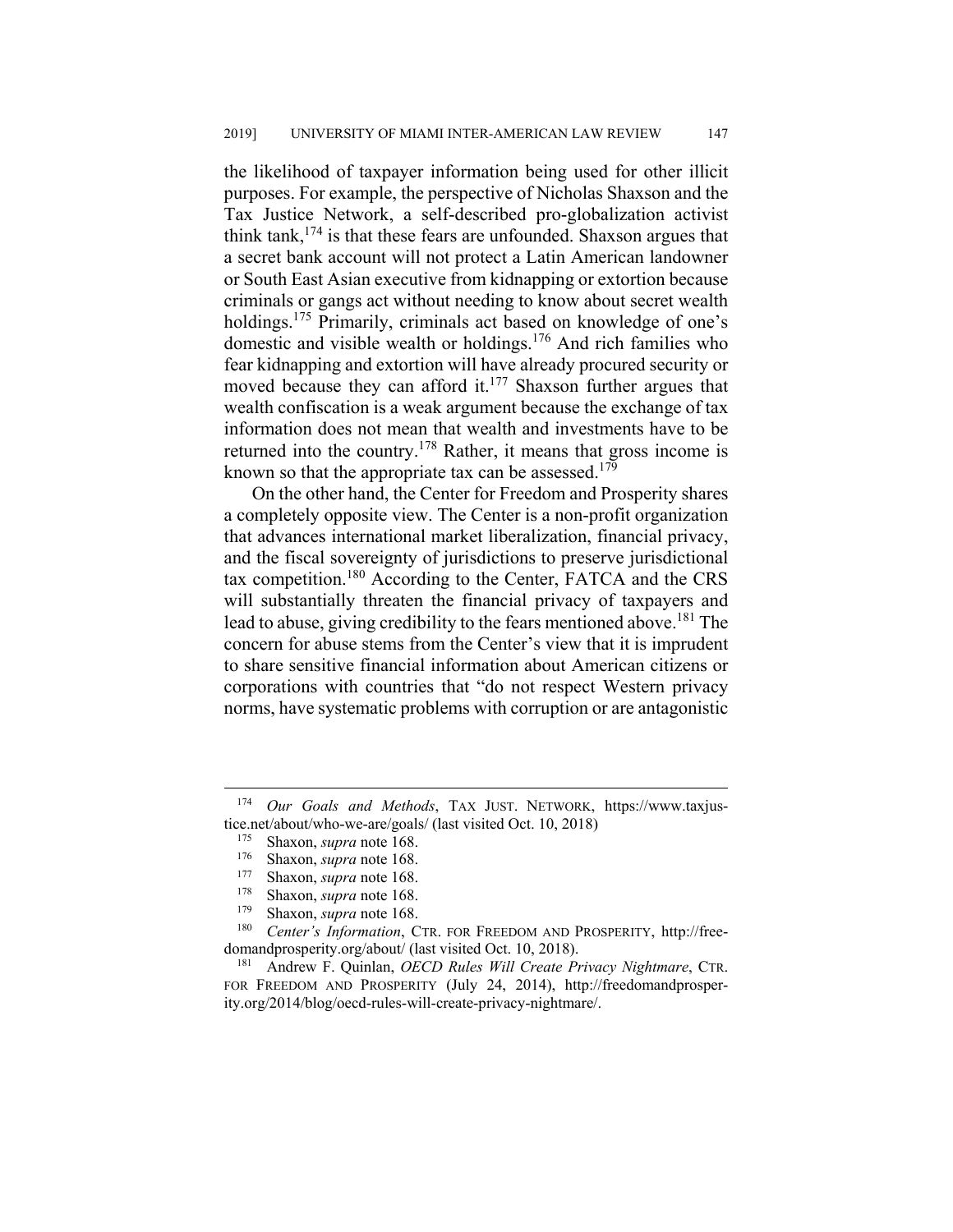the likelihood of taxpayer information being used for other illicit purposes. For example, the perspective of Nicholas Shaxson and the Tax Justice Network, a self-described pro-globalization activist think tank,  $174$  is that these fears are unfounded. Shaxson argues that a secret bank account will not protect a Latin American landowner or South East Asian executive from kidnapping or extortion because criminals or gangs act without needing to know about secret wealth holdings.<sup>175</sup> Primarily, criminals act based on knowledge of one's domestic and visible wealth or holdings.176 And rich families who fear kidnapping and extortion will have already procured security or moved because they can afford it.<sup>177</sup> Shaxson further argues that wealth confiscation is a weak argument because the exchange of tax information does not mean that wealth and investments have to be returned into the country.178 Rather, it means that gross income is known so that the appropriate tax can be assessed.<sup>179</sup>

On the other hand, the Center for Freedom and Prosperity shares a completely opposite view. The Center is a non-profit organization that advances international market liberalization, financial privacy, and the fiscal sovereignty of jurisdictions to preserve jurisdictional tax competition.180 According to the Center, FATCA and the CRS will substantially threaten the financial privacy of taxpayers and lead to abuse, giving credibility to the fears mentioned above.<sup>181</sup> The concern for abuse stems from the Center's view that it is imprudent to share sensitive financial information about American citizens or corporations with countries that "do not respect Western privacy norms, have systematic problems with corruption or are antagonistic

 <sup>174</sup> *Our Goals and Methods*, TAX JUST. NETWORK, https://www.taxjustice.net/about/who-we-are/goals/ (last visited Oct. 10, 2018)<br> $^{175}$  Shaxon sung note 168

Shaxon, *supra* note 168.

<sup>176</sup> Shaxon, *supra* note 168.

<sup>&</sup>lt;sup>177</sup> Shaxon, *supra* note 168.

Shaxon, *supra* note 168.

<sup>179</sup> Shaxon, *supra* note 168.

<sup>180</sup> *Center's Information*, CTR. FOR FREEDOM AND PROSPERITY, http://freedomandprosperity.org/about/ (last visited Oct. 10, 2018).

<sup>181</sup> Andrew F. Quinlan, *OECD Rules Will Create Privacy Nightmare*, CTR. FOR FREEDOM AND PROSPERITY (July 24, 2014), http://freedomandprosperity.org/2014/blog/oecd-rules-will-create-privacy-nightmare/.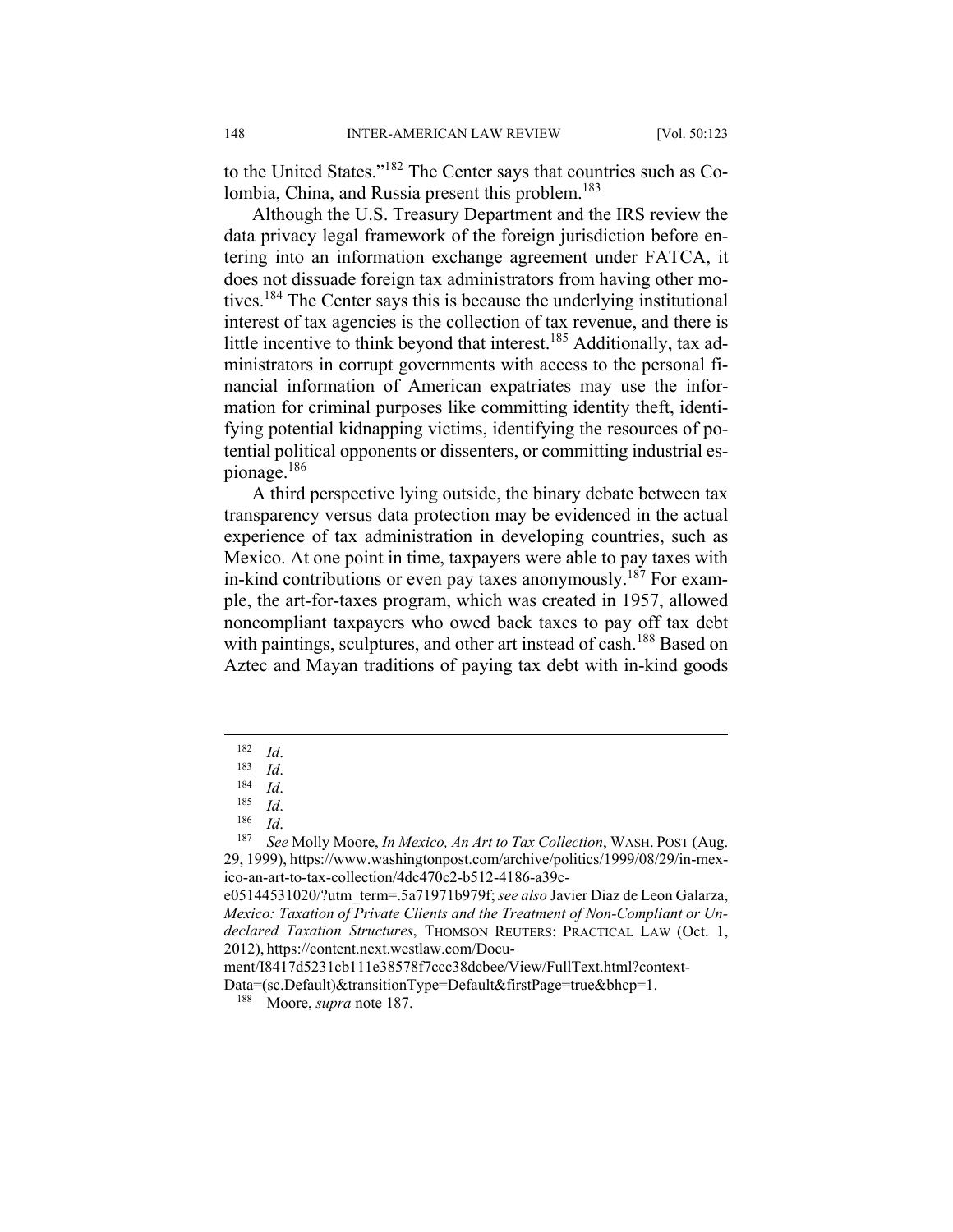to the United States."182 The Center says that countries such as Colombia, China, and Russia present this problem.<sup>183</sup>

Although the U.S. Treasury Department and the IRS review the data privacy legal framework of the foreign jurisdiction before entering into an information exchange agreement under FATCA, it does not dissuade foreign tax administrators from having other motives.184 The Center says this is because the underlying institutional interest of tax agencies is the collection of tax revenue, and there is little incentive to think beyond that interest.<sup>185</sup> Additionally, tax administrators in corrupt governments with access to the personal financial information of American expatriates may use the information for criminal purposes like committing identity theft, identifying potential kidnapping victims, identifying the resources of potential political opponents or dissenters, or committing industrial espionage.186

A third perspective lying outside, the binary debate between tax transparency versus data protection may be evidenced in the actual experience of tax administration in developing countries, such as Mexico. At one point in time, taxpayers were able to pay taxes with in-kind contributions or even pay taxes anonymously.<sup>187</sup> For example, the art-for-taxes program, which was created in 1957, allowed noncompliant taxpayers who owed back taxes to pay off tax debt with paintings, sculptures, and other art instead of cash.<sup>188</sup> Based on Aztec and Mayan traditions of paying tax debt with in-kind goods

<sup>182</sup> Id.<br>
183 Id.<br>
184 Id.<br>
186 Id.<br>
<sup>187</sup> See Molly Moore, *In Mexico, An Art to Tax Collection*, WASH. POST (Aug. 29, 1999), https://www.washingtonpost.com/archive/politics/1999/08/29/in-mexico-an-art-to-tax-collection/4dc470c2-b512-4186-a39c-

e05144531020/?utm\_term=.5a71971b979f; *see also* Javier Diaz de Leon Galarza, *Mexico: Taxation of Private Clients and the Treatment of Non-Compliant or Undeclared Taxation Structures*, THOMSON REUTERS: PRACTICAL LAW (Oct. 1, 2012), https://content.next.westlaw.com/Docu-

ment/I8417d5231cb111e38578f7ccc38dcbee/View/FullText.html?context-

Data=(sc.Default)&transitionType=Default&firstPage=true&bhcp=1.

<sup>188</sup> Moore, *supra* note 187.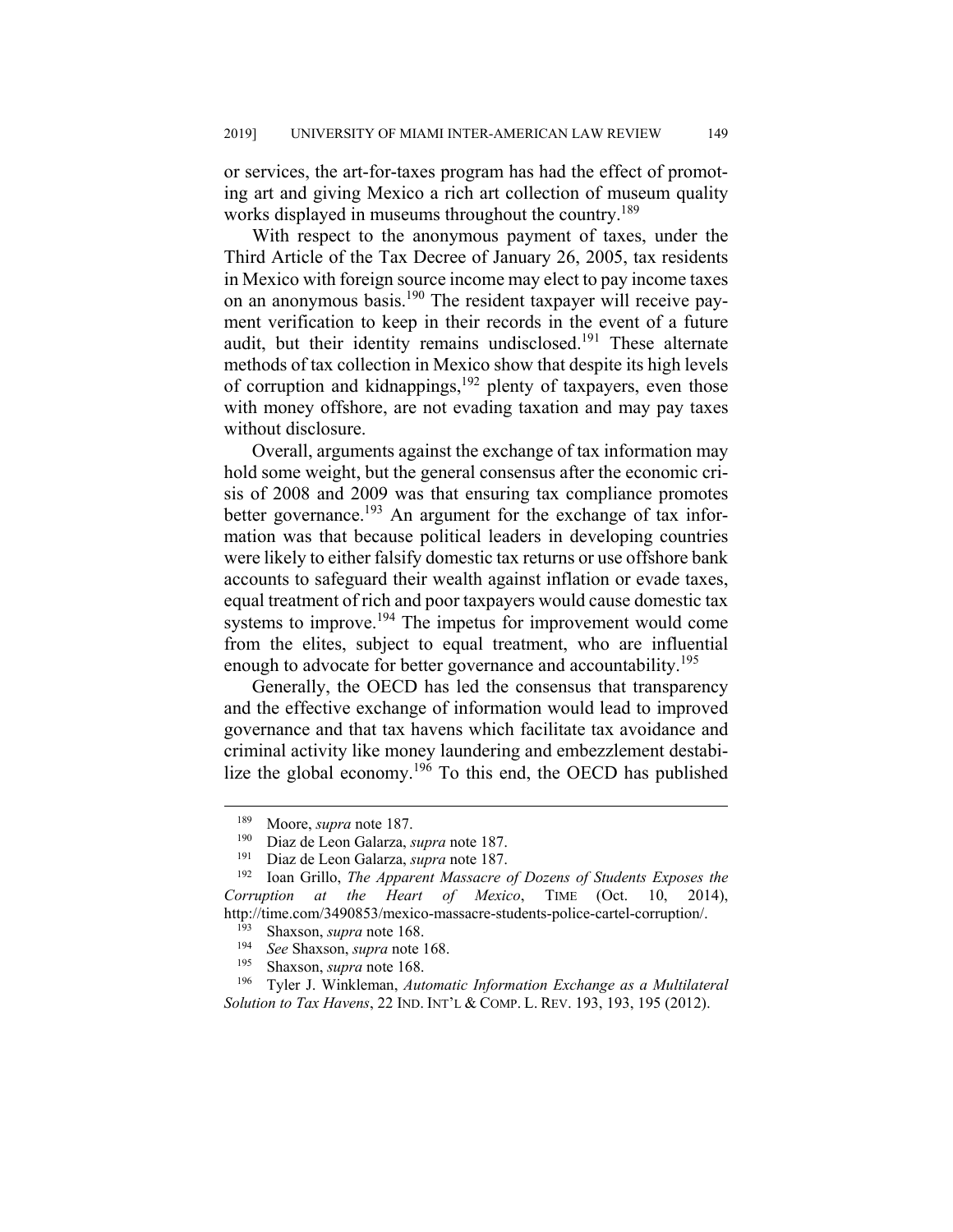or services, the art-for-taxes program has had the effect of promoting art and giving Mexico a rich art collection of museum quality works displayed in museums throughout the country.<sup>189</sup>

With respect to the anonymous payment of taxes, under the Third Article of the Tax Decree of January 26, 2005, tax residents in Mexico with foreign source income may elect to pay income taxes on an anonymous basis.<sup>190</sup> The resident taxpayer will receive payment verification to keep in their records in the event of a future audit, but their identity remains undisclosed.<sup>191</sup> These alternate methods of tax collection in Mexico show that despite its high levels of corruption and kidnappings, $192$  plenty of taxpayers, even those with money offshore, are not evading taxation and may pay taxes without disclosure.

Overall, arguments against the exchange of tax information may hold some weight, but the general consensus after the economic crisis of 2008 and 2009 was that ensuring tax compliance promotes better governance.<sup>193</sup> An argument for the exchange of tax information was that because political leaders in developing countries were likely to either falsify domestic tax returns or use offshore bank accounts to safeguard their wealth against inflation or evade taxes, equal treatment of rich and poor taxpayers would cause domestic tax systems to improve.<sup>194</sup> The impetus for improvement would come from the elites, subject to equal treatment, who are influential enough to advocate for better governance and accountability.<sup>195</sup>

Generally, the OECD has led the consensus that transparency and the effective exchange of information would lead to improved governance and that tax havens which facilitate tax avoidance and criminal activity like money laundering and embezzlement destabilize the global economy.196 To this end, the OECD has published

<sup>&</sup>lt;sup>189</sup> Moore, *supra* note 187.<br><sup>190</sup> Diaz de Leon Galarza

<sup>190</sup> Diaz de Leon Galarza, *supra* note 187.

<sup>191</sup> Diaz de Leon Galarza, *supra* note 187.

<sup>192</sup> Ioan Grillo, *The Apparent Massacre of Dozens of Students Exposes the Corruption at the Heart of Mexico*, TIME (Oct. 10, 2014), http://time.com/3490853/mexico-massacre-students-police-cartel-corruption/.

<sup>&</sup>lt;sup>193</sup> Shaxson, *supra* note 168.

<sup>&</sup>lt;sup>194</sup> See Shaxson, *supra* note 168.

Shaxson, *supra* note 168.

<sup>196</sup> Tyler J. Winkleman, *Automatic Information Exchange as a Multilateral Solution to Tax Havens*, 22 IND. INT'L & COMP. L. REV. 193, 193, 195 (2012).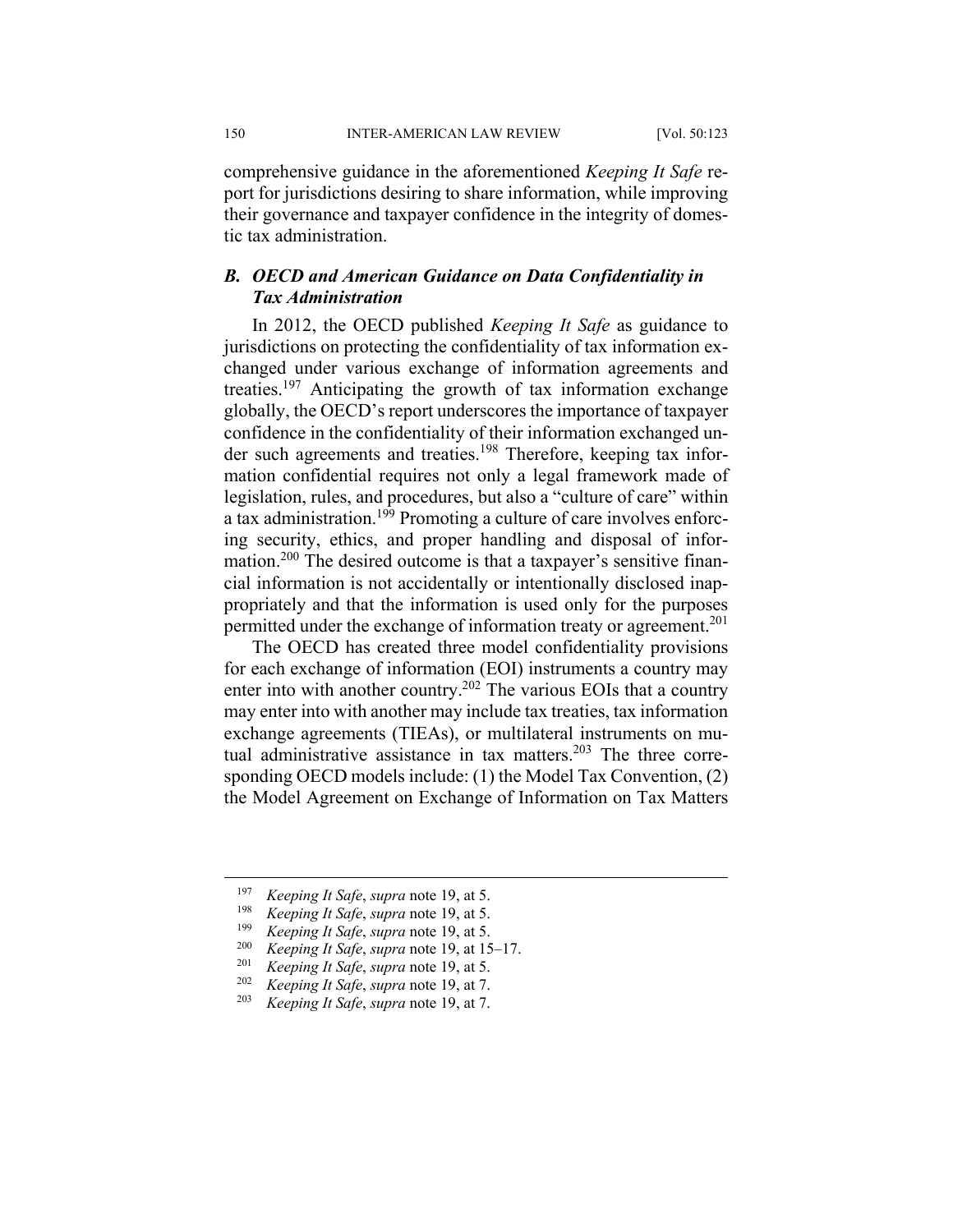150 INTER-AMERICAN LAW REVIEW [Vol. 50:123]

comprehensive guidance in the aforementioned *Keeping It Safe* report for jurisdictions desiring to share information, while improving their governance and taxpayer confidence in the integrity of domestic tax administration.

# *B. OECD and American Guidance on Data Confidentiality in Tax Administration*

In 2012, the OECD published *Keeping It Safe* as guidance to jurisdictions on protecting the confidentiality of tax information exchanged under various exchange of information agreements and treaties.197 Anticipating the growth of tax information exchange globally, the OECD's report underscores the importance of taxpayer confidence in the confidentiality of their information exchanged under such agreements and treaties.<sup>198</sup> Therefore, keeping tax information confidential requires not only a legal framework made of legislation, rules, and procedures, but also a "culture of care" within a tax administration.199 Promoting a culture of care involves enforcing security, ethics, and proper handling and disposal of information.<sup>200</sup> The desired outcome is that a taxpayer's sensitive financial information is not accidentally or intentionally disclosed inappropriately and that the information is used only for the purposes permitted under the exchange of information treaty or agreement.<sup>201</sup>

The OECD has created three model confidentiality provisions for each exchange of information (EOI) instruments a country may enter into with another country.<sup>202</sup> The various EOIs that a country may enter into with another may include tax treaties, tax information exchange agreements (TIEAs), or multilateral instruments on mutual administrative assistance in tax matters. $203$  The three corresponding OECD models include: (1) the Model Tax Convention, (2) the Model Agreement on Exchange of Information on Tax Matters

 <sup>197</sup> *Keeping It Safe*, *supra* note 19, at 5.

<sup>198</sup> *Keeping It Safe*, *supra* note 19, at 5.

<sup>199</sup> *Keeping It Safe*, *supra* note 19, at 5.

<sup>&</sup>lt;sup>200</sup> *Keeping It Safe*, *supra* note 19, at 15–17.<br><sup>201</sup> *Keeping It Safe*, *supra* note 19, at 5.

<sup>201</sup> *Keeping It Safe*, *supra* note 19, at 5.

<sup>202</sup> *Keeping It Safe*, *supra* note 19, at 7.

<sup>203</sup> *Keeping It Safe*, *supra* note 19, at 7.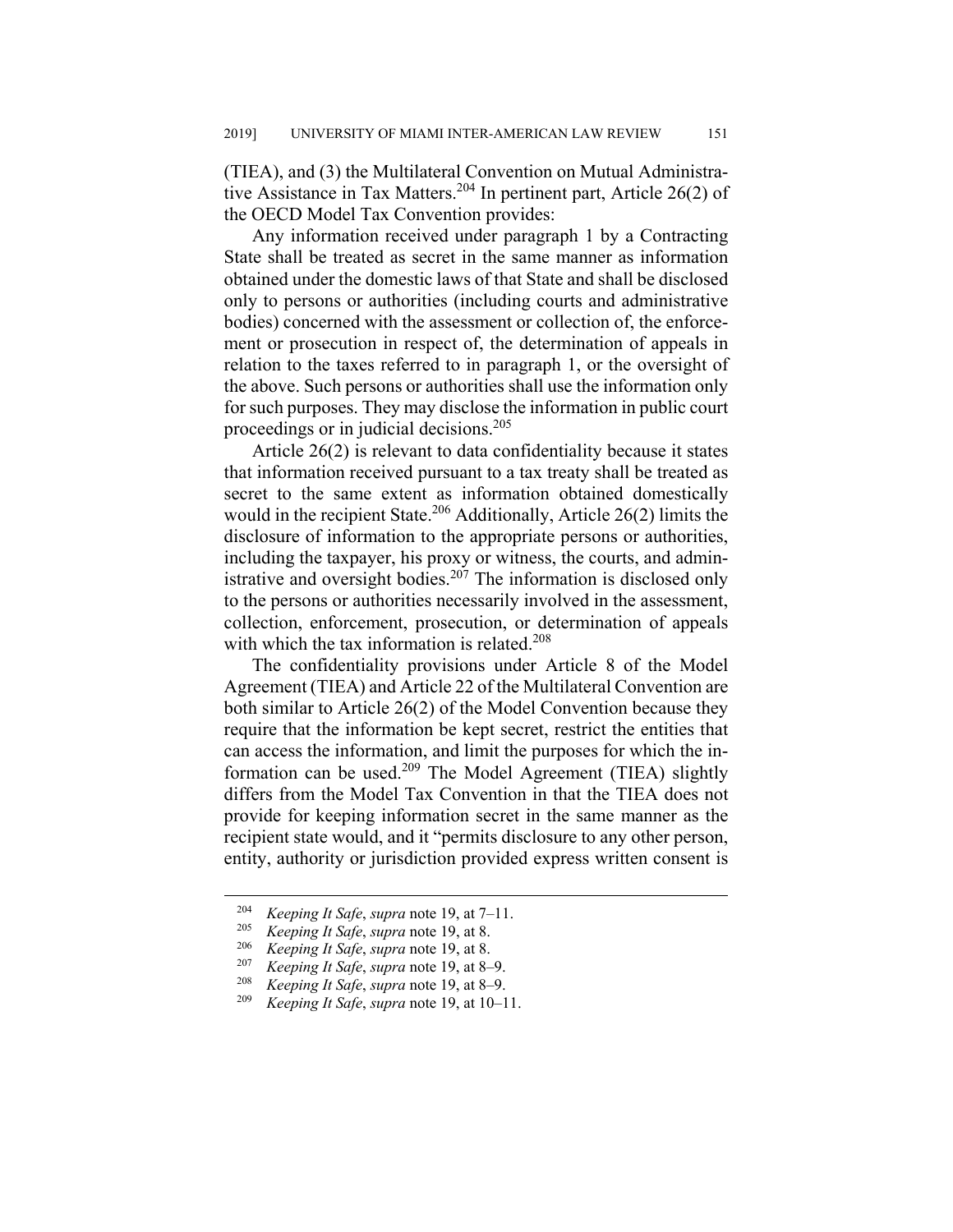(TIEA), and (3) the Multilateral Convention on Mutual Administrative Assistance in Tax Matters.<sup>204</sup> In pertinent part, Article 26(2) of the OECD Model Tax Convention provides:

Any information received under paragraph 1 by a Contracting State shall be treated as secret in the same manner as information obtained under the domestic laws of that State and shall be disclosed only to persons or authorities (including courts and administrative bodies) concerned with the assessment or collection of, the enforcement or prosecution in respect of, the determination of appeals in relation to the taxes referred to in paragraph 1, or the oversight of the above. Such persons or authorities shall use the information only for such purposes. They may disclose the information in public court proceedings or in judicial decisions.<sup>205</sup>

Article 26(2) is relevant to data confidentiality because it states that information received pursuant to a tax treaty shall be treated as secret to the same extent as information obtained domestically would in the recipient State.<sup>206</sup> Additionally, Article 26(2) limits the disclosure of information to the appropriate persons or authorities, including the taxpayer, his proxy or witness, the courts, and administrative and oversight bodies.<sup>207</sup> The information is disclosed only to the persons or authorities necessarily involved in the assessment, collection, enforcement, prosecution, or determination of appeals with which the tax information is related.<sup>208</sup>

The confidentiality provisions under Article 8 of the Model Agreement (TIEA) and Article 22 of the Multilateral Convention are both similar to Article 26(2) of the Model Convention because they require that the information be kept secret, restrict the entities that can access the information, and limit the purposes for which the information can be used.209 The Model Agreement (TIEA) slightly differs from the Model Tax Convention in that the TIEA does not provide for keeping information secret in the same manner as the recipient state would, and it "permits disclosure to any other person, entity, authority or jurisdiction provided express written consent is

<sup>&</sup>lt;sup>204</sup> *Keeping It Safe, supra* note 19, at 7–11.

<sup>205</sup> *Keeping It Safe*, *supra* note 19, at 8.

<sup>206</sup> *Keeping It Safe*, *supra* note 19, at 8.

<sup>&</sup>lt;sup>207</sup> *Keeping It Safe*, *supra* note 19, at 8–9.<br><sup>208</sup> *Koming It Safe*, *supra* note 10, at 8–0.

<sup>&</sup>lt;sup>208</sup> *Keeping It Safe, supra* note 19, at 8–9.<br><sup>209</sup> *Keeping It Safe, supramate* 10, at 10, 1

*Keeping It Safe, supra* note 19, at 10–11.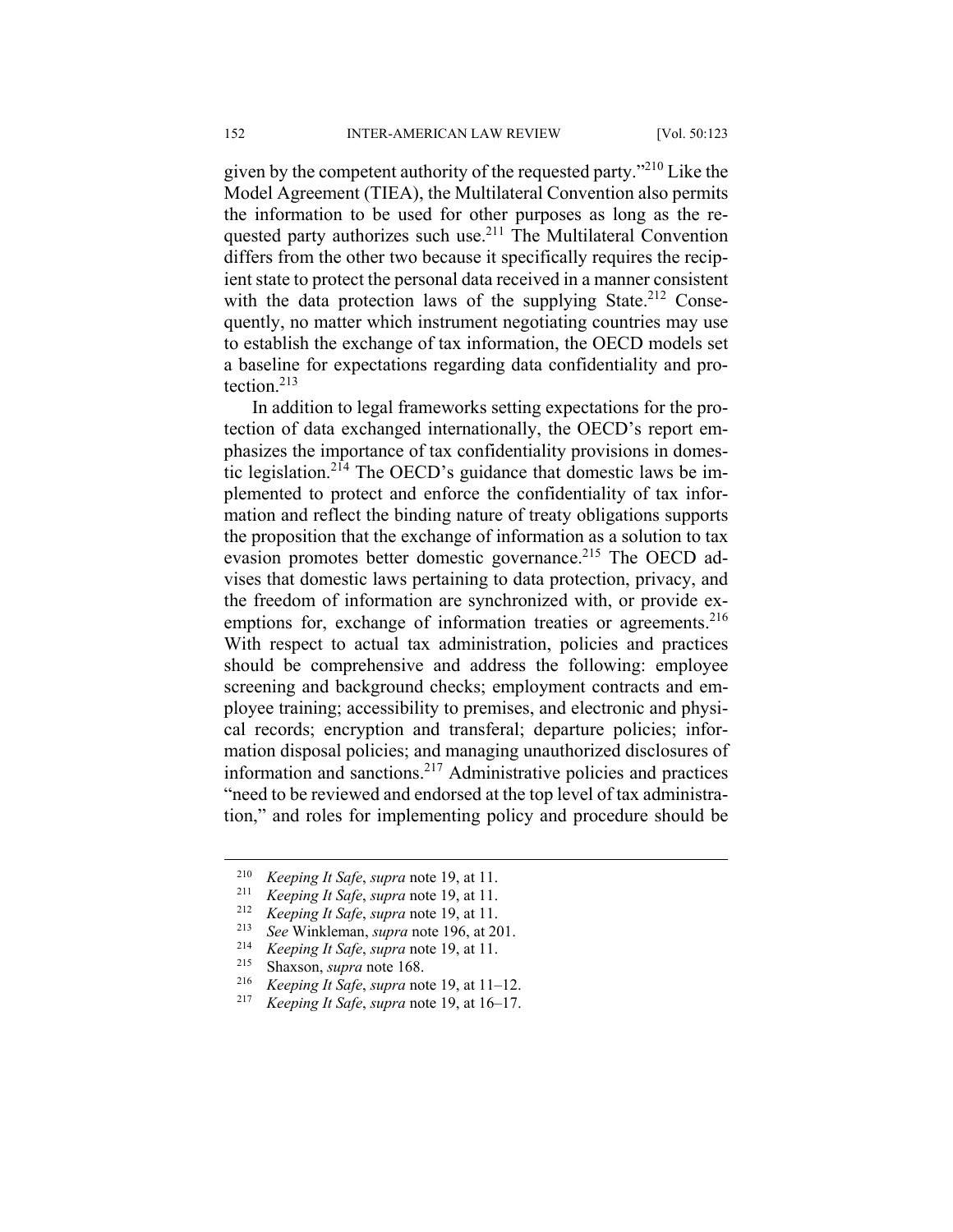given by the competent authority of the requested party."<sup>210</sup> Like the Model Agreement (TIEA), the Multilateral Convention also permits the information to be used for other purposes as long as the requested party authorizes such use.<sup>211</sup> The Multilateral Convention differs from the other two because it specifically requires the recipient state to protect the personal data received in a manner consistent with the data protection laws of the supplying State.<sup>212</sup> Consequently, no matter which instrument negotiating countries may use to establish the exchange of tax information, the OECD models set a baseline for expectations regarding data confidentiality and protection.213

In addition to legal frameworks setting expectations for the protection of data exchanged internationally, the OECD's report emphasizes the importance of tax confidentiality provisions in domestic legislation.<sup>214</sup> The OECD's guidance that domestic laws be implemented to protect and enforce the confidentiality of tax information and reflect the binding nature of treaty obligations supports the proposition that the exchange of information as a solution to tax evasion promotes better domestic governance.<sup>215</sup> The OECD advises that domestic laws pertaining to data protection, privacy, and the freedom of information are synchronized with, or provide exemptions for, exchange of information treaties or agreements.<sup>216</sup> With respect to actual tax administration, policies and practices should be comprehensive and address the following: employee screening and background checks; employment contracts and employee training; accessibility to premises, and electronic and physical records; encryption and transferal; departure policies; information disposal policies; and managing unauthorized disclosures of information and sanctions.217 Administrative policies and practices "need to be reviewed and endorsed at the top level of tax administration," and roles for implementing policy and procedure should be

<sup>210</sup> *Keeping It Safe*, *supra* note 19, at 11. 211 *Keeping It Safe*, *supra* note 19, at 11. 212 *Keeping It Safe*, *supra* note 19, at 11.

<sup>213</sup> *See* Winkleman, *supra* note 196, at 201. 214 *Keeping It Safe*, *supra* note 19, at 11.

<sup>&</sup>lt;sup>215</sup> Shaxson, *supra* note 168.<br><sup>216</sup> Keeping It Safe supra no.

<sup>&</sup>lt;sup>216</sup> *Keeping It Safe*, *supra* note 19, at 11–12.<br><sup>217</sup> *Koping It Safe*, *supra* note 10, at 16, 17.

*Keeping It Safe, supra* note 19, at 16–17.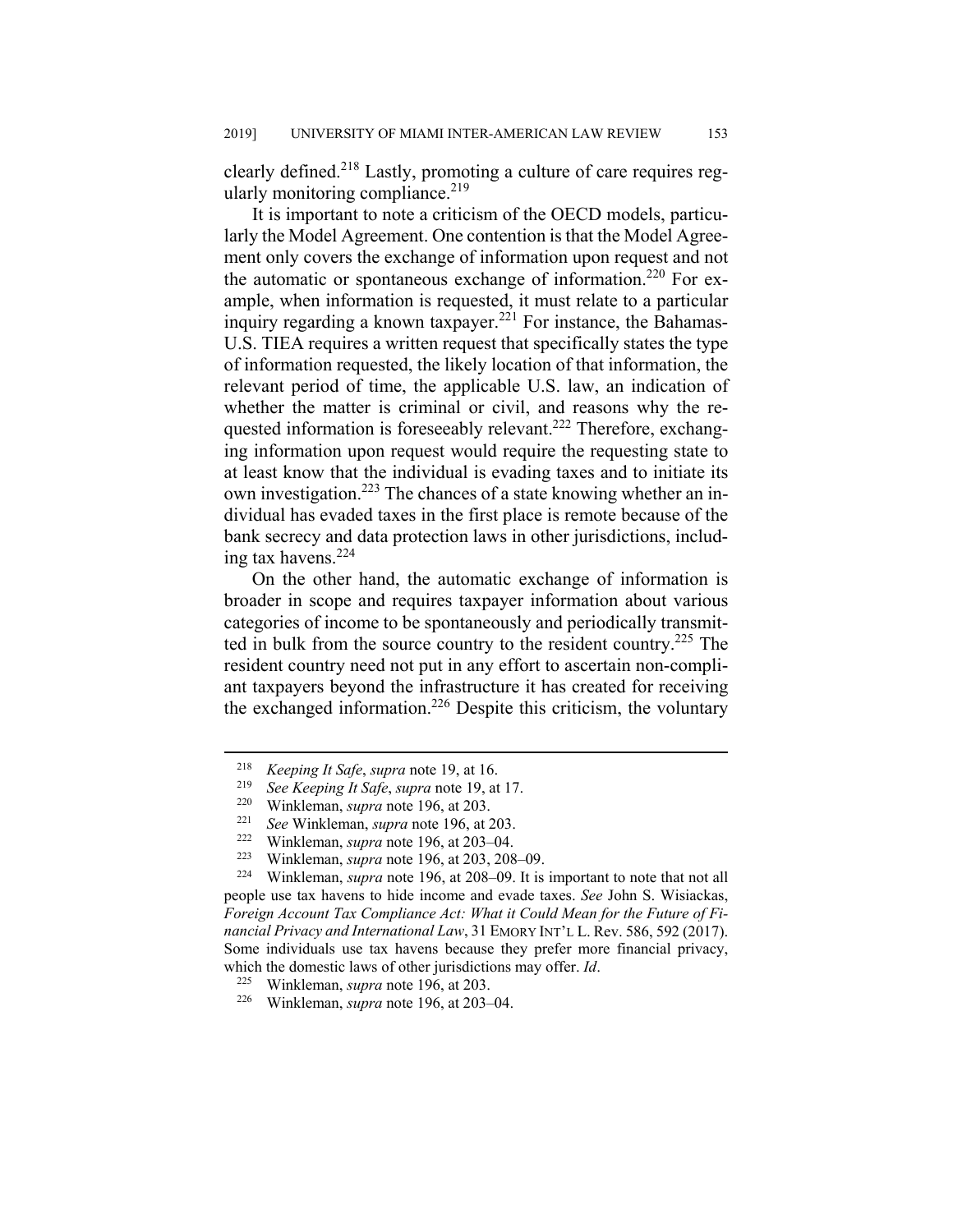clearly defined.<sup>218</sup> Lastly, promoting a culture of care requires regularly monitoring compliance. $219$ 

It is important to note a criticism of the OECD models, particularly the Model Agreement. One contention is that the Model Agreement only covers the exchange of information upon request and not the automatic or spontaneous exchange of information.<sup>220</sup> For example, when information is requested, it must relate to a particular inquiry regarding a known taxpayer.<sup>221</sup> For instance, the Bahamas-U.S. TIEA requires a written request that specifically states the type of information requested, the likely location of that information, the relevant period of time, the applicable U.S. law, an indication of whether the matter is criminal or civil, and reasons why the requested information is foreseeably relevant.<sup>222</sup> Therefore, exchanging information upon request would require the requesting state to at least know that the individual is evading taxes and to initiate its own investigation.<sup>223</sup> The chances of a state knowing whether an individual has evaded taxes in the first place is remote because of the bank secrecy and data protection laws in other jurisdictions, including tax havens. $224$ 

On the other hand, the automatic exchange of information is broader in scope and requires taxpayer information about various categories of income to be spontaneously and periodically transmitted in bulk from the source country to the resident country.225 The resident country need not put in any effort to ascertain non-compliant taxpayers beyond the infrastructure it has created for receiving the exchanged information.<sup>226</sup> Despite this criticism, the voluntary

 <sup>218</sup> *Keeping It Safe*, *supra* note 19, at 16.

<sup>219</sup> *See Keeping It Safe*, *supra* note 19, at 17.

<sup>&</sup>lt;sup>220</sup> Winkleman, *supra* note 196, at 203.<br><sup>221</sup> See Winkleman, *supra* note 196, at 203–04.<br><sup>222</sup> Winkleman, *supra* note 196, at 203–04.

<sup>223</sup> Winkleman, *supra* note 196, at 203, 208‒09. 224 Winkleman, *supra* note 196, at 208‒09. It is important to note that not all people use tax havens to hide income and evade taxes. *See* John S. Wisiackas, *Foreign Account Tax Compliance Act: What it Could Mean for the Future of Financial Privacy and International Law*, 31 EMORY INT'L L. Rev. 586, 592 (2017). Some individuals use tax havens because they prefer more financial privacy, which the domestic laws of other jurisdictions may offer. *Id*. 225 Winkleman, *supra* note 196, at 203.

<sup>&</sup>lt;sup>226</sup> Winkleman, *supra* note 196, at 203-04.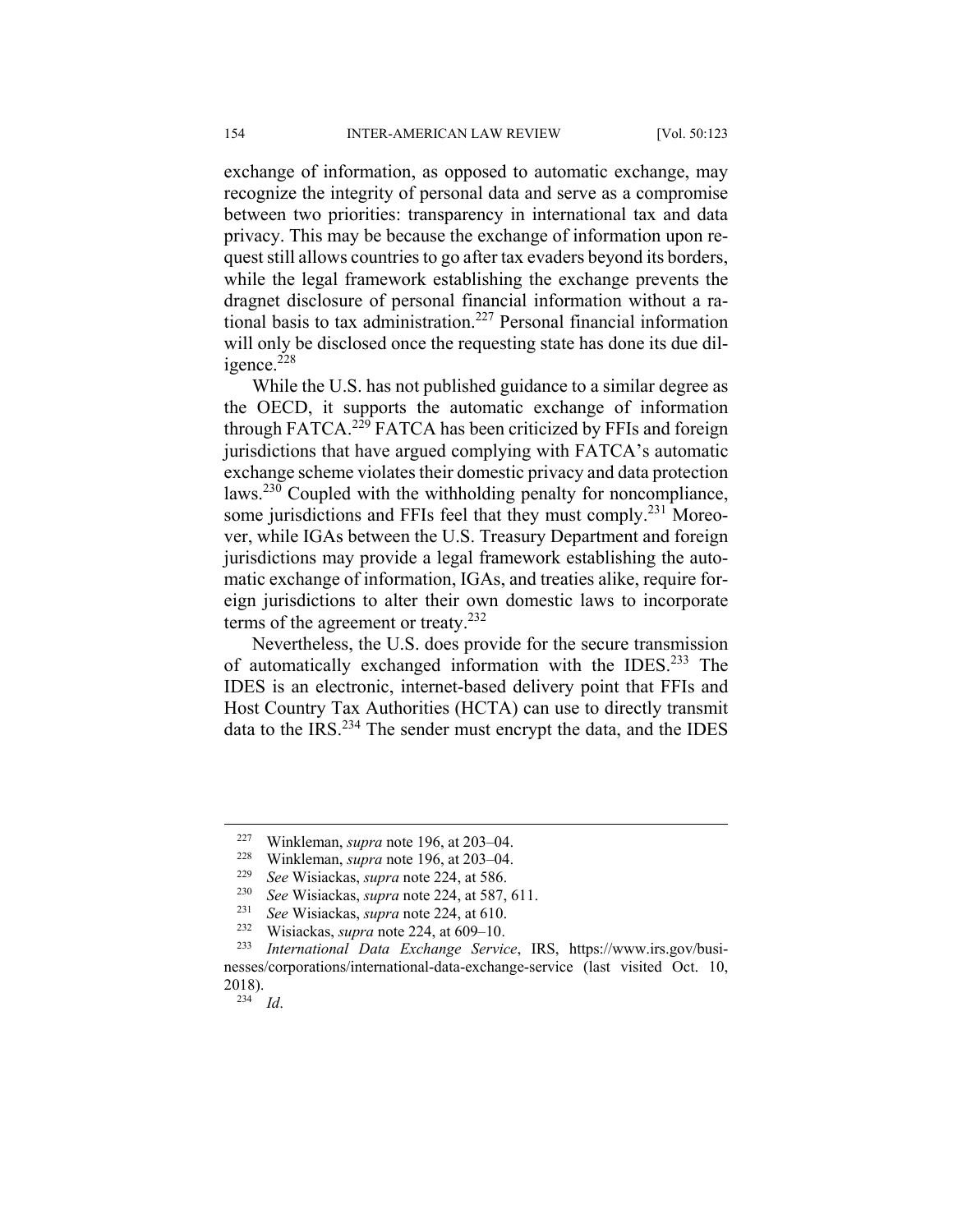exchange of information, as opposed to automatic exchange, may recognize the integrity of personal data and serve as a compromise between two priorities: transparency in international tax and data privacy. This may be because the exchange of information upon request still allows countries to go after tax evaders beyond its borders, while the legal framework establishing the exchange prevents the dragnet disclosure of personal financial information without a rational basis to tax administration.<sup>227</sup> Personal financial information will only be disclosed once the requesting state has done its due diligence.<sup>228</sup>

While the U.S. has not published guidance to a similar degree as the OECD, it supports the automatic exchange of information through FATCA.<sup>229</sup> FATCA has been criticized by FFIs and foreign jurisdictions that have argued complying with FATCA's automatic exchange scheme violates their domestic privacy and data protection laws.230 Coupled with the withholding penalty for noncompliance, some jurisdictions and FFIs feel that they must comply.<sup>231</sup> Moreover, while IGAs between the U.S. Treasury Department and foreign jurisdictions may provide a legal framework establishing the automatic exchange of information, IGAs, and treaties alike, require foreign jurisdictions to alter their own domestic laws to incorporate terms of the agreement or treaty. $232$ 

Nevertheless, the U.S. does provide for the secure transmission of automatically exchanged information with the IDES.233 The IDES is an electronic, internet-based delivery point that FFIs and Host Country Tax Authorities (HCTA) can use to directly transmit data to the IRS.<sup>234</sup> The sender must encrypt the data, and the IDES

 $234$  *Id.* 

<sup>&</sup>lt;sup>227</sup> Winkleman, *supra* note 196, at 203–04.

<sup>&</sup>lt;sup>228</sup> Winkleman, *supra* note 196, at 203–04.

<sup>229</sup> *See* Wisiackas, *supra* note 224, at 586.

See Wisiackas, *supra* note 224, at 587, 611.

<sup>231</sup> *See* Wisiackas, *supra* note 224, at 610.

<sup>&</sup>lt;sup>232</sup> Wisiackas, *supra* note 224, at 609–10.<br><sup>233</sup> International Data Exchange Samie

<sup>233</sup> *International Data Exchange Service*, IRS, https://www.irs.gov/businesses/corporations/international-data-exchange-service (last visited Oct. 10, 2018).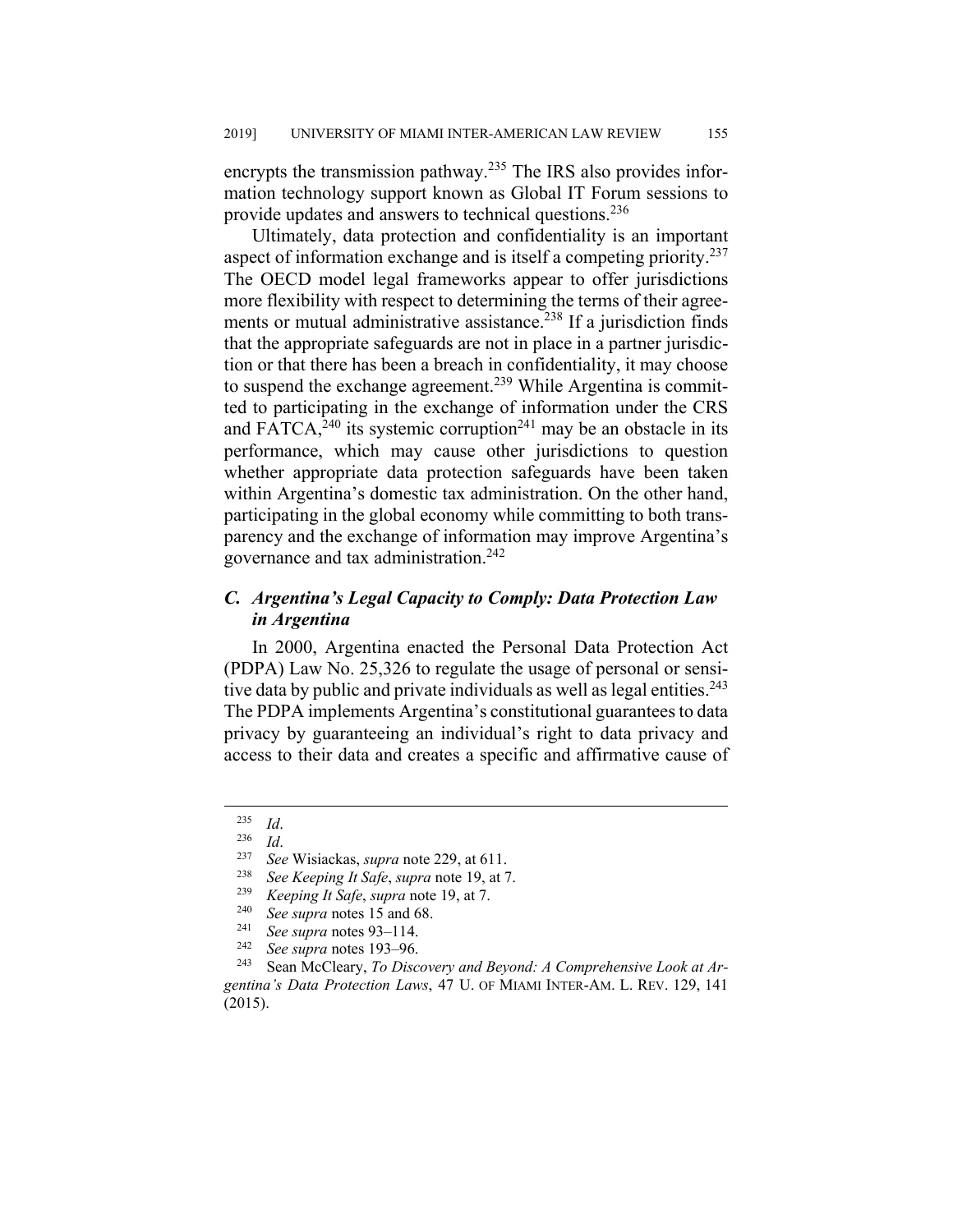encrypts the transmission pathway.<sup>235</sup> The IRS also provides information technology support known as Global IT Forum sessions to provide updates and answers to technical questions.<sup>236</sup>

Ultimately, data protection and confidentiality is an important aspect of information exchange and is itself a competing priority.<sup>237</sup> The OECD model legal frameworks appear to offer jurisdictions more flexibility with respect to determining the terms of their agreements or mutual administrative assistance.<sup>238</sup> If a jurisdiction finds that the appropriate safeguards are not in place in a partner jurisdiction or that there has been a breach in confidentiality, it may choose to suspend the exchange agreement.<sup>239</sup> While Argentina is committed to participating in the exchange of information under the CRS and FATCA,  $240$  its systemic corruption  $241$  may be an obstacle in its performance, which may cause other jurisdictions to question whether appropriate data protection safeguards have been taken within Argentina's domestic tax administration. On the other hand, participating in the global economy while committing to both transparency and the exchange of information may improve Argentina's governance and tax administration.242

# *C. Argentina's Legal Capacity to Comply: Data Protection Law in Argentina*

In 2000, Argentina enacted the Personal Data Protection Act (PDPA) Law No. 25,326 to regulate the usage of personal or sensitive data by public and private individuals as well as legal entities.<sup>243</sup> The PDPA implements Argentina's constitutional guarantees to data privacy by guaranteeing an individual's right to data privacy and access to their data and creates a specific and affirmative cause of

<sup>235</sup> *Id*. 236 *Id*. 237 *See* Wisiackas, *supra* note 229, at 611.

<sup>238</sup> *See Keeping It Safe*, *supra* note 19, at 7.

<sup>239</sup> *Keeping It Safe*, *supra* note 19, at 7.

<sup>240</sup> *See supra* notes 15 and 68. 241 *See supra* notes 93‒114. 242 *See supra* notes 193‒96.

<sup>243</sup> Sean McCleary, *To Discovery and Beyond: A Comprehensive Look at Argentina's Data Protection Laws*, 47 U. OF MIAMI INTER-AM. L. REV. 129, 141 (2015).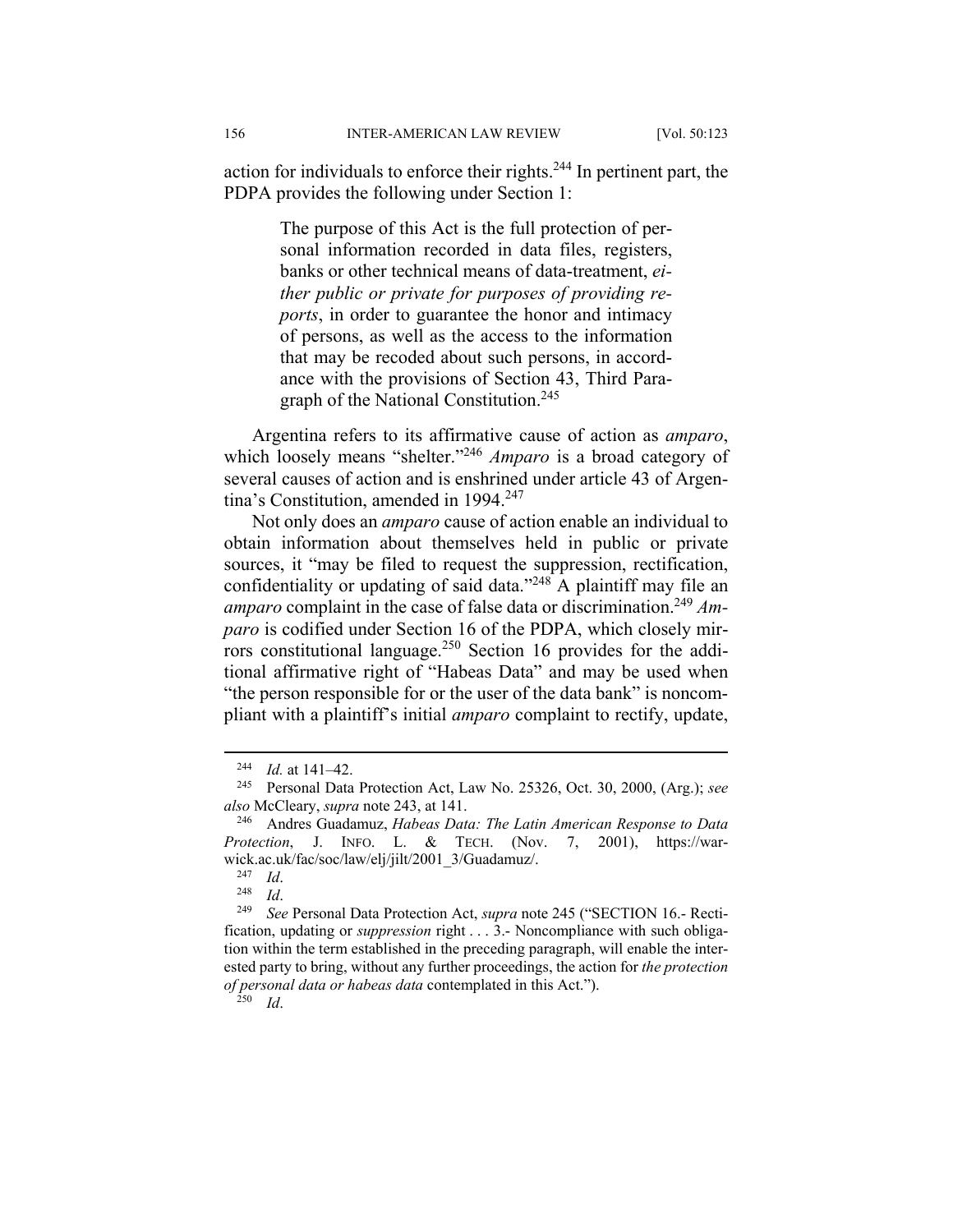action for individuals to enforce their rights. $244$  In pertinent part, the PDPA provides the following under Section 1:

> The purpose of this Act is the full protection of personal information recorded in data files, registers, banks or other technical means of data-treatment, *either public or private for purposes of providing reports*, in order to guarantee the honor and intimacy of persons, as well as the access to the information that may be recoded about such persons, in accordance with the provisions of Section 43, Third Paragraph of the National Constitution.<sup>245</sup>

Argentina refers to its affirmative cause of action as *amparo*, which loosely means "shelter."<sup>246</sup> Amparo is a broad category of several causes of action and is enshrined under article 43 of Argentina's Constitution, amended in 1994.<sup>247</sup>

Not only does an *amparo* cause of action enable an individual to obtain information about themselves held in public or private sources, it "may be filed to request the suppression, rectification, confidentiality or updating of said data."<sup>248</sup> A plaintiff may file an amparo complaint in the case of false data or discrimination.<sup>249</sup> Am*paro* is codified under Section 16 of the PDPA, which closely mirrors constitutional language.<sup>250</sup> Section 16 provides for the additional affirmative right of "Habeas Data" and may be used when "the person responsible for or the user of the data bank" is noncompliant with a plaintiff's initial *amparo* complaint to rectify, update,

 $\frac{244}{245}$  *Id.* at 141–42.

<sup>245</sup> Personal Data Protection Act, Law No. 25326, Oct. 30, 2000, (Arg.); *see also* McCleary, *supra* note 243, at 141.

<sup>246</sup> Andres Guadamuz, *Habeas Data: The Latin American Response to Data Protection*, J. INFO. L. & TECH. (Nov. 7, 2001), https://warwick.ac.uk/fac/soc/law/elj/jilt/2001\_3/Guadamuz/.<br> $^{247}$  Id.

<sup>247</sup> *Id*. 248 *Id*. 249 *See* Personal Data Protection Act, *supra* note 245 ("SECTION 16.- Rectification, updating or *suppression* right . . . 3.- Noncompliance with such obligation within the term established in the preceding paragraph, will enable the interested party to bring, without any further proceedings, the action for *the protection of personal data or habeas data* contemplated in this Act.").

<sup>250</sup> *Id*.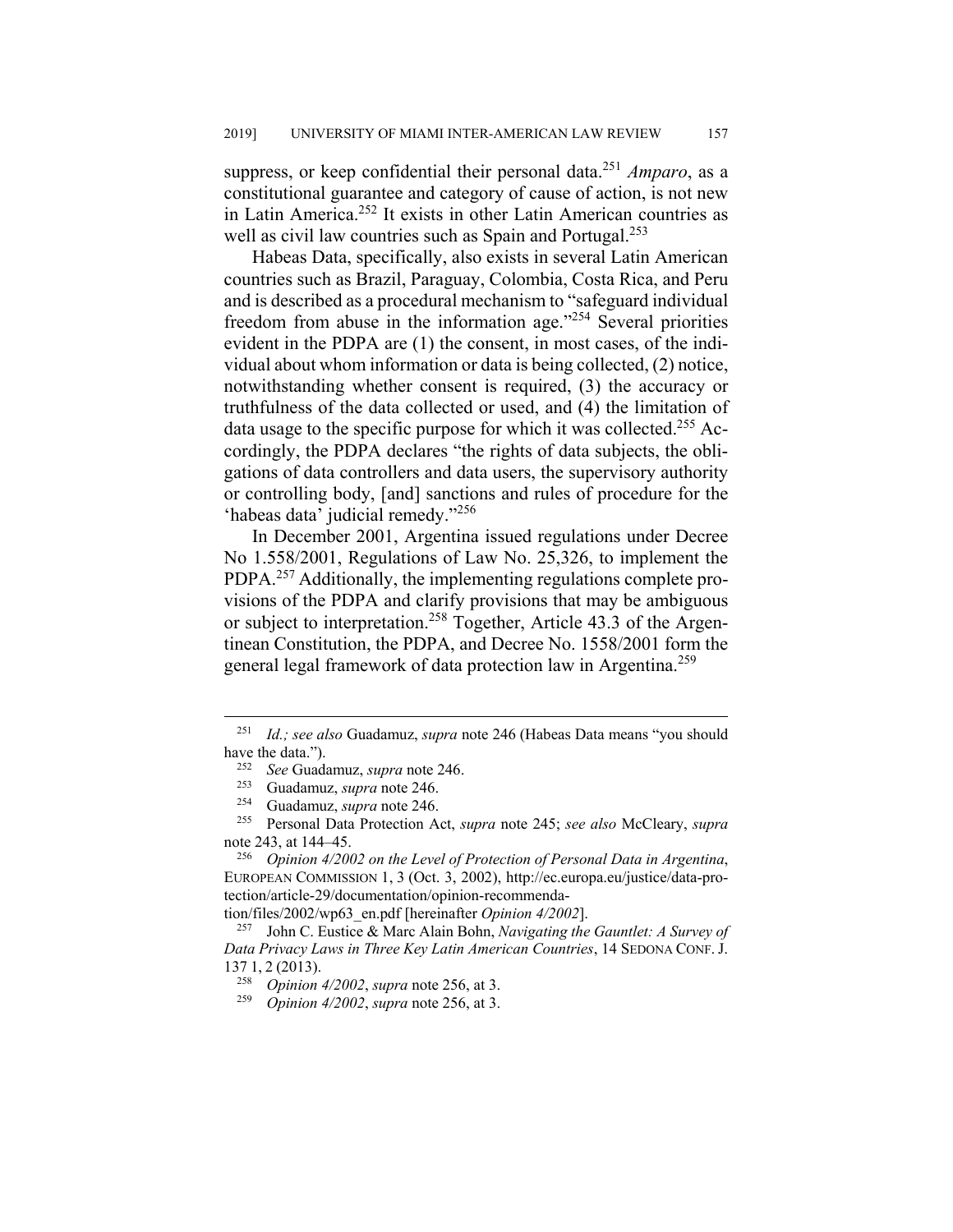suppress, or keep confidential their personal data.<sup>251</sup> *Amparo*, as a constitutional guarantee and category of cause of action, is not new in Latin America.252 It exists in other Latin American countries as well as civil law countries such as Spain and Portugal.<sup>253</sup>

Habeas Data, specifically, also exists in several Latin American countries such as Brazil, Paraguay, Colombia, Costa Rica, and Peru and is described as a procedural mechanism to "safeguard individual freedom from abuse in the information age."254 Several priorities evident in the PDPA are (1) the consent, in most cases, of the individual about whom information or data is being collected, (2) notice, notwithstanding whether consent is required, (3) the accuracy or truthfulness of the data collected or used, and (4) the limitation of data usage to the specific purpose for which it was collected.<sup>255</sup> Accordingly, the PDPA declares "the rights of data subjects, the obligations of data controllers and data users, the supervisory authority or controlling body, [and] sanctions and rules of procedure for the 'habeas data' judicial remedy."<sup>256</sup>

In December 2001, Argentina issued regulations under Decree No 1.558/2001, Regulations of Law No. 25,326, to implement the PDPA.<sup>257</sup> Additionally, the implementing regulations complete provisions of the PDPA and clarify provisions that may be ambiguous or subject to interpretation.<sup>258</sup> Together, Article 43.3 of the Argentinean Constitution, the PDPA, and Decree No. 1558/2001 form the general legal framework of data protection law in Argentina.259

tion/files/2002/wp63\_en.pdf [hereinafter *Opinion 4/2002*].

 <sup>251</sup> *Id.; see also* Guadamuz, *supra* note 246 (Habeas Data means "you should have the data.").

<sup>252</sup> *See* Guadamuz, *supra* note 246.

<sup>&</sup>lt;sup>253</sup> Guadamuz, *supra* note 246.<br><sup>254</sup> Guadamuz, *supra* note 246.

<sup>254</sup> Guadamuz, *supra* note 246.

<sup>255</sup> Personal Data Protection Act, *supra* note 245; *see also* McCleary, *supra* note 243, at 144–45.

<sup>256</sup> *Opinion 4/2002 on the Level of Protection of Personal Data in Argentina*, EUROPEAN COMMISSION 1, 3 (Oct. 3, 2002), http://ec.europa.eu/justice/data-protection/article-29/documentation/opinion-recommenda-

<sup>257</sup> John C. Eustice & Marc Alain Bohn, *Navigating the Gauntlet: A Survey of Data Privacy Laws in Three Key Latin American Countries*, 14 SEDONA CONF.J. 137 1, 2 (2013).

<sup>258</sup> *Opinion 4/2002*, *supra* note 256, at 3.

<sup>259</sup> *Opinion 4/2002*, *supra* note 256, at 3.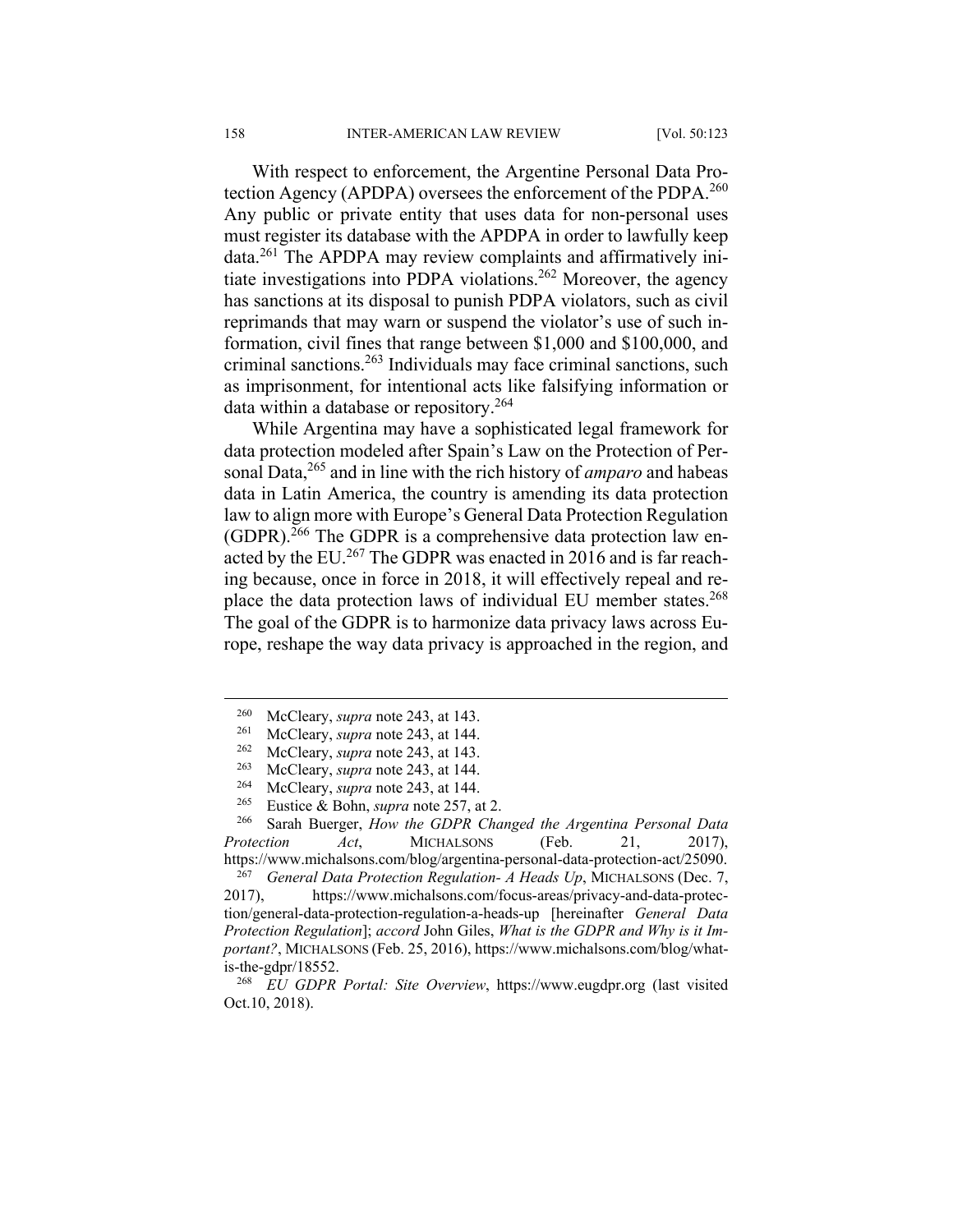With respect to enforcement, the Argentine Personal Data Protection Agency (APDPA) oversees the enforcement of the PDPA.<sup>260</sup> Any public or private entity that uses data for non-personal uses must register its database with the APDPA in order to lawfully keep data.261 The APDPA may review complaints and affirmatively initiate investigations into PDPA violations.262 Moreover, the agency has sanctions at its disposal to punish PDPA violators, such as civil reprimands that may warn or suspend the violator's use of such information, civil fines that range between \$1,000 and \$100,000, and criminal sanctions.263 Individuals may face criminal sanctions, such as imprisonment, for intentional acts like falsifying information or data within a database or repository.<sup>264</sup>

While Argentina may have a sophisticated legal framework for data protection modeled after Spain's Law on the Protection of Personal Data,<sup>265</sup> and in line with the rich history of *amparo* and habeas data in Latin America, the country is amending its data protection law to align more with Europe's General Data Protection Regulation (GDPR).266 The GDPR is a comprehensive data protection law enacted by the EU.<sup>267</sup> The GDPR was enacted in 2016 and is far reaching because, once in force in 2018, it will effectively repeal and replace the data protection laws of individual EU member states.<sup>268</sup> The goal of the GDPR is to harmonize data privacy laws across Europe, reshape the way data privacy is approached in the region, and

<sup>267</sup> *General Data Protection Regulation- A Heads Up*, MICHALSONS (Dec. 7,

2017), https://www.michalsons.com/focus-areas/privacy-and-data-protection/general-data-protection-regulation-a-heads-up [hereinafter *General Data Protection Regulation*]; *accord* John Giles, *What is the GDPR and Why is it Important?*, MICHALSONS (Feb. 25, 2016), https://www.michalsons.com/blog/whatis-the-gdpr/18552.

<sup>268</sup> *EU GDPR Portal: Site Overview*, https://www.eugdpr.org (last visited Oct.10, 2018).

<sup>&</sup>lt;sup>260</sup> McCleary, *supra* note 243, at 143.<br><sup>261</sup> McCleary, *supra* note 243, at 144.

<sup>261</sup> McCleary, *supra* note 243, at 144.

<sup>&</sup>lt;sup>262</sup> McCleary, *supra* note 243, at 143.<br><sup>263</sup> McCleary, *supra* note 243, at 144.

<sup>&</sup>lt;sup>263</sup> McCleary, *supra* note 243, at 144.

<sup>&</sup>lt;sup>264</sup> McCleary, *supra* note 243, at 144.<br><sup>265</sup> Fustice & Bohn *supra* note 257, a

<sup>&</sup>lt;sup>265</sup> Eustice & Bohn, *supra* note 257, at 2.<br><sup>266</sup> Sarah Buerger, How the GDPR Cha

<sup>266</sup> Sarah Buerger, *How the GDPR Changed the Argentina Personal Data Protection Act*, MICHALSONS (Feb. 21, 2017), https://www.michalsons.com/blog/argentina-personal-data-protection-act/25090.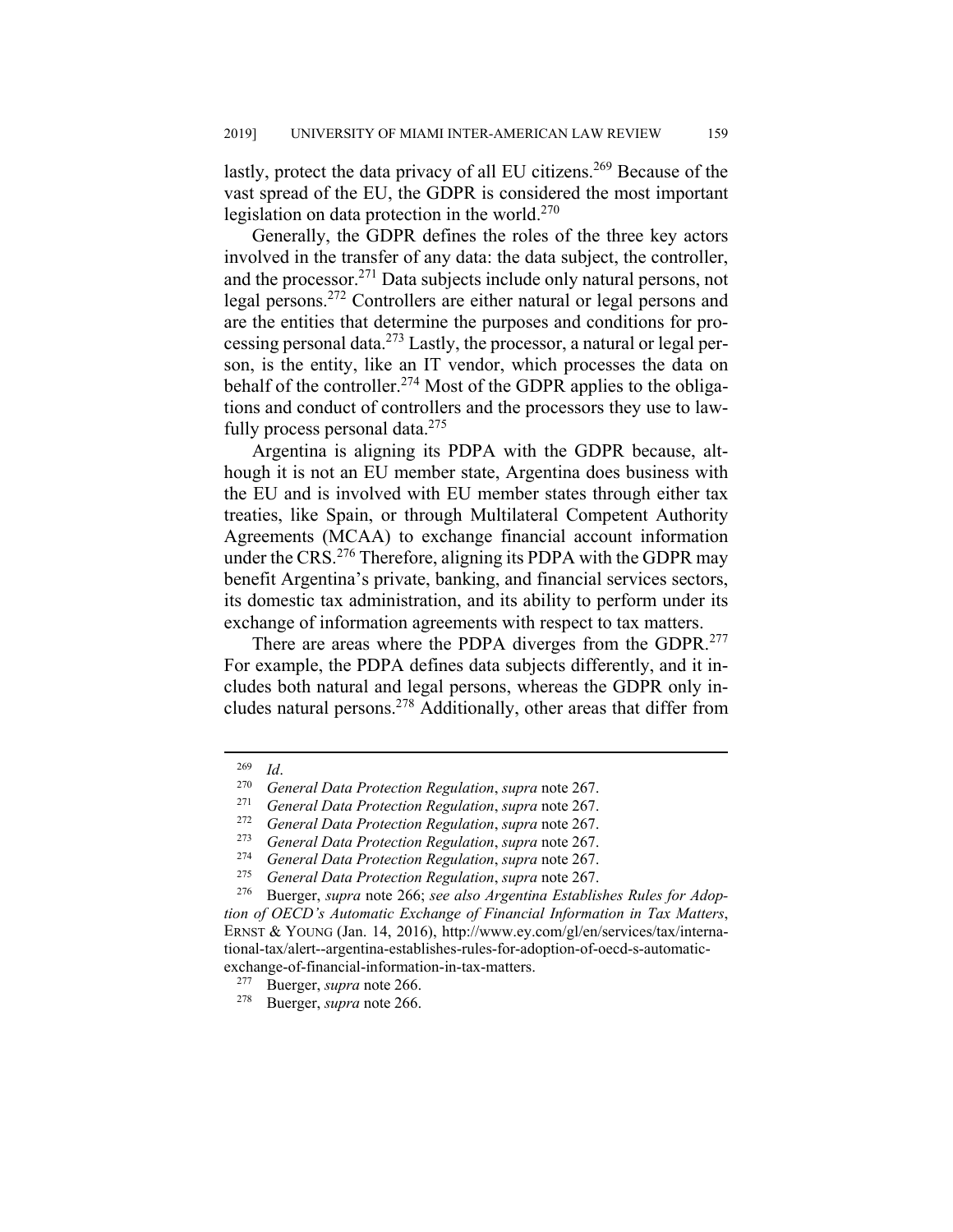lastly, protect the data privacy of all EU citizens.<sup>269</sup> Because of the vast spread of the EU, the GDPR is considered the most important legislation on data protection in the world. $270$ 

Generally, the GDPR defines the roles of the three key actors involved in the transfer of any data: the data subject, the controller, and the processor.271 Data subjects include only natural persons, not legal persons.272 Controllers are either natural or legal persons and are the entities that determine the purposes and conditions for processing personal data.273 Lastly, the processor, a natural or legal person, is the entity, like an IT vendor, which processes the data on behalf of the controller.<sup>274</sup> Most of the GDPR applies to the obligations and conduct of controllers and the processors they use to lawfully process personal data. $275$ 

Argentina is aligning its PDPA with the GDPR because, although it is not an EU member state, Argentina does business with the EU and is involved with EU member states through either tax treaties, like Spain, or through Multilateral Competent Authority Agreements (MCAA) to exchange financial account information under the CRS.<sup>276</sup> Therefore, aligning its PDPA with the GDPR may benefit Argentina's private, banking, and financial services sectors, its domestic tax administration, and its ability to perform under its exchange of information agreements with respect to tax matters.

There are areas where the PDPA diverges from the GDPR.<sup>277</sup> For example, the PDPA defines data subjects differently, and it includes both natural and legal persons, whereas the GDPR only includes natural persons.<sup>278</sup> Additionally, other areas that differ from

<sup>269</sup> *Id*. 270 *General Data Protection Regulation*, *supra* note 267.

<sup>271</sup> *General Data Protection Regulation*, *supra* note 267.

<sup>272</sup> *General Data Protection Regulation*, *supra* note 267.

<sup>273</sup> *General Data Protection Regulation*, *supra* note 267.

<sup>274</sup> *General Data Protection Regulation*, *supra* note 267.

<sup>275</sup> *General Data Protection Regulation*, *supra* note 267.

<sup>276</sup> Buerger, *supra* note 266; *see also Argentina Establishes Rules for Adoption of OECD's Automatic Exchange of Financial Information in Tax Matters*, ERNST & YOUNG (Jan. 14, 2016), http://www.ey.com/gl/en/services/tax/international-tax/alert--argentina-establishes-rules-for-adoption-of-oecd-s-automaticexchange-of-financial-information-in-tax-matters.

<sup>&</sup>lt;sup>277</sup> Buerger, *supra* note 266.<br><sup>278</sup> Buerger, *supra* note 266.

Buerger, *supra* note 266.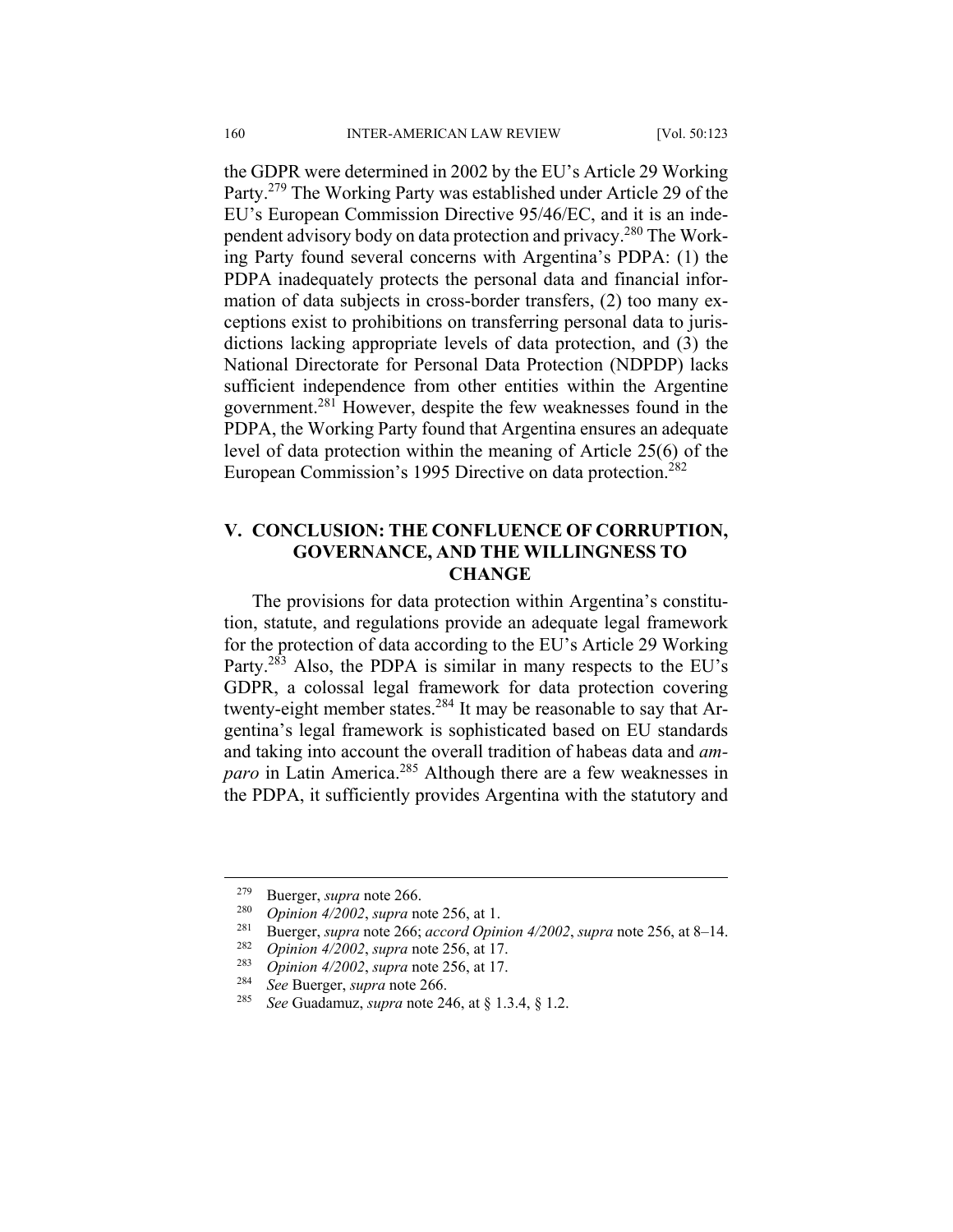the GDPR were determined in 2002 by the EU's Article 29 Working Party.279 The Working Party was established under Article 29 of the EU's European Commission Directive 95/46/EC, and it is an independent advisory body on data protection and privacy.280 The Working Party found several concerns with Argentina's PDPA: (1) the PDPA inadequately protects the personal data and financial information of data subjects in cross-border transfers, (2) too many exceptions exist to prohibitions on transferring personal data to jurisdictions lacking appropriate levels of data protection, and (3) the National Directorate for Personal Data Protection (NDPDP) lacks sufficient independence from other entities within the Argentine government.281 However, despite the few weaknesses found in the PDPA, the Working Party found that Argentina ensures an adequate level of data protection within the meaning of Article 25(6) of the European Commission's 1995 Directive on data protection.<sup>282</sup>

# **V. CONCLUSION: THE CONFLUENCE OF CORRUPTION, GOVERNANCE, AND THE WILLINGNESS TO CHANGE**

The provisions for data protection within Argentina's constitution, statute, and regulations provide an adequate legal framework for the protection of data according to the EU's Article 29 Working Party.<sup>283</sup> Also, the PDPA is similar in many respects to the EU's GDPR, a colossal legal framework for data protection covering twenty-eight member states.284 It may be reasonable to say that Argentina's legal framework is sophisticated based on EU standards and taking into account the overall tradition of habeas data and *amparo* in Latin America.<sup>285</sup> Although there are a few weaknesses in the PDPA, it sufficiently provides Argentina with the statutory and

 <sup>279</sup> Buerger, *supra* note 266.

<sup>280</sup> *Opinion 4/2002*, *supra* note 256, at 1.

<sup>&</sup>lt;sup>281</sup> Buerger, *supra* note 266; *accord Opinion 4/2002*, *supra* note 256, at 8–14.<br><sup>282</sup> Opinion 4/2002, supra note 256, et 17

<sup>282</sup> *Opinion 4/2002*, *supra* note 256, at 17.

<sup>283</sup> *Opinion 4/2002*, *supra* note 256, at 17.

<sup>284</sup> *See* Buerger, *supra* note 266.

<sup>285</sup> *See* Guadamuz, *supra* note 246, at § 1.3.4, § 1.2.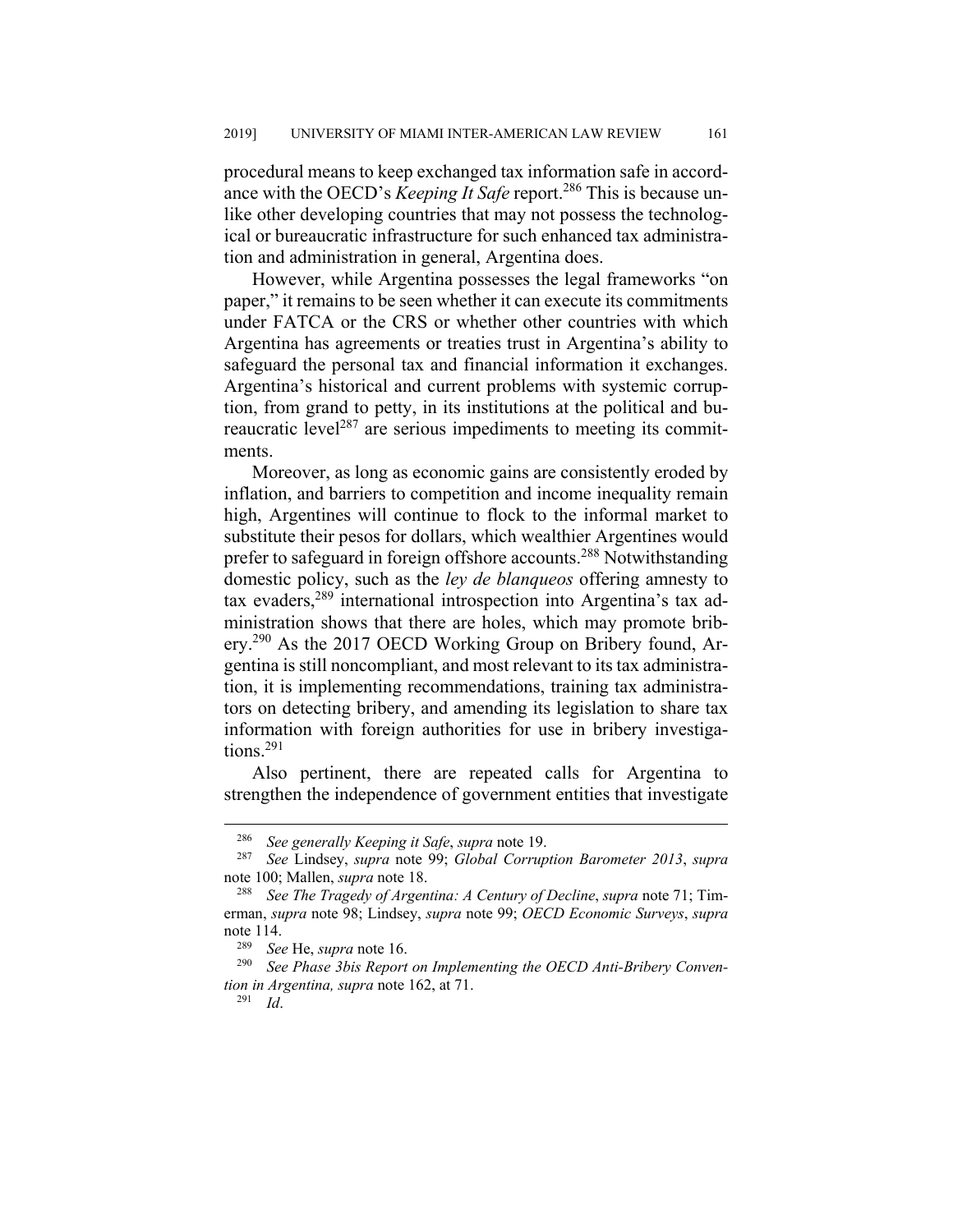procedural means to keep exchanged tax information safe in accordance with the OECD's *Keeping It Safe* report.<sup>286</sup> This is because unlike other developing countries that may not possess the technological or bureaucratic infrastructure for such enhanced tax administration and administration in general, Argentina does.

However, while Argentina possesses the legal frameworks "on paper," it remains to be seen whether it can execute its commitments under FATCA or the CRS or whether other countries with which Argentina has agreements or treaties trust in Argentina's ability to safeguard the personal tax and financial information it exchanges. Argentina's historical and current problems with systemic corruption, from grand to petty, in its institutions at the political and bureaucratic level<sup>287</sup> are serious impediments to meeting its commitments.

Moreover, as long as economic gains are consistently eroded by inflation, and barriers to competition and income inequality remain high, Argentines will continue to flock to the informal market to substitute their pesos for dollars, which wealthier Argentines would prefer to safeguard in foreign offshore accounts.288 Notwithstanding domestic policy, such as the *ley de blanqueos* offering amnesty to tax evaders,289 international introspection into Argentina's tax administration shows that there are holes, which may promote bribery.<sup>290</sup> As the 2017 OECD Working Group on Bribery found, Argentina is still noncompliant, and most relevant to its tax administration, it is implementing recommendations, training tax administrators on detecting bribery, and amending its legislation to share tax information with foreign authorities for use in bribery investigations.291

Also pertinent, there are repeated calls for Argentina to strengthen the independence of government entities that investigate

 <sup>286</sup> *See generally Keeping it Safe*, *supra* note 19.

<sup>287</sup> *See* Lindsey, *supra* note 99; *Global Corruption Barometer 2013*, *supra* note 100; Mallen, *supra* note 18.

<sup>288</sup> *See The Tragedy of Argentina: A Century of Decline*, *supra* note 71; Timerman, *supra* note 98; Lindsey, *supra* note 99; *OECD Economic Surveys*, *supra* note 114.

<sup>289</sup> *See* He, *supra* note 16.

<sup>290</sup> *See Phase 3bis Report on Implementing the OECD Anti-Bribery Convention in Argentina, supra* note 162, at 71.

<sup>291</sup> *Id*.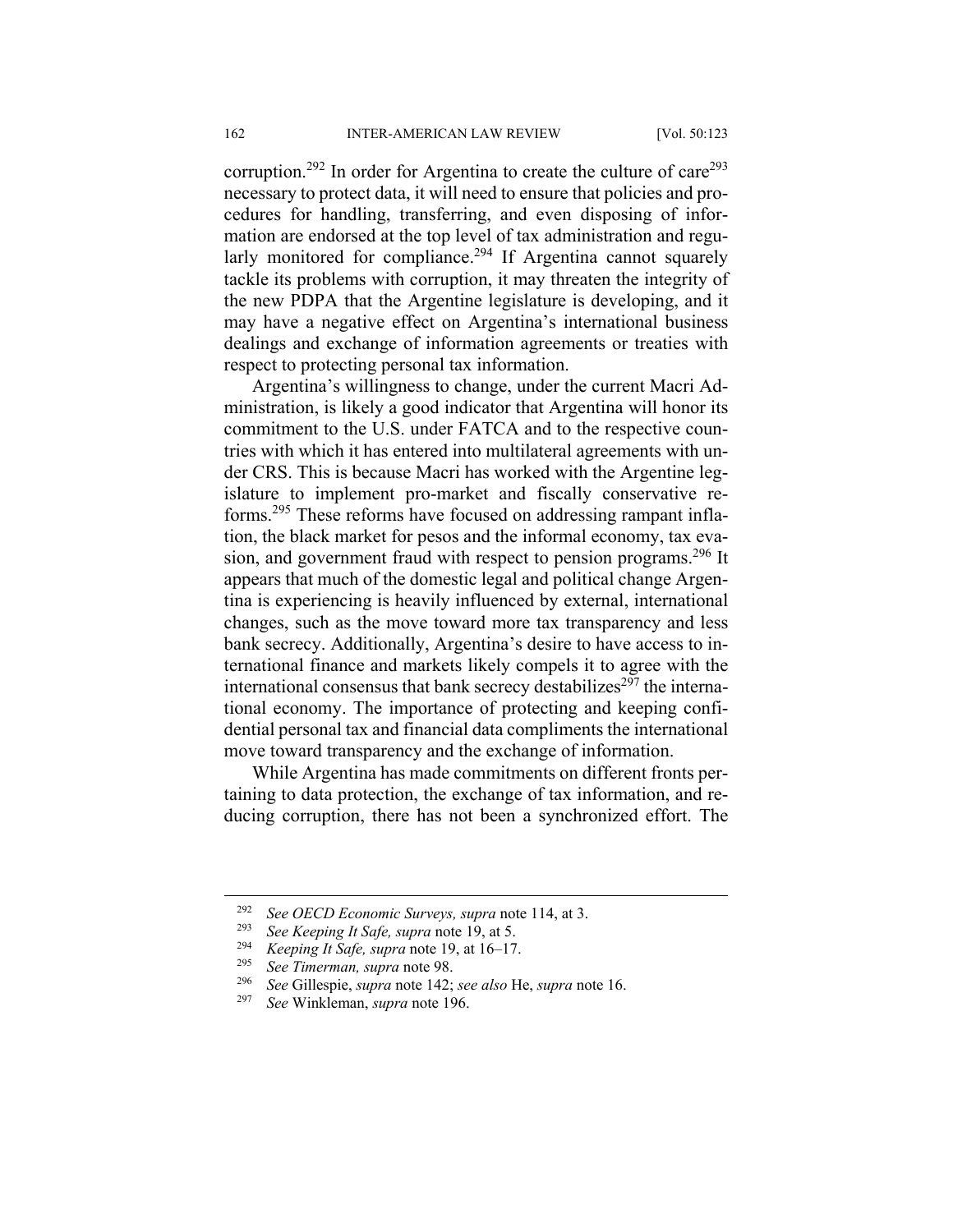corruption.<sup>292</sup> In order for Argentina to create the culture of care<sup>293</sup> necessary to protect data, it will need to ensure that policies and procedures for handling, transferring, and even disposing of information are endorsed at the top level of tax administration and regularly monitored for compliance.<sup>294</sup> If Argentina cannot squarely tackle its problems with corruption, it may threaten the integrity of the new PDPA that the Argentine legislature is developing, and it may have a negative effect on Argentina's international business dealings and exchange of information agreements or treaties with respect to protecting personal tax information.

Argentina's willingness to change, under the current Macri Administration, is likely a good indicator that Argentina will honor its commitment to the U.S. under FATCA and to the respective countries with which it has entered into multilateral agreements with under CRS. This is because Macri has worked with the Argentine legislature to implement pro-market and fiscally conservative reforms.295 These reforms have focused on addressing rampant inflation, the black market for pesos and the informal economy, tax evasion, and government fraud with respect to pension programs.<sup>296</sup> It appears that much of the domestic legal and political change Argentina is experiencing is heavily influenced by external, international changes, such as the move toward more tax transparency and less bank secrecy. Additionally, Argentina's desire to have access to international finance and markets likely compels it to agree with the international consensus that bank secrecy destabilizes<sup>297</sup> the international economy. The importance of protecting and keeping confidential personal tax and financial data compliments the international move toward transparency and the exchange of information.

While Argentina has made commitments on different fronts pertaining to data protection, the exchange of tax information, and reducing corruption, there has not been a synchronized effort. The

 <sup>292</sup> *See OECD Economic Surveys, supra* note 114, at 3.

<sup>293</sup> *See Keeping It Safe, supra* note 19, at 5.

<sup>&</sup>lt;sup>294</sup> *Keeping It Safe, supra* note 19, at 16–17.<br><sup>295</sup> See Timerman, supra pote  $98$ .

<sup>295</sup> *See Timerman, supra* note 98.

<sup>296</sup> *See* Gillespie, *supra* note 142; *see also* He, *supra* note 16.

<sup>297</sup> *See* Winkleman, *supra* note 196.